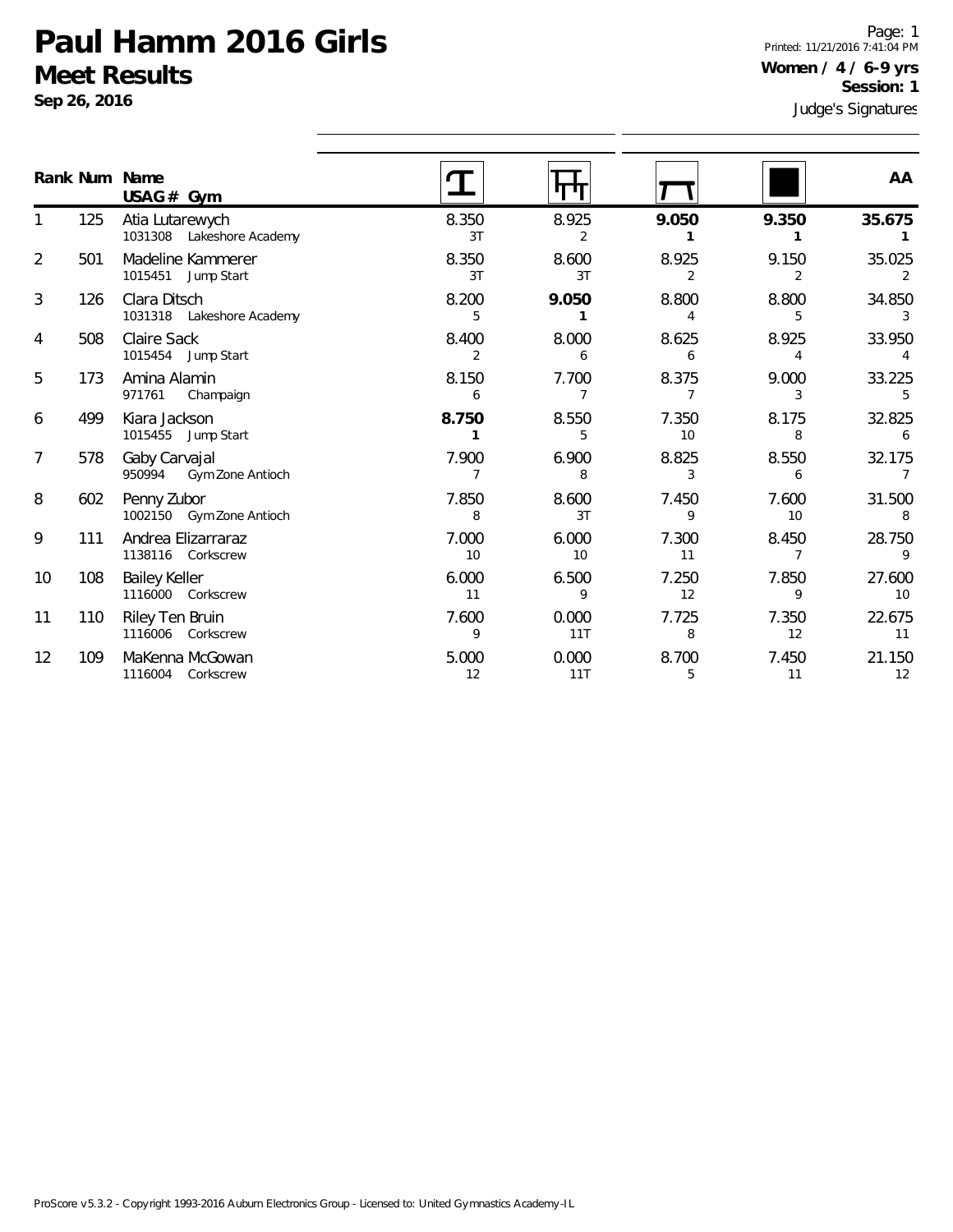**Sep 26, 2016**

Page: 1 Printed: 11/21/2016 7:41:04 PM **Women / 4 / 6-9 yrs Session: 1**

|                |     | Rank Num Name<br>$USAG#$ Gym                 |             | पण           |                         |             | AA                       |
|----------------|-----|----------------------------------------------|-------------|--------------|-------------------------|-------------|--------------------------|
|                | 125 | Atia Lutarewych<br>1031308 Lakeshore Academy | 8.350<br>3T | 8.925<br>2   | 9.050                   | 9.350       | 35.675                   |
| $\overline{2}$ | 501 | Madeline Kammerer<br>1015451<br>Jump Start   | 8.350<br>3T | 8.600<br>3T  | 8.925<br>$\overline{2}$ | 9.150<br>2  | 35.025                   |
| 3              | 126 | Clara Ditsch<br>1031318 Lakeshore Academy    | 8.200<br>5  | 9.050        | 8.800<br>4              | 8.800<br>5  | 34.850<br>3              |
| 4              | 508 | Claire Sack<br>1015454 Jump Start            | 8.400<br>2  | 8.000<br>6   | 8.625<br>6              | 8.925<br>4  | 33.950                   |
| 5              | 173 | Amina Alamin<br>971761<br>Champaign          | 8.150<br>6  | 7.700<br>7   | 8.375<br>7              | 9.000<br>3  | 33.225<br>5              |
| 6              | 499 | Kiara Jackson<br>1015455 Jump Start          | 8.750<br>1  | 8.550<br>5   | 7.350<br>10             | 8.175<br>8  | 32.825<br>6              |
| 7              | 578 | Gaby Carvajal<br>950994<br>Gym Zone Antioch  | 7.900<br>7  | 6.900<br>8   | 8.825<br>3              | 8.550<br>6  | 32.175<br>$\overline{7}$ |
| 8              | 602 | Penny Zubor<br>1002150 Gym Zone Antioch      | 7.850<br>8  | 8.600<br>3T  | 7.450<br>9              | 7.600<br>10 | 31.500<br>8              |
| 9              | 111 | Andrea Elizarraraz<br>1138116 Corkscrew      | 7.000<br>10 | 6.000<br>10  | 7.300<br>11             | 8.450<br>7  | 28.750<br>Q              |
| 10             | 108 | <b>Bailey Keller</b><br>1116000 Corkscrew    | 6.000<br>11 | 6.500<br>9   | 7.250<br>12             | 7.850<br>9  | 27.600<br>10             |
| 11             | 110 | Riley Ten Bruin<br>1116006<br>Corkscrew      | 7.600<br>9  | 0.000<br>11T | 7.725<br>8              | 7.350<br>12 | 22.675<br>11             |
| 12             | 109 | MaKenna McGowan<br>1116004 Corkscrew         | 5.000<br>12 | 0.000<br>11T | 8.700<br>5              | 7.450<br>11 | 21.150<br>12             |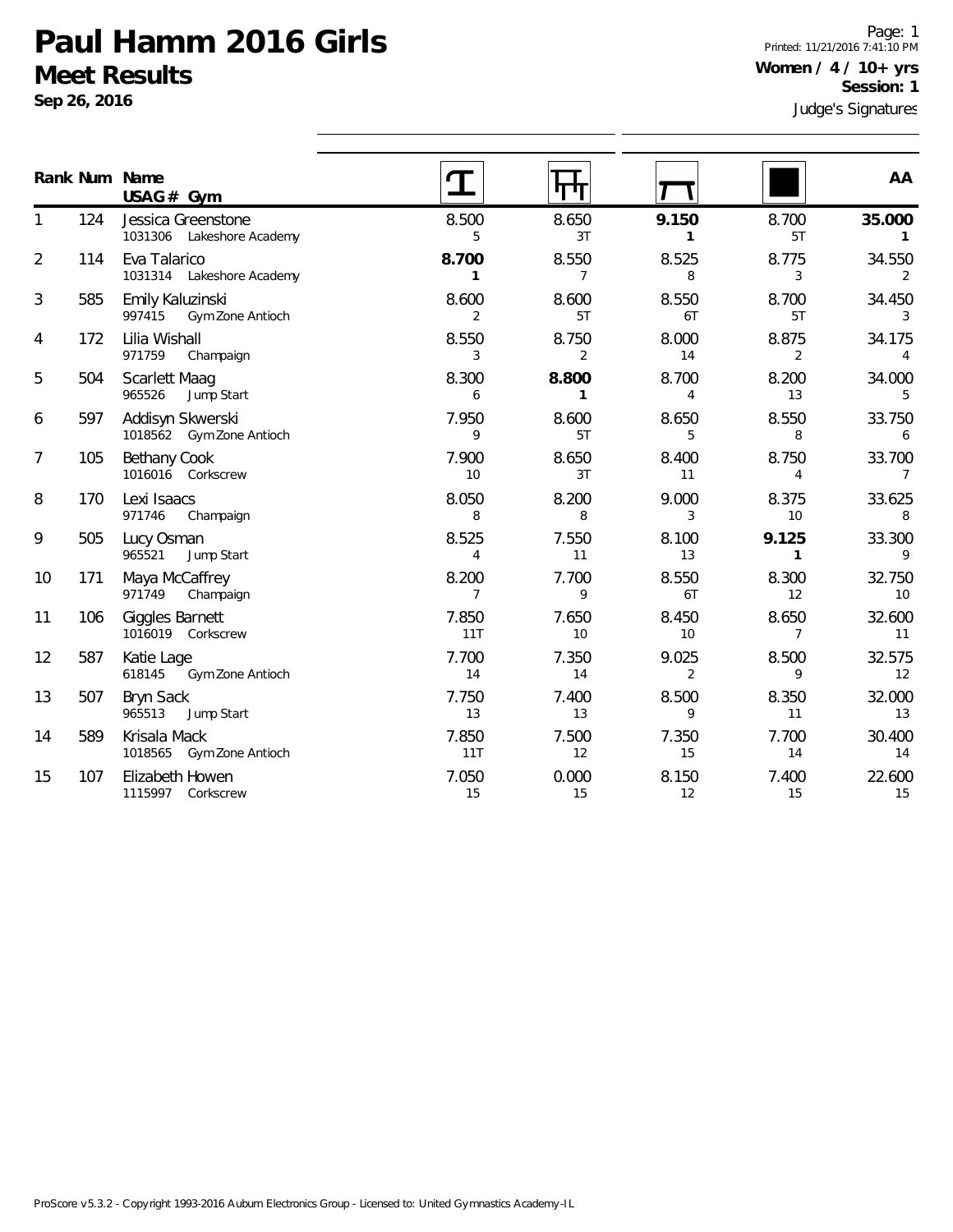**Sep 26, 2016**

Page: 1 Printed: 11/21/2016 7:41:10 PM **Women / 4 / 10+ yrs Session: 1**

|                |     | Rank Num Name<br>$USAG#$ Gym                    |                         |                         |                         |                         | AA                        |
|----------------|-----|-------------------------------------------------|-------------------------|-------------------------|-------------------------|-------------------------|---------------------------|
| 1              | 124 | Jessica Greenstone<br>1031306 Lakeshore Academy | 8.500<br>5              | 8.650<br>3T             | 9.150<br>$\mathbf{1}$   | 8.700<br>5T             | 35.000<br>1               |
| $\overline{2}$ | 114 | Eva Talarico<br>1031314 Lakeshore Academy       | 8.700<br>$\mathbf{1}$   | 8.550<br>$\overline{7}$ | 8.525<br>8              | 8.775<br>3              | 34.550<br>2               |
| 3              | 585 | Emily Kaluzinski<br>997415<br>Gym Zone Antioch  | 8.600<br>2              | 8.600<br>5T             | 8.550<br>6T             | 8.700<br>5T             | 34.450<br>3               |
| 4              | 172 | Lilia Wishall<br>971759<br>Champaign            | 8.550<br>3              | 8.750<br>2              | 8.000<br>14             | 8.875<br>2              | 34.175<br>4               |
| 5              | 504 | <b>Scarlett Maag</b><br>965526<br>Jump Start    | 8.300<br>6              | 8.800<br>$\mathbf{1}$   | 8.700<br>$\overline{4}$ | 8.200<br>13             | 34.000<br>5               |
| 6              | 597 | Addisyn Skwerski<br>1018562 Gym Zone Antioch    | 7.950<br>9              | 8.600<br>5T             | 8.650<br>5              | 8.550<br>8              | 33.750<br>6               |
| 7              | 105 | Bethany Cook<br>1016016 Corkscrew               | 7.900<br>10             | 8.650<br>3T             | 8.400<br>11             | 8.750<br>$\overline{4}$ | 33.700<br>7               |
| 8              | 170 | Lexi Isaacs<br>971746<br>Champaign              | 8.050<br>8              | 8.200<br>8              | 9.000<br>3              | 8.375<br>10             | 33.625<br>8               |
| 9              | 505 | Lucy Osman<br>Jump Start<br>965521              | 8.525<br>$\overline{4}$ | 7.550<br>11             | 8.100<br>13             | 9.125<br>$\mathbf{1}$   | 33.300<br>9               |
| 10             | 171 | Maya McCaffrey<br>971749<br>Champaign           | 8.200<br>$\overline{7}$ | 7.700<br>9              | 8.550<br>6T             | 8.300<br>12             | 32.750<br>10 <sup>°</sup> |
| 11             | 106 | Giggles Barnett<br>1016019 Corkscrew            | 7.850<br>11T            | 7.650<br>10             | 8.450<br>10             | 8.650<br>$\overline{7}$ | 32.600<br>11              |
| 12             | 587 | Katie Lage<br>Gym Zone Antioch<br>618145        | 7.700<br>14             | 7.350<br>14             | 9.025<br>2              | 8.500<br>9              | 32.575<br>12              |
| 13             | 507 | <b>Bryn Sack</b><br>965513<br>Jump Start        | 7.750<br>13             | 7.400<br>13             | 8.500<br>9              | 8.350<br>11             | 32.000<br>13              |
| 14             | 589 | Krisala Mack<br>1018565<br>Gym Zone Antioch     | 7.850<br>11T            | 7.500<br>12             | 7.350<br>15             | 7.700<br>14             | 30.400<br>14              |
| 15             | 107 | Elizabeth Howen<br>1115997 Corkscrew            | 7.050<br>15             | 0.000<br>15             | 8.150<br>12             | 7.400<br>15             | 22.600<br>15              |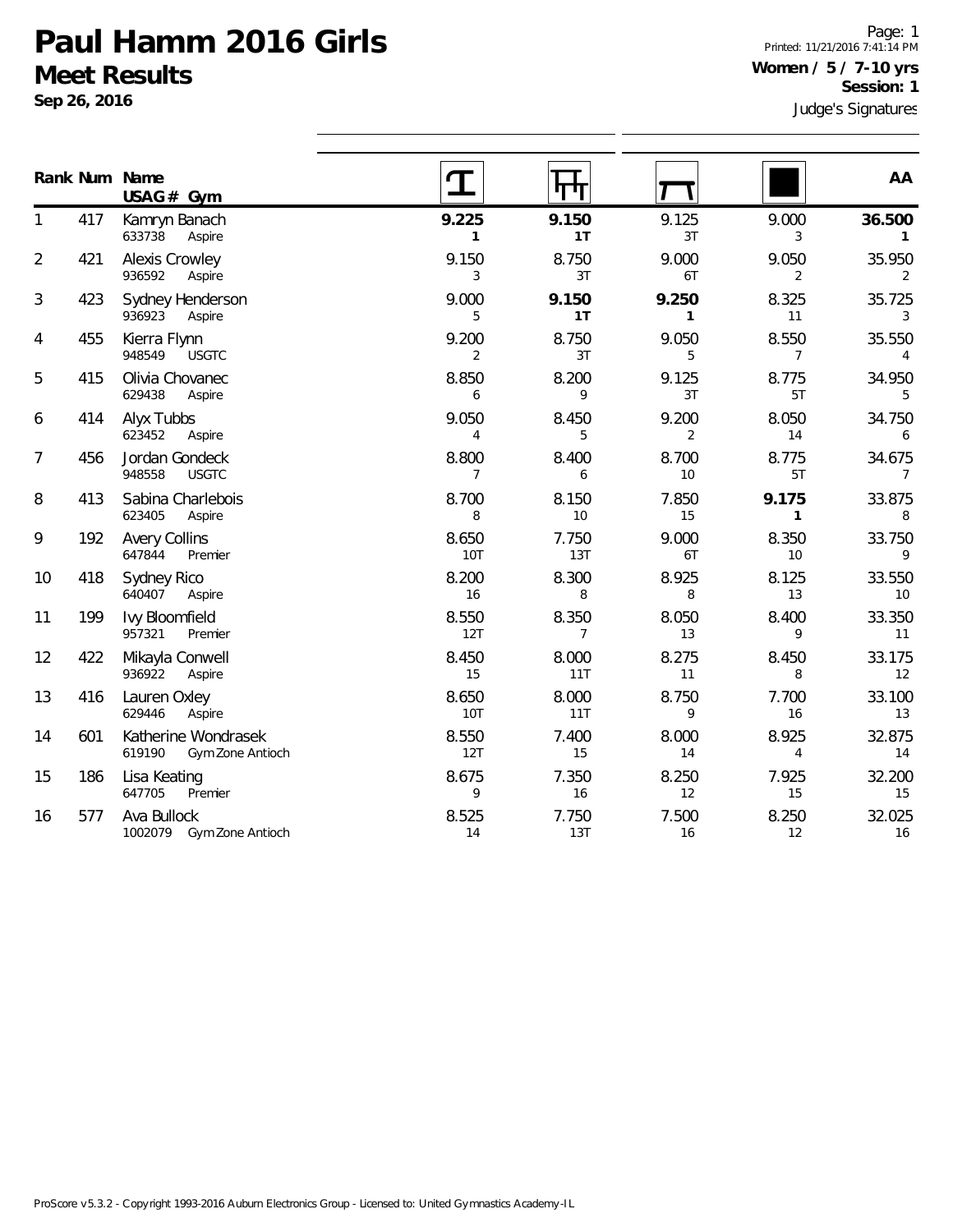**Sep 26, 2016**

Judge's Signatures Page: 1 Printed: 11/21/2016 7:41:14 PM **Women / 5 / 7-10 yrs Session: 1**

|                |     | Rank Num Name<br>$USAG#$ Gym                      |                         | पण                      |                       |                         | AA                       |
|----------------|-----|---------------------------------------------------|-------------------------|-------------------------|-----------------------|-------------------------|--------------------------|
| 1              | 417 | Kamryn Banach<br>633738<br>Aspire                 | 9.225<br>$\mathbf{1}$   | 9.150<br>1T             | 9.125<br>3T           | 9.000<br>3              | 36.500<br>$\mathbf{1}$   |
| $\overline{2}$ | 421 | <b>Alexis Crowley</b><br>936592<br>Aspire         | 9.150<br>3              | 8.750<br>3T             | 9.000<br>6T           | 9.050<br>2              | 35.950<br>2              |
| 3              | 423 | Sydney Henderson<br>936923<br>Aspire              | 9.000<br>5              | 9.150<br>1T             | 9.250<br>$\mathbf{1}$ | 8.325<br>11             | 35.725<br>3              |
| 4              | 455 | Kierra Flynn<br>948549<br><b>USGTC</b>            | 9.200<br>$\overline{2}$ | 8.750<br>3T             | 9.050<br>5            | 8.550<br>$\overline{7}$ | 35.550<br>$\overline{4}$ |
| 5              | 415 | Olivia Chovanec<br>629438<br>Aspire               | 8.850<br>6              | 8.200<br>9              | 9.125<br>3T           | 8.775<br>5T             | 34.950<br>5              |
| 6              | 414 | Alyx Tubbs<br>623452<br>Aspire                    | 9.050<br>4              | 8.450<br>5              | 9.200<br>2            | 8.050<br>14             | 34.750<br>6              |
| 7              | 456 | Jordan Gondeck<br>948558<br><b>USGTC</b>          | 8.800<br>$\overline{7}$ | 8.400<br>6              | 8.700<br>10           | 8.775<br>5T             | 34.675<br>$\overline{7}$ |
| 8              | 413 | Sabina Charlebois<br>623405<br>Aspire             | 8.700<br>8              | 8.150<br>10             | 7.850<br>15           | 9.175<br>$\mathbf{1}$   | 33.875<br>8              |
| 9              | 192 | <b>Avery Collins</b><br>647844<br>Premier         | 8.650<br>10T            | 7.750<br>13T            | 9.000<br>6T           | 8.350<br>10             | 33.750<br>9              |
| 10             | 418 | Sydney Rico<br>640407<br>Aspire                   | 8.200<br>16             | 8.300<br>8              | 8.925<br>8            | 8.125<br>13             | 33.550<br>10             |
| 11             | 199 | Ivy Bloomfield<br>957321<br>Premier               | 8.550<br>12T            | 8.350<br>$\overline{7}$ | 8.050<br>13           | 8.400<br>9              | 33.350<br>11             |
| 12             | 422 | Mikayla Conwell<br>936922<br>Aspire               | 8.450<br>15             | 8.000<br>11T            | 8.275<br>11           | 8.450<br>8              | 33.175<br>12             |
| 13             | 416 | Lauren Oxley<br>629446<br>Aspire                  | 8.650<br><b>10T</b>     | 8.000<br>11T            | 8.750<br>9            | 7.700<br>16             | 33.100<br>13             |
| 14             | 601 | Katherine Wondrasek<br>619190<br>Gym Zone Antioch | 8.550<br>12T            | 7.400<br>15             | 8.000<br>14           | 8.925<br>4              | 32.875<br>14             |
| 15             | 186 | Lisa Keating<br>647705<br>Premier                 | 8.675<br>9              | 7.350<br>16             | 8.250<br>12           | 7.925<br>15             | 32.200<br>15             |
| 16             | 577 | Ava Bullock<br>1002079<br>Gym Zone Antioch        | 8.525<br>14             | 7.750<br>13T            | 7.500<br>16           | 8.250<br>12             | 32.025<br>16             |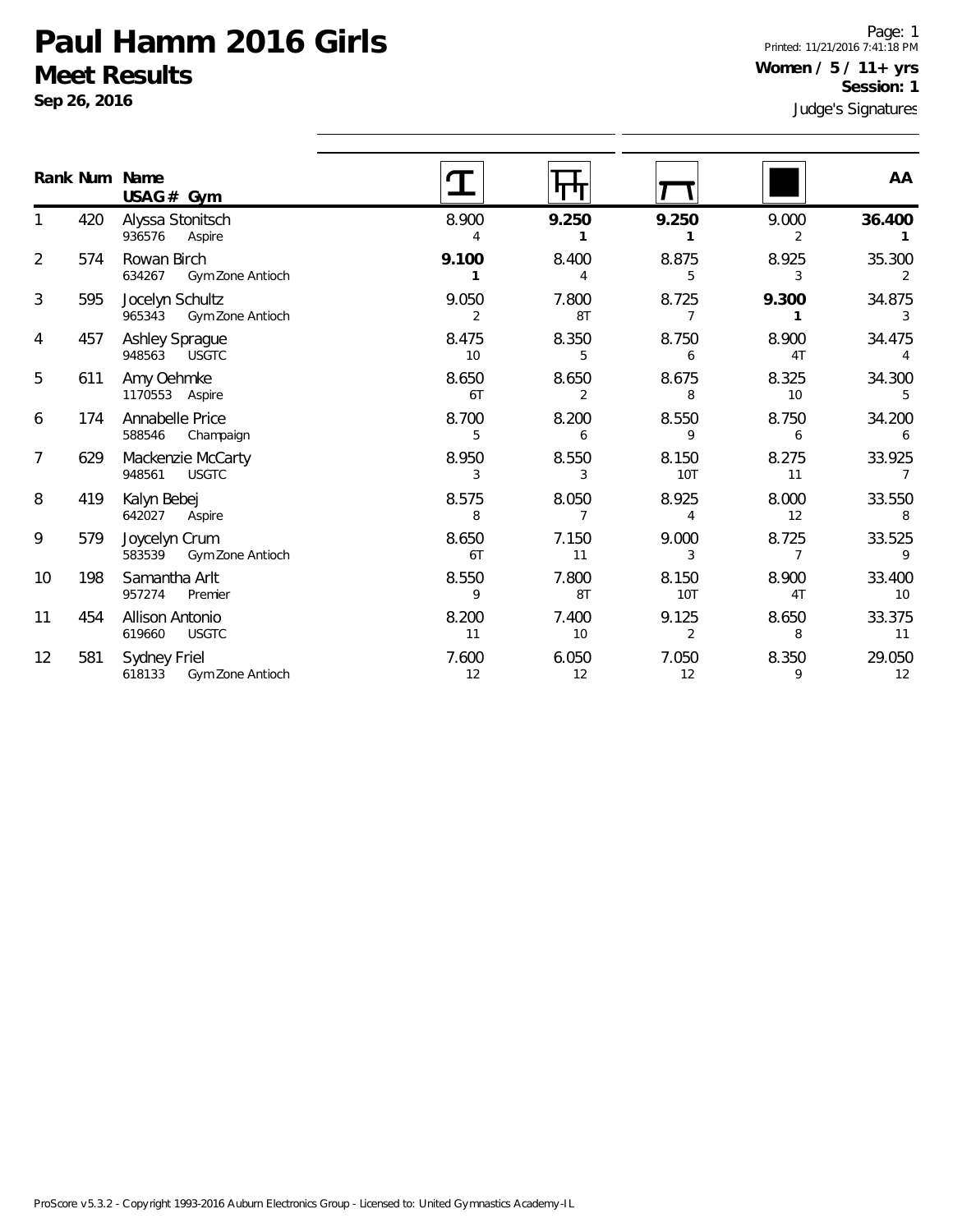**Sep 26, 2016**

Page: 1 Printed: 11/21/2016 7:41:18 PM **Women / 5 / 11+ yrs Session: 1**

|                |     | Rank Num Name<br>$USAG#$ Gym                      |                         |             |                         |             | AA                       |
|----------------|-----|---------------------------------------------------|-------------------------|-------------|-------------------------|-------------|--------------------------|
|                | 420 | Alyssa Stonitsch<br>936576<br>Aspire              | 8.900<br>4              | 9.250       | 9.250                   | 9.000<br>2  | 36.400                   |
| $\overline{2}$ | 574 | Rowan Birch<br>634267<br>Gym Zone Antioch         | 9.100                   | 8.400       | 8.875<br>5              | 8.925<br>3  | 35.300                   |
| 3              | 595 | Jocelyn Schultz<br>965343<br>Gym Zone Antioch     | 9.050<br>$\overline{2}$ | 7.800<br>8T | 8.725<br>7              | 9.300       | 34.875<br>3              |
| 4              | 457 | <b>Ashley Sprague</b><br>948563 USGTC             | 8.475<br>10             | 8.350<br>5  | 8.750<br>6              | 8.900<br>4T | 34.475                   |
| 5              | 611 | Amy Oehmke<br>1170553 Aspire                      | 8.650<br>6T             | 8.650<br>2  | 8.675<br>8              | 8.325<br>10 | 34.300                   |
| 6              | 174 | Annabelle Price<br>588546<br>Champaign            | 8.700<br>5              | 8.200<br>6  | 8.550<br>9              | 8.750<br>6  | 34.200<br>6              |
| 7              | 629 | Mackenzie McCarty<br>948561<br><b>USGTC</b>       | 8.950<br>3              | 8.550<br>3  | 8.150<br><b>10T</b>     | 8.275<br>11 | 33.925<br>$\overline{7}$ |
| 8              | 419 | Kalyn Bebej<br>642027<br>Aspire                   | 8.575<br>8              | 8.050<br>7  | 8.925<br>4              | 8.000<br>12 | 33.550<br>8              |
| 9              | 579 | Joycelyn Crum<br>583539<br>Gym Zone Antioch       | 8.650<br>6T             | 7.150<br>11 | 9.000<br>3              | 8.725       | 33.525<br>9              |
| 10             | 198 | Samantha Arlt<br>957274<br>Premier                | 8.550<br>9              | 7.800<br>8T | 8.150<br>10T            | 8.900<br>4T | 33.400<br>10             |
| 11             | 454 | Allison Antonio<br>619660<br><b>USGTC</b>         | 8.200<br>11             | 7.400<br>10 | 9.125<br>$\overline{2}$ | 8.650<br>8  | 33.375<br>11             |
| 12             | 581 | Sydney Friel<br>618133<br><b>Gym Zone Antioch</b> | 7.600<br>12             | 6.050<br>12 | 7.050<br>12             | 8.350<br>9  | 29.050<br>12             |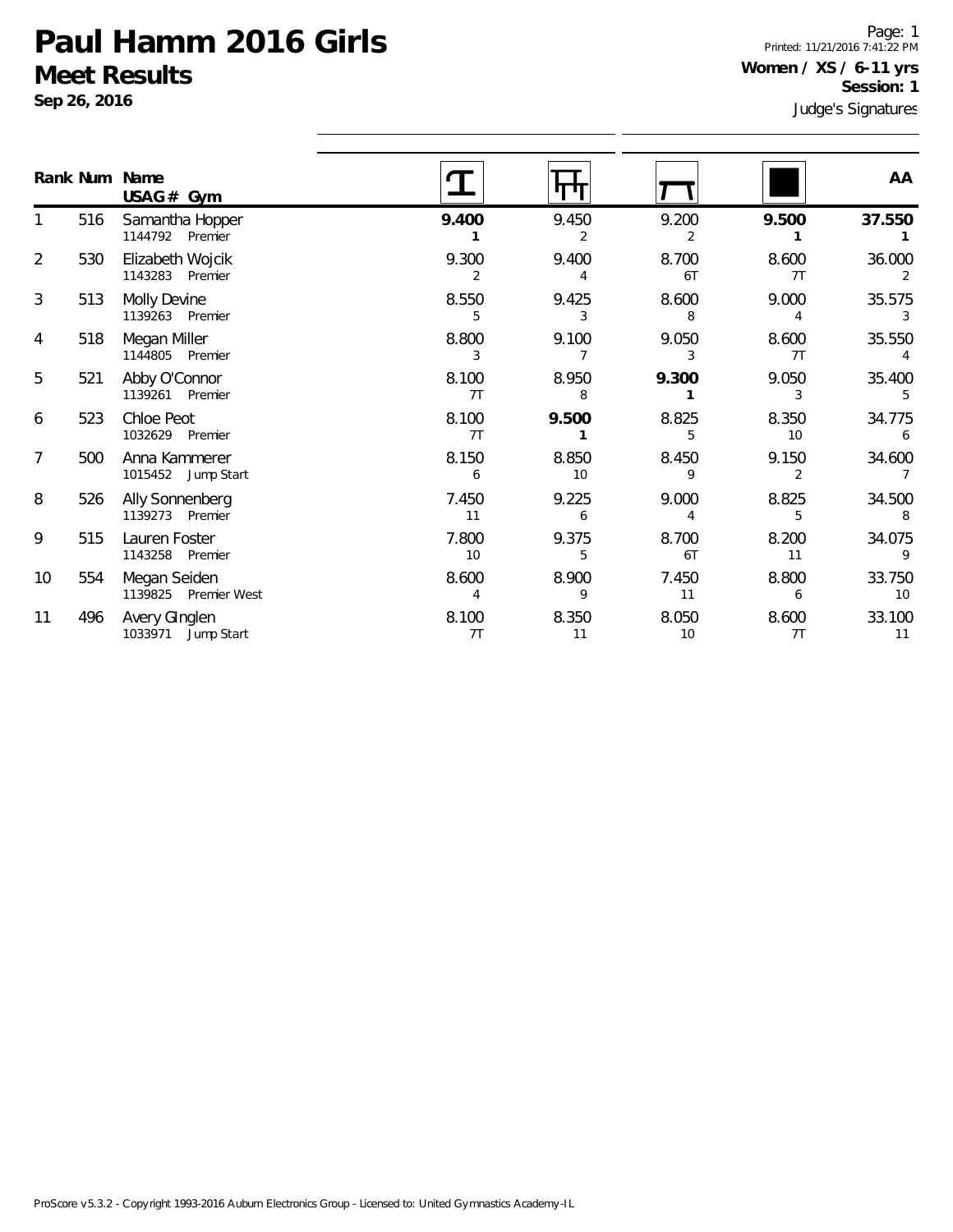**Sep 26, 2016**

Page: 1 Printed: 11/21/2016 7:41:22 PM **Women / XS / 6-11 yrs Session: 1**

|                |     | Rank Num Name                                     |             |             |             |                         | AA           |
|----------------|-----|---------------------------------------------------|-------------|-------------|-------------|-------------------------|--------------|
|                | 516 | $USAG#$ Gym<br>Samantha Hopper<br>1144792 Premier | 9.400       | 9.450<br>2  | 9.200<br>2  | 9.500                   | 37.550       |
| $\overline{2}$ | 530 | Elizabeth Wojcik<br>1143283 Premier               | 9.300<br>2  | 9.400<br>4  | 8.700<br>6T | 8.600<br>7T             | 36.000       |
| 3              | 513 | Molly Devine<br>1139263 Premier                   | 8.550<br>5  | 9.425<br>3  | 8.600<br>8  | 9.000<br>4              | 35.575<br>3  |
| 4              | 518 | Megan Miller<br>1144805 Premier                   | 8.800<br>3  | 9.100<br>7  | 9.050<br>3  | 8.600<br>7T             | 35.550       |
| 5              | 521 | Abby O'Connor<br>1139261 Premier                  | 8.100<br>7T | 8.950<br>8  | 9.300       | 9.050<br>3              | 35.400<br>5  |
| 6              | 523 | Chloe Peot<br>1032629 Premier                     | 8.100<br>7T | 9.500       | 8.825<br>5  | 8.350<br>10             | 34.775<br>6  |
| 7              | 500 | Anna Kammerer<br>1015452 Jump Start               | 8.150<br>6  | 8.850<br>10 | 8.450<br>9  | 9.150<br>$\overline{2}$ | 34.600       |
| 8              | 526 | Ally Sonnenberg<br>1139273 Premier                | 7.450<br>11 | 9.225<br>6  | 9.000<br>4  | 8.825<br>5              | 34.500<br>8  |
| 9              | 515 | Lauren Foster<br>1143258 Premier                  | 7.800<br>10 | 9.375<br>5  | 8.700<br>6T | 8.200<br>11             | 34.075<br>9  |
| 10             | 554 | Megan Seiden<br>1139825 Premier West              | 8.600<br>4  | 8.900<br>9  | 7.450<br>11 | 8.800<br>6              | 33.750<br>10 |
| 11             | 496 | Avery GInglen<br>1033971 Jump Start               | 8.100<br>7T | 8.350<br>11 | 8.050<br>10 | 8.600<br>7 <sub>T</sub> | 33.100<br>11 |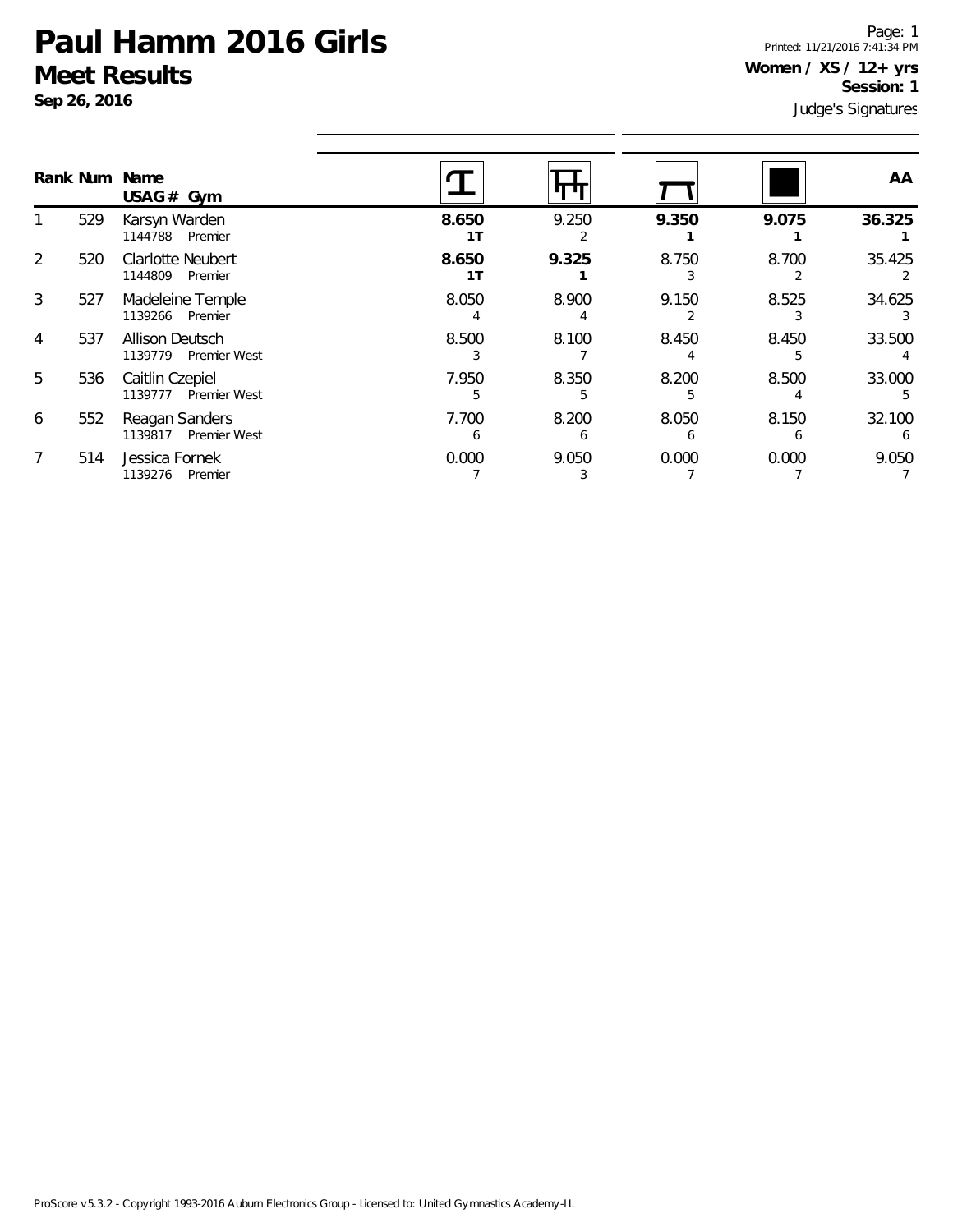**Sep 26, 2016**

Judge's Signatures Page: 1 Printed: 11/21/2016 7:41:34 PM **Women / XS / 12+ yrs Session: 1**

|               |     | Rank Num Name<br>USAG# Gym                        |             |            |                       |            | AA     |
|---------------|-----|---------------------------------------------------|-------------|------------|-----------------------|------------|--------|
|               | 529 | Karsyn Warden<br>Premier<br>1144788               | 8.650<br>1T | 9.250      | 9.350                 | 9.075      | 36.325 |
| $\mathcal{P}$ | 520 | Clarlotte Neubert<br>1144809<br>Premier           | 8.650<br>1T | 9.325      | 8.750                 | 8.700      | 35.425 |
| 3             | 527 | Madeleine Temple<br>1139266 Premier               | 8.050       | 8.900      | 9.150                 | 8.525      | 34.625 |
| 4             | 537 | <b>Allison Deutsch</b><br>1139779<br>Premier West | 8.500       | 8.100      | 8.450                 | 8.450      | 33.500 |
| 5             | 536 | Caitlin Czepiel<br>1139777<br>Premier West        | 7.950       | 8.350      | 8.200                 | 8.500      | 33.000 |
| 6             | 552 | Reagan Sanders<br>Premier West<br>1139817         | 7.700<br>6  | 8.200<br>6 | 8.050<br><sub>6</sub> | 8.150<br>h | 32.100 |
|               | 514 | Jessica Fornek<br>1139276<br>Premier              | 0.000       | 9.050      | 0.000                 | 0.000      | 9.050  |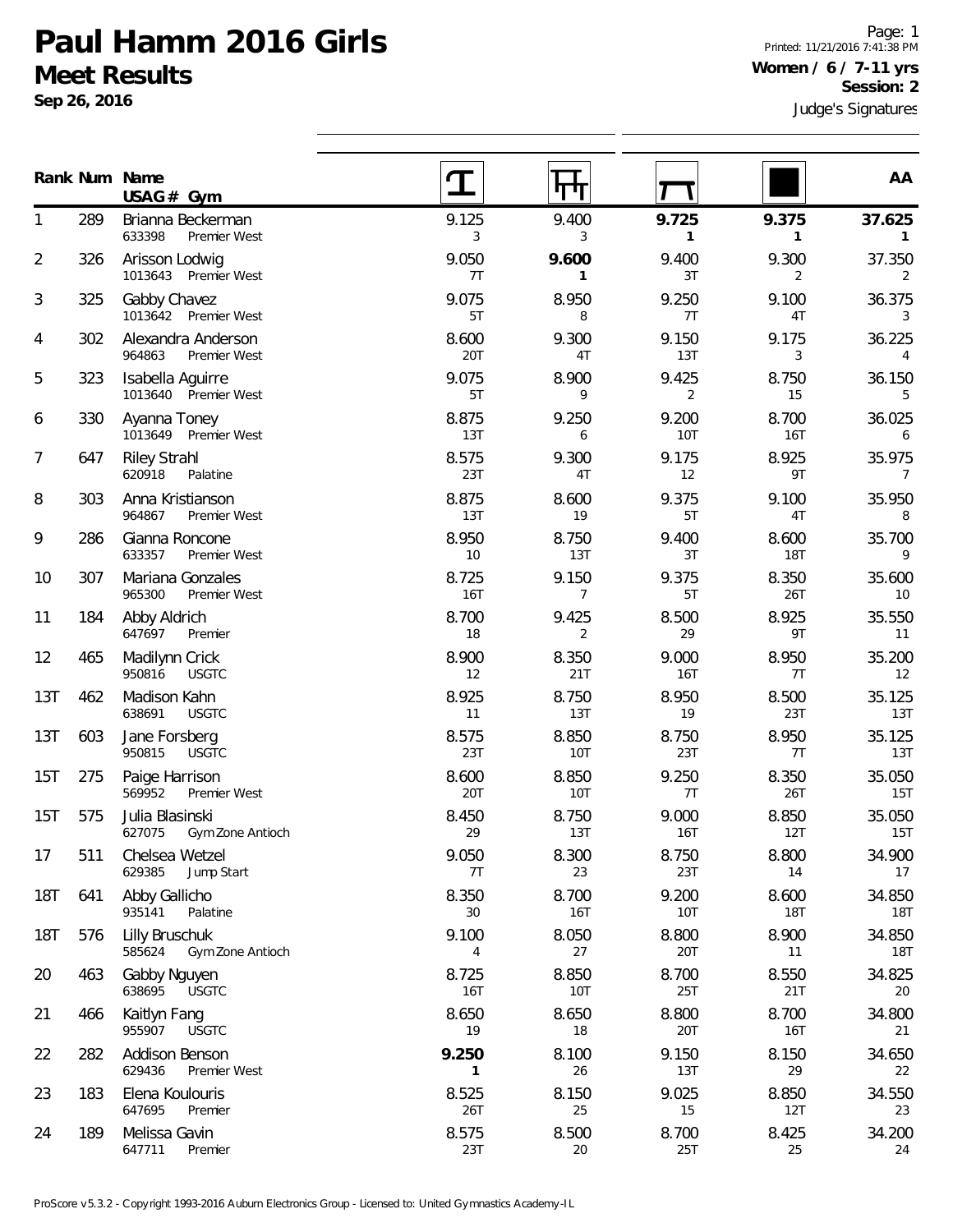**Sep 26, 2016**

Page: 1 Printed: 11/21/2016 7:41:38 PM **Women / 6 / 7-11 yrs Session: 2**

|            |     | Rank Num Name<br>$USAG#$ Gym                  |                       |                         |              |                     | AA                        |
|------------|-----|-----------------------------------------------|-----------------------|-------------------------|--------------|---------------------|---------------------------|
| 1          | 289 | Brianna Beckerman<br>633398<br>Premier West   | 9.125<br>3            | 9.400<br>3              | 9.725<br>1   | 9.375<br>1          | 37.625<br>1               |
| 2          | 326 | Arisson Lodwig<br>1013643 Premier West        | 9.050<br>7T           | 9.600<br>$\mathbf{1}$   | 9.400<br>3T  | 9.300<br>2          | 37.350<br>2               |
| 3          | 325 | Gabby Chavez<br>1013642 Premier West          | 9.075<br>5T           | 8.950<br>8              | 9.250<br>7T  | 9.100<br>4T         | 36.375<br>3               |
| 4          | 302 | Alexandra Anderson<br>964863<br>Premier West  | 8.600<br>20T          | 9.300<br>4T             | 9.150<br>13T | 9.175<br>3          | 36.225<br>4               |
| 5          | 323 | Isabella Aguirre<br>1013640 Premier West      | 9.075<br>5T           | 8.900<br>9              | 9.425<br>2   | 8.750<br>15         | 36.150<br>5               |
| 6          | 330 | Ayanna Toney<br>1013649 Premier West          | 8.875<br>13T          | 9.250<br>6              | 9.200<br>10T | 8.700<br>16T        | 36.025<br>6               |
| 7          | 647 | <b>Riley Strahl</b><br>620918<br>Palatine     | 8.575<br>23T          | 9.300<br>4T             | 9.175<br>12  | 8.925<br>9T         | 35.975<br>$\overline{7}$  |
| 8          | 303 | Anna Kristianson<br>964867<br>Premier West    | 8.875<br>13T          | 8.600<br>19             | 9.375<br>5T  | 9.100<br>4T         | 35.950<br>8               |
| 9          | 286 | Gianna Roncone<br>633357<br>Premier West      | 8.950<br>10           | 8.750<br>13T            | 9.400<br>3T  | 8.600<br><b>18T</b> | 35.700<br>9               |
| 10         | 307 | Mariana Gonzales<br>965300<br>Premier West    | 8.725<br>16T          | 9.150<br>$\overline{7}$ | 9.375<br>5T  | 8.350<br>26T        | 35.600<br>10 <sup>°</sup> |
| 11         | 184 | Abby Aldrich<br>647697<br>Premier             | 8.700<br>18           | 9.425<br>2              | 8.500<br>29  | 8.925<br>9T         | 35.550<br>11              |
| 12         | 465 | Madilynn Crick<br>950816<br><b>USGTC</b>      | 8.900<br>12           | 8.350<br>21T            | 9.000<br>16T | 8.950<br>7T         | 35.200<br>12              |
| 13T        | 462 | Madison Kahn<br>638691<br><b>USGTC</b>        | 8.925<br>11           | 8.750<br>13T            | 8.950<br>19  | 8.500<br>23T        | 35.125<br>13T             |
| 13T        | 603 | Jane Forsberg<br>950815<br><b>USGTC</b>       | 8.575<br>23T          | 8.850<br><b>10T</b>     | 8.750<br>23T | 8.950<br>7T         | 35.125<br>13T             |
| 15T        | 275 | Paige Harrison<br>569952<br>Premier West      | 8.600<br>20T          | 8.850<br>10T            | 9.250<br>7T  | 8.350<br>26T        | 35.050<br>15T             |
| 15T        | 575 | Julia Blasinski<br>627075<br>Gym Zone Antioch | 8.450<br>29           | 8.750<br>13T            | 9.000<br>16T | 8.850<br>12T        | 35.050<br>15T             |
| 17         | 511 | Chelsea Wetzel<br>629385<br>Jump Start        | 9.050<br>7T           | 8.300<br>23             | 8.750<br>23T | 8.800<br>14         | 34.900<br>17              |
| <b>18T</b> | 641 | Abby Gallicho<br>935141<br>Palatine           | 8.350<br>30           | 8.700<br><b>16T</b>     | 9.200<br>10T | 8.600<br>18T        | 34.850<br>18T             |
| <b>18T</b> | 576 | Lilly Bruschuk<br>585624<br>Gym Zone Antioch  | 9.100<br>4            | 8.050<br>27             | 8.800<br>20T | 8.900<br>11         | 34.850<br>18T             |
| 20         | 463 | Gabby Nguyen<br>638695<br><b>USGTC</b>        | 8.725<br>16T          | 8.850<br>10T            | 8.700<br>25T | 8.550<br>21T        | 34.825<br>20              |
| 21         | 466 | Kaitlyn Fang<br>955907<br><b>USGTC</b>        | 8.650<br>19           | 8.650<br>18             | 8.800<br>20T | 8.700<br>16T        | 34.800<br>21              |
| 22         | 282 | Addison Benson<br>629436<br>Premier West      | 9.250<br>$\mathbf{1}$ | 8.100<br>26             | 9.150<br>13T | 8.150<br>29         | 34.650<br>22              |
| 23         | 183 | Elena Koulouris<br>647695<br>Premier          | 8.525<br>26T          | 8.150<br>25             | 9.025<br>15  | 8.850<br>12T        | 34.550<br>23              |
| 24         | 189 | Melissa Gavin<br>647711<br>Premier            | 8.575<br>23T          | 8.500<br>20             | 8.700<br>25T | 8.425<br>25         | 34.200<br>24              |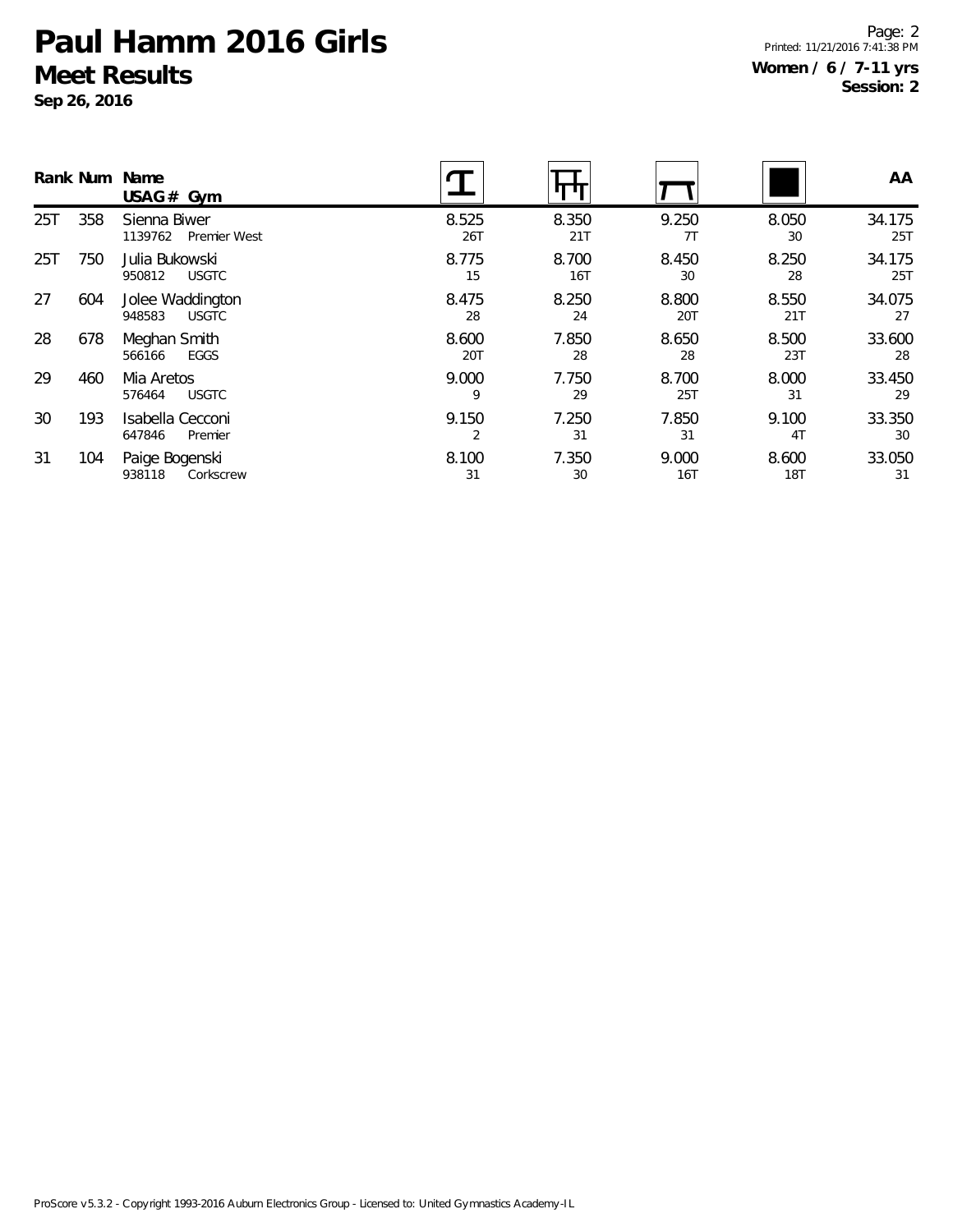**Sep 26, 2016**

Page: 2 Printed: 11/21/2016 7:41:38 PM **Women / 6 / 7-11 yrs Session: 2**

|     |     | Rank Num Name<br>USAG# Gym                 |              |              |              |                         | AA            |
|-----|-----|--------------------------------------------|--------------|--------------|--------------|-------------------------|---------------|
| 25T | 358 | Sienna Biwer<br>1139762<br>Premier West    | 8.525<br>26T | 8.350<br>21T | 9.250<br>7T  | 8.050<br>30             | 34.175<br>25T |
| 25T | 750 | Julia Bukowski<br><b>USGTC</b><br>950812   | 8.775<br>15  | 8.700<br>16T | 8.450<br>30  | 8.250<br>28             | 34.175<br>25T |
| 27  | 604 | Jolee Waddington<br><b>USGTC</b><br>948583 | 8.475<br>28  | 8.250<br>24  | 8.800<br>20T | 8.550<br>21T            | 34.075<br>27  |
| 28  | 678 | Meghan Smith<br>EGGS<br>566166             | 8.600<br>20T | 7.850<br>28  | 8.650<br>28  | 8.500<br>23T            | 33.600<br>28  |
| 29  | 460 | Mia Aretos<br>576464<br><b>USGTC</b>       | 9.000<br>9   | 7.750<br>29  | 8.700<br>25T | 8.000<br>31             | 33.450<br>29  |
| 30  | 193 | Isabella Cecconi<br>647846<br>Premier      | 9.150<br>2   | 7.250<br>31  | 7.850<br>31  | 9.100<br>4 <sub>T</sub> | 33.350<br>30  |
| 31  | 104 | Paige Bogenski<br>938118<br>Corkscrew      | 8.100<br>31  | 7.350<br>30  | 9.000<br>16T | 8.600<br><b>18T</b>     | 33.050<br>31  |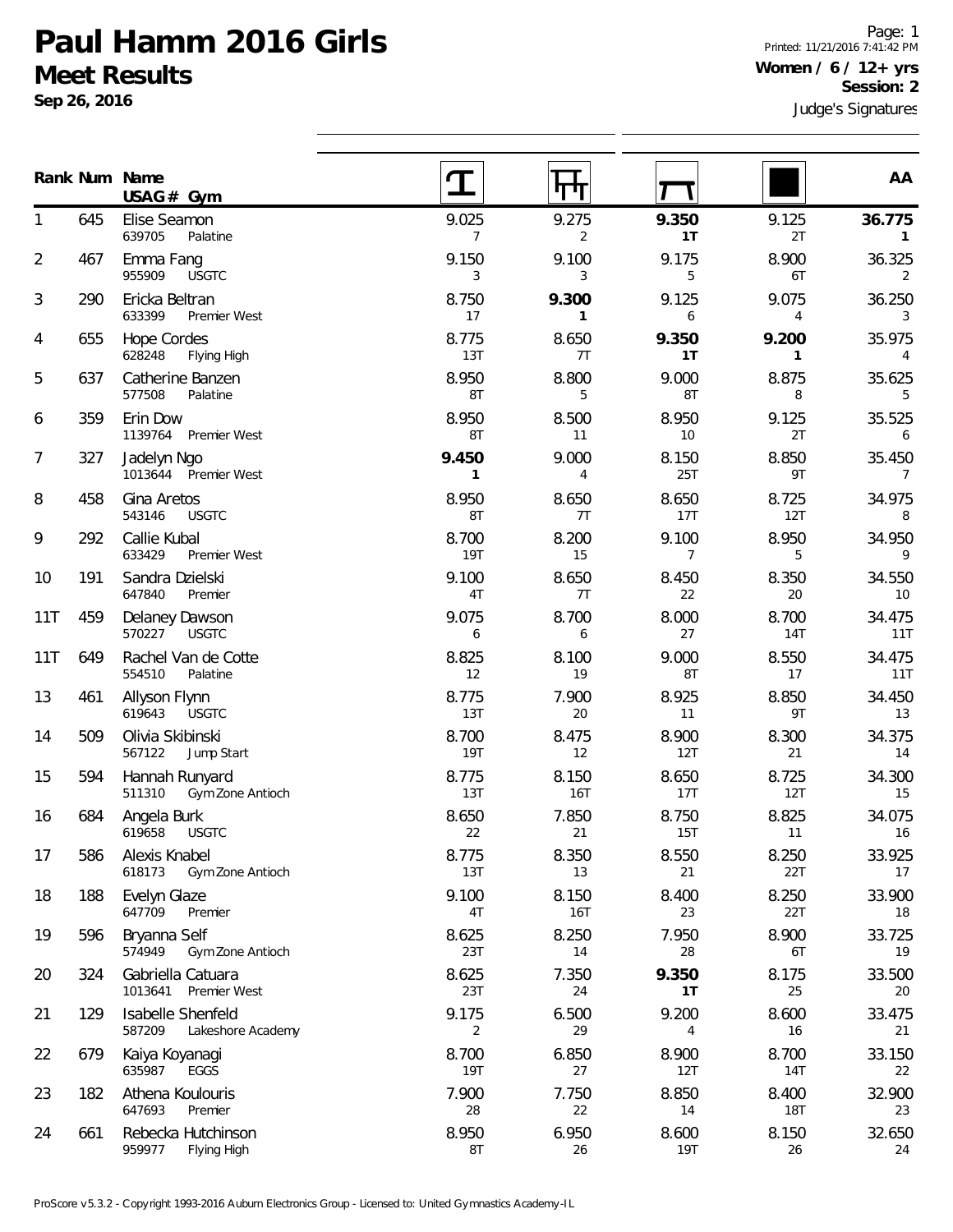**Sep 26, 2016**

Page: 1 Printed: 11/21/2016 7:41:42 PM **Women / 6 / 12+ yrs Session: 2**

|                |     | Rank Num Name<br>USAG# Gym                       |                         |                       |                         |                     | AA                        |
|----------------|-----|--------------------------------------------------|-------------------------|-----------------------|-------------------------|---------------------|---------------------------|
| 1              | 645 | Elise Seamon<br>639705<br>Palatine               | 9.025<br>$\overline{7}$ | 9.275<br>2            | 9.350<br>1T             | 9.125<br>2T         | 36.775<br>$\mathbf{1}$    |
| $\overline{2}$ | 467 | Emma Fang<br><b>USGTC</b><br>955909              | 9.150<br>3              | 9.100<br>3            | 9.175<br>5              | 8.900<br>6T         | 36.325<br>2               |
| 3              | 290 | Ericka Beltran<br>633399<br>Premier West         | 8.750<br>17             | 9.300<br>$\mathbf{1}$ | 9.125<br>6              | 9.075<br>4          | 36.250<br>3               |
| 4              | 655 | <b>Hope Cordes</b><br>628248<br>Flying High      | 8.775<br>13T            | 8.650<br>7T           | 9.350<br>1T             | 9.200<br>1          | 35.975<br>4               |
| 5              | 637 | Catherine Banzen<br>577508<br>Palatine           | 8.950<br>8T             | 8.800<br>5            | 9.000<br>8T             | 8.875<br>8          | 35.625<br>5               |
| 6              | 359 | Erin Dow<br>1139764 Premier West                 | 8.950<br>8T             | 8.500<br>11           | 8.950<br>10             | 9.125<br>2T         | 35.525<br>6               |
| 7              | 327 | Jadelyn Ngo<br>1013644 Premier West              | 9.450<br>$\mathbf{1}$   | 9.000<br>4            | 8.150<br>25T            | 8.850<br>9T         | 35.450<br>7               |
| 8              | 458 | Gina Aretos<br><b>USGTC</b><br>543146            | 8.950<br>8T             | 8.650<br>7T           | 8.650<br>17T            | 8.725<br>12T        | 34.975<br>8               |
| 9              | 292 | Callie Kubal<br>633429<br>Premier West           | 8.700<br><b>19T</b>     | 8.200<br>15           | 9.100<br>$\overline{7}$ | 8.950<br>5          | 34.950<br>9               |
| 10             | 191 | Sandra Dzielski<br>647840<br>Premier             | 9.100<br>4T             | 8.650<br>7T           | 8.450<br>22             | 8.350<br>20         | 34.550<br>10 <sup>°</sup> |
| 11T            | 459 | Delaney Dawson<br><b>USGTC</b><br>570227         | 9.075<br>6              | 8.700<br>6            | 8.000<br>27             | 8.700<br>14T        | 34.475<br>11T             |
| 11T            | 649 | Rachel Van de Cotte<br>554510<br>Palatine        | 8.825<br>12             | 8.100<br>19           | 9.000<br>8T             | 8.550<br>17         | 34.475<br>11T             |
| 13             | 461 | Allyson Flynn<br>619643<br><b>USGTC</b>          | 8.775<br>13T            | 7.900<br>20           | 8.925<br>11             | 8.850<br>9T         | 34.450<br>13              |
| 14             | 509 | Olivia Skibinski<br>567122<br>Jump Start         | 8.700<br><b>19T</b>     | 8.475<br>12           | 8.900<br>12T            | 8.300<br>21         | 34.375<br>14              |
| 15             | 594 | Hannah Runyard<br>511310<br>Gym Zone Antioch     | 8.775<br>13T            | 8.150<br>16T          | 8.650<br>17T            | 8.725<br>12T        | 34.300<br>15              |
| 16             | 684 | Angela Burk<br><b>USGTC</b><br>619658            | 8.650<br>22             | 7.850<br>21           | 8.750<br>15T            | 8.825<br>11         | 34.075<br>16              |
| 17             | 586 | Alexis Knabel<br>618173<br>Gym Zone Antioch      | 8.775<br>13T            | 8.350<br>13           | 8.550<br>21             | 8.250<br>22T        | 33.925<br>17              |
| 18             | 188 | Evelyn Glaze<br>647709<br>Premier                | 9.100<br>4T             | 8.150<br>16T          | 8.400<br>23             | 8.250<br>22T        | 33.900<br>18              |
| 19             | 596 | Bryanna Self<br>574949<br>Gym Zone Antioch       | 8.625<br>23T            | 8.250<br>14           | 7.950<br>28             | 8.900<br>6T         | 33.725<br>19              |
| 20             | 324 | Gabriella Catuara<br>1013641<br>Premier West     | 8.625<br>23T            | 7.350<br>24           | 9.350<br>1T             | 8.175<br>25         | 33.500<br>20              |
| 21             | 129 | Isabelle Shenfeld<br>587209<br>Lakeshore Academy | 9.175<br>2              | 6.500<br>29           | 9.200<br>4              | 8.600<br>16         | 33.475<br>21              |
| 22             | 679 | Kaiya Koyanagi<br>635987<br>EGGS                 | 8.700<br><b>19T</b>     | 6.850<br>27           | 8.900<br>12T            | 8.700<br><b>14T</b> | 33.150<br>22              |
| 23             | 182 | Athena Koulouris<br>647693<br>Premier            | 7.900<br>28             | 7.750<br>22           | 8.850<br>14             | 8.400<br><b>18T</b> | 32.900<br>23              |
| 24             | 661 | Rebecka Hutchinson<br>959977<br>Flying High      | 8.950<br>8T             | 6.950<br>26           | 8.600<br>19T            | 8.150<br>26         | 32.650<br>24              |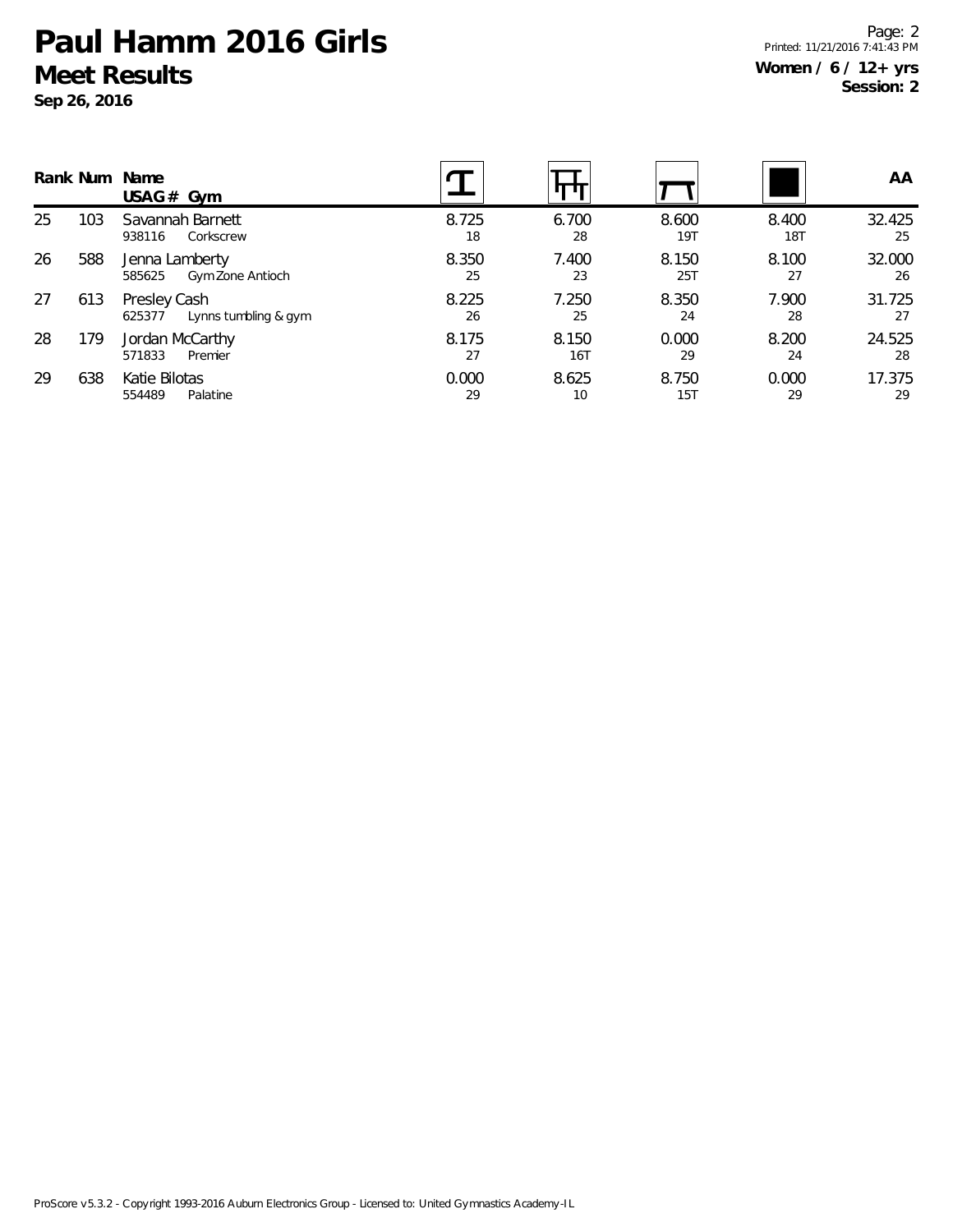**Sep 26, 2016**

Page: 2 Printed: 11/21/2016 7:41:43 PM **Women / 6 / 12+ yrs Session: 2**

|    |     | Rank Num Name<br>USAG $#$ Gym                  |             |              |              |                     | AA.          |
|----|-----|------------------------------------------------|-------------|--------------|--------------|---------------------|--------------|
| 25 | 103 | Savannah Barnett<br>Corkscrew<br>938116        | 8.725<br>18 | 6.700<br>28  | 8.600<br>19T | 8.400<br><b>18T</b> | 32.425<br>25 |
| 26 | 588 | Jenna Lamberty<br>Gym Zone Antioch<br>585625   | 8.350<br>25 | 7.400<br>23  | 8.150<br>25T | 8.100<br>27         | 32.000<br>26 |
| 27 | 613 | Presley Cash<br>Lynns tumbling & gym<br>625377 | 8.225<br>26 | 7.250<br>25  | 8.350<br>24  | 7.900<br>28         | 31.725<br>27 |
| 28 | 179 | Jordan McCarthy<br>Premier<br>571833           | 8.175<br>27 | 8.150<br>16T | 0.000<br>29  | 8.200<br>24         | 24.525<br>28 |
| 29 | 638 | Katie Bilotas<br>554489<br>Palatine            | 0.000<br>29 | 8.625<br>10  | 8.750<br>15T | 0.000<br>29         | 17.375<br>29 |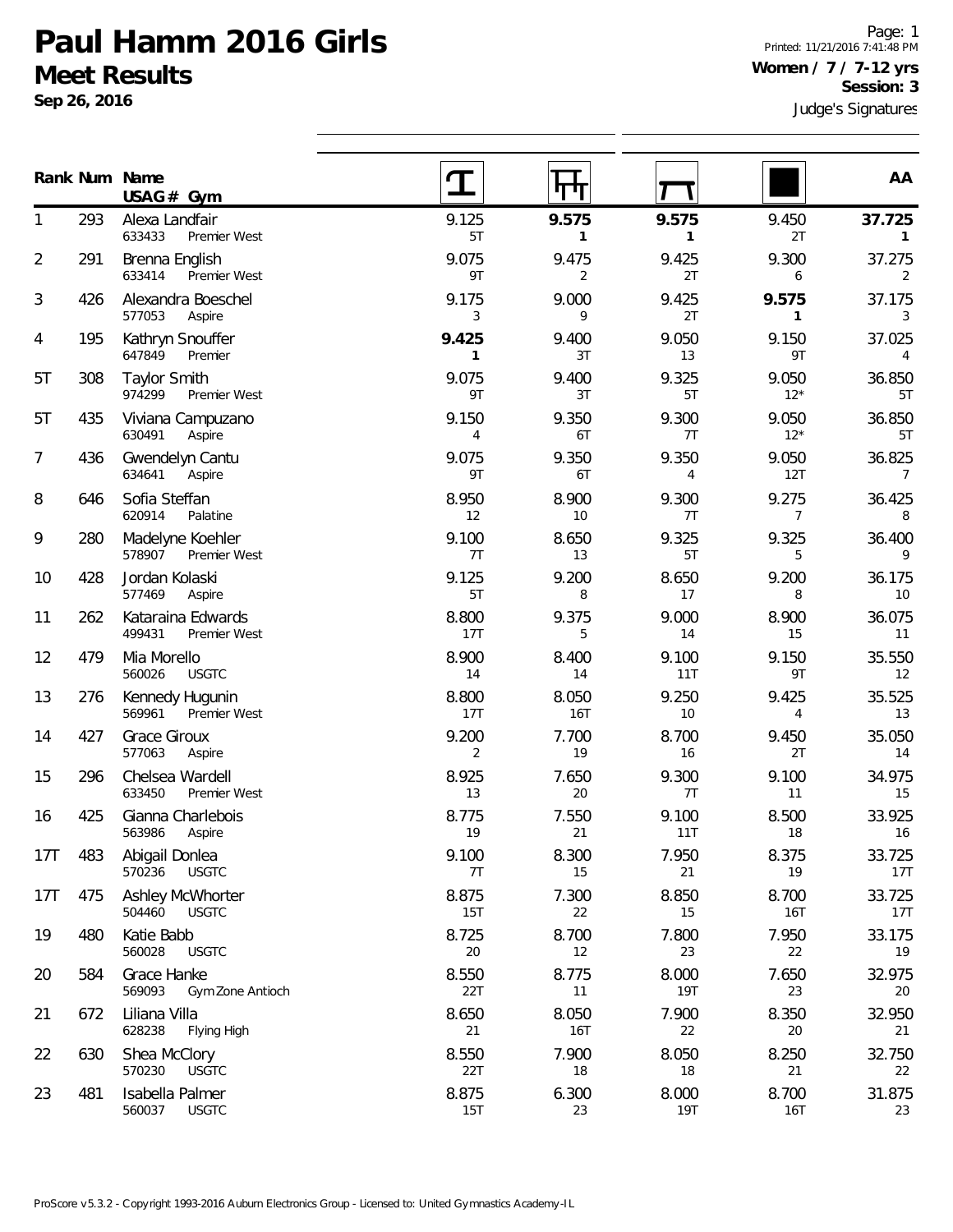**Gym USAG #**

633433 Premier West

633414 Premier West

974299 Premier West

293 Alexa Landfair

291 Brenna English

426 Alexandra Boeschel 577053 Aspire

435 Viviana Campuzano 630491 Aspire

436 Gwendelyn Cantu

584 Grace Hanke

672 Liliana Villa

630 Shea McClory

481 Isabella Palmer 560037 USGTC

569093 Gym Zone Antioch

628238 Flying High

570230 USGTC

195 Kathryn Snouffer 647849 Premier

308 Taylor Smith

**Sep 26, 2016**

**Num Name Rank**

1

2

3

4

5T

5T

7

8

9

10

11

12

13

14

15

16

17T

17T

19

20

21

22

23

Page: 1 Printed: 11/21/2016 7:41:48 PM **Women / 7 / 7-12 yrs Session: 3**

**AA**

| 436 | Gwendelyn Cantu<br>634641<br>Aspire         | 9.075<br>9T  | 9.350<br>6T  | 9.350<br>4   | 9.050<br>12T | 36.825<br>7   |
|-----|---------------------------------------------|--------------|--------------|--------------|--------------|---------------|
| 646 | Sofia Steffan<br>620914<br>Palatine         | 8.950<br>12  | 8.900<br>10  | 9.300<br>7T  | 9.275<br>7   | 36.425<br>8   |
| 280 | Madelyne Koehler<br>578907<br>Premier West  | 9.100<br>7T  | 8.650<br>13  | 9.325<br>5T  | 9.325<br>5   | 36.400<br>9   |
| 428 | Jordan Kolaski<br>577469<br>Aspire          | 9.125<br>5T  | 9.200<br>8   | 8.650<br>17  | 9.200<br>8   | 36.175<br>10  |
| 262 | Kataraina Edwards<br>499431<br>Premier West | 8.800<br>17T | 9.375<br>5   | 9.000<br>14  | 8.900<br>15  | 36.075<br>11  |
| 479 | Mia Morello<br>560026<br><b>USGTC</b>       | 8.900<br>14  | 8.400<br>14  | 9.100<br>11T | 9.150<br>9T  | 35.550<br>12  |
| 276 | Kennedy Hugunin<br>569961<br>Premier West   | 8.800<br>17T | 8.050<br>16T | 9.250<br>10  | 9.425<br>4   | 35.525<br>13  |
| 427 | Grace Giroux<br>577063<br>Aspire            | 9.200<br>2   | 7.700<br>19  | 8.700<br>16  | 9.450<br>2T  | 35.050<br>14  |
| 296 | Chelsea Wardell<br>633450<br>Premier West   | 8.925<br>13  | 7.650<br>20  | 9.300<br>7T  | 9.100<br>11  | 34.975<br>15  |
| 425 | Gianna Charlebois<br>563986<br>Aspire       | 8.775<br>19  | 7.550<br>21  | 9.100<br>11T | 8.500<br>18  | 33.925<br>16  |
| 483 | Abigail Donlea<br>570236<br><b>USGTC</b>    | 9.100<br>7T  | 8.300<br>15  | 7.950<br>21  | 8.375<br>19  | 33.725<br>17T |
| 475 | Ashley McWhorter<br>504460<br><b>USGTC</b>  | 8.875<br>15T | 7.300<br>22  | 8.850<br>15  | 8.700<br>16T | 33.725<br>17T |
| 480 | Katie Babb<br>560028<br><b>USGTC</b>        | 8.725<br>20  | 8.700<br>12  | 7.800<br>23  | 7.950<br>22  | 33.175<br>19  |
|     |                                             |              |              |              |              |               |

Judge's Signatures

9.125 **9.575 9.575** 9.450 **37.725** 5T **1 1** 2T **1** 

T T

पाप

9.075 9.475 9.425 9.300 37.275 9T 2 2T 6 2

9.175 9.000 9.425 **9.575** 37.175 3 9 2T **1** 3

**9.425** 9.400 9.050 9.150 37.025 **1** 3T 13 9T 4

9.075 9.400 9.325 9.050 36.850 9T 3T 5T 12\* 5T

9.150 9.350 9.300 9.050 36.850 4 6T 7T 12\* 5T

8.550 8.775 8.000 7.650 32.975 22T 11 19T 23 20

8.650 8.050 7.900 8.350 32.950 21 16T 22 20 21

8.550 7.900 8.050 8.250 32.750 22T 18 18 21 22

8.875 6.300 8.000 8.700 31.875 15T 23 19T 16T 23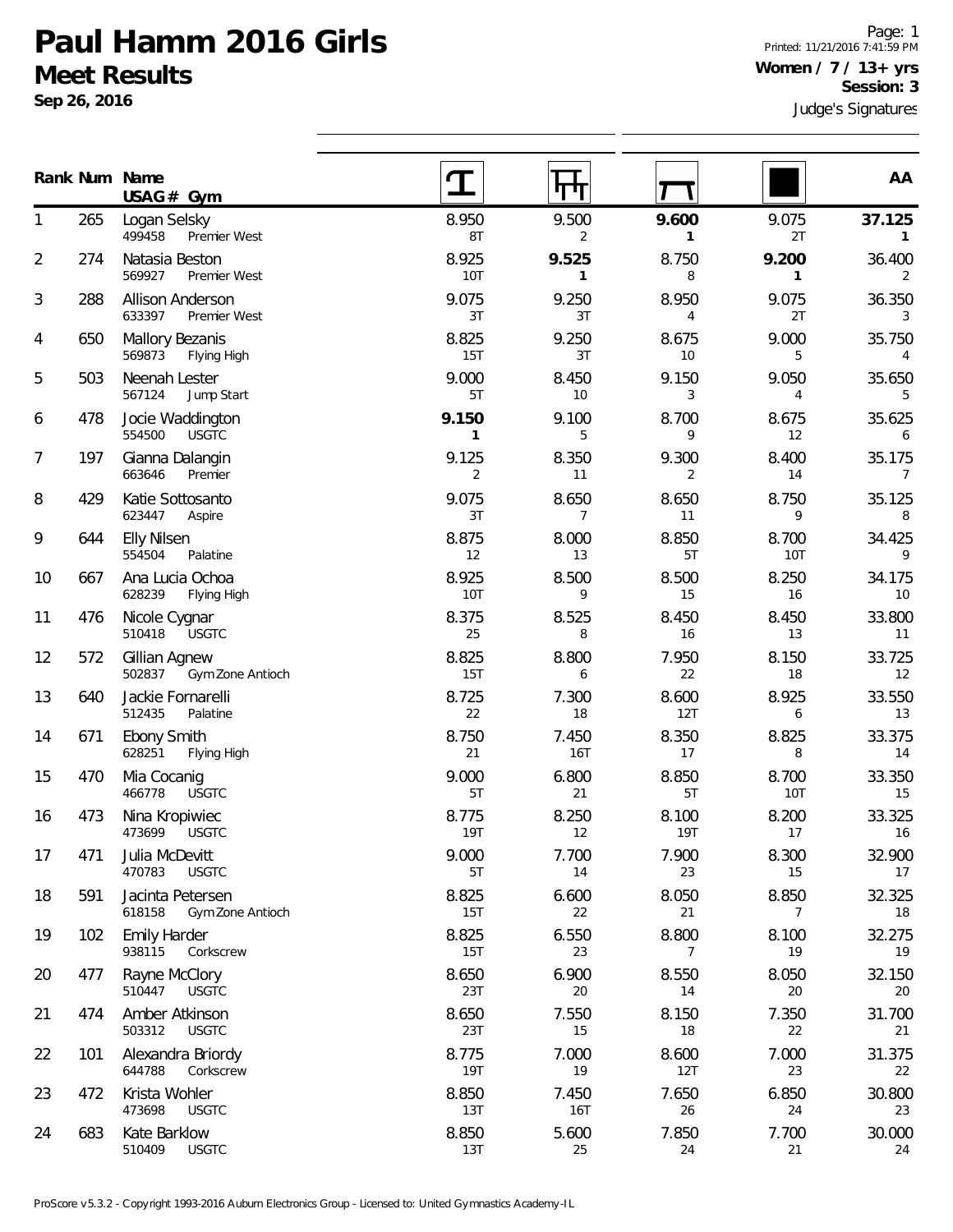**Sep 26, 2016**

Page: 1 Printed: 11/21/2016 7:41:59 PM **Women / 7 / 13+ yrs Session: 3**

|                |     | Rank Num Name<br>$USAG#$ Gym                   |                       |                         |                         |                         | AA                        |
|----------------|-----|------------------------------------------------|-----------------------|-------------------------|-------------------------|-------------------------|---------------------------|
| 1              | 265 | Logan Selsky<br>499458<br>Premier West         | 8.950<br>8T           | 9.500<br>$\overline{2}$ | 9.600<br>$\mathbf{1}$   | 9.075<br>2T             | 37.125<br>$\mathbf{1}$    |
| $\overline{2}$ | 274 | Natasia Beston<br>569927<br>Premier West       | 8.925<br><b>10T</b>   | 9.525<br>$\mathbf{1}$   | 8.750<br>8              | 9.200<br>$\mathbf{1}$   | 36.400<br>2               |
| 3              | 288 | Allison Anderson<br>633397<br>Premier West     | 9.075<br>3T           | 9.250<br>3T             | 8.950<br>$\overline{4}$ | 9.075<br>2T             | 36.350<br>3               |
| 4              | 650 | Mallory Bezanis<br>569873<br>Flying High       | 8.825<br>15T          | 9.250<br>3T             | 8.675<br>10             | 9.000<br>5              | 35.750<br>4               |
| 5              | 503 | Neenah Lester<br>567124<br>Jump Start          | 9.000<br>5T           | 8.450<br>10             | 9.150<br>3              | 9.050<br>$\overline{4}$ | 35.650<br>5               |
| 6              | 478 | Jocie Waddington<br>554500<br><b>USGTC</b>     | 9.150<br>$\mathbf{1}$ | 9.100<br>5              | 8.700<br>9              | 8.675<br>12             | 35.625<br>6               |
| 7              | 197 | Gianna Dalangin<br>663646<br>Premier           | 9.125<br>2            | 8.350<br>11             | 9.300<br>2              | 8.400<br>14             | 35.175<br>7               |
| 8              | 429 | Katie Sottosanto<br>623447<br>Aspire           | 9.075<br>3T           | 8.650<br>$\overline{7}$ | 8.650<br>11             | 8.750<br>9              | 35.125<br>8               |
| 9              | 644 | <b>Elly Nilsen</b><br>554504<br>Palatine       | 8.875<br>12           | 8.000<br>13             | 8.850<br>5T             | 8.700<br><b>10T</b>     | 34.425<br>9               |
| 10             | 667 | Ana Lucia Ochoa<br>628239<br>Flying High       | 8.925<br><b>10T</b>   | 8.500<br>9              | 8.500<br>15             | 8.250<br>16             | 34.175<br>10 <sup>°</sup> |
| 11             | 476 | Nicole Cygnar<br>510418<br><b>USGTC</b>        | 8.375<br>25           | 8.525<br>8              | 8.450<br>16             | 8.450<br>13             | 33.800<br>11              |
| 12             | 572 | Gillian Agnew<br>502837<br>Gym Zone Antioch    | 8.825<br>15T          | 8.800<br>6              | 7.950<br>22             | 8.150<br>18             | 33.725<br>12              |
| 13             | 640 | Jackie Fornarelli<br>512435<br>Palatine        | 8.725<br>22           | 7.300<br>18             | 8.600<br>12T            | 8.925<br>6              | 33.550<br>13              |
| 14             | 671 | <b>Ebony Smith</b><br>628251<br>Flying High    | 8.750<br>21           | 7.450<br>16T            | 8.350<br>17             | 8.825<br>8              | 33.375<br>14              |
| 15             | 470 | Mia Cocanig<br>466778<br><b>USGTC</b>          | 9.000<br>5T           | 6.800<br>21             | 8.850<br>5T             | 8.700<br><b>10T</b>     | 33.350<br>15              |
| 16             | 473 | Nina Kropiwiec<br>473699<br><b>USGTC</b>       | 8.775<br><b>19T</b>   | 8.250<br>12             | 8.100<br><b>19T</b>     | 8.200<br>17             | 33.325<br>16              |
| 17             | 471 | Julia McDevitt<br>470783<br><b>USGTC</b>       | 9.000<br>5T           | 7.700<br>14             | 7.900<br>23             | 8.300<br>15             | 32.900<br>17              |
| 18             | 591 | Jacinta Petersen<br>618158<br>Gym Zone Antioch | 8.825<br>15T          | 6.600<br>22             | 8.050<br>21             | 8.850<br>7              | 32.325<br>18              |
| 19             | 102 | <b>Emily Harder</b><br>938115<br>Corkscrew     | 8.825<br>15T          | 6.550<br>23             | 8.800<br>7              | 8.100<br>19             | 32.275<br>19              |
| 20             | 477 | Rayne McClory<br>510447<br><b>USGTC</b>        | 8.650<br>23T          | 6.900<br>20             | 8.550<br>14             | 8.050<br>20             | 32.150<br>20              |
| 21             | 474 | Amber Atkinson<br>503312<br><b>USGTC</b>       | 8.650<br>23T          | 7.550<br>15             | 8.150<br>18             | 7.350<br>22             | 31.700<br>21              |
| 22             | 101 | Alexandra Briordy<br>644788<br>Corkscrew       | 8.775<br><b>19T</b>   | 7.000<br>19             | 8.600<br>12T            | 7.000<br>23             | 31.375<br>22              |
| 23             | 472 | Krista Wohler<br>473698<br><b>USGTC</b>        | 8.850<br>13T          | 7.450<br><b>16T</b>     | 7.650<br>26             | 6.850<br>24             | 30.800<br>23              |
| 24             | 683 | Kate Barklow<br>510409<br><b>USGTC</b>         | 8.850<br>13T          | 5.600<br>25             | 7.850<br>24             | 7.700<br>21             | 30.000<br>24              |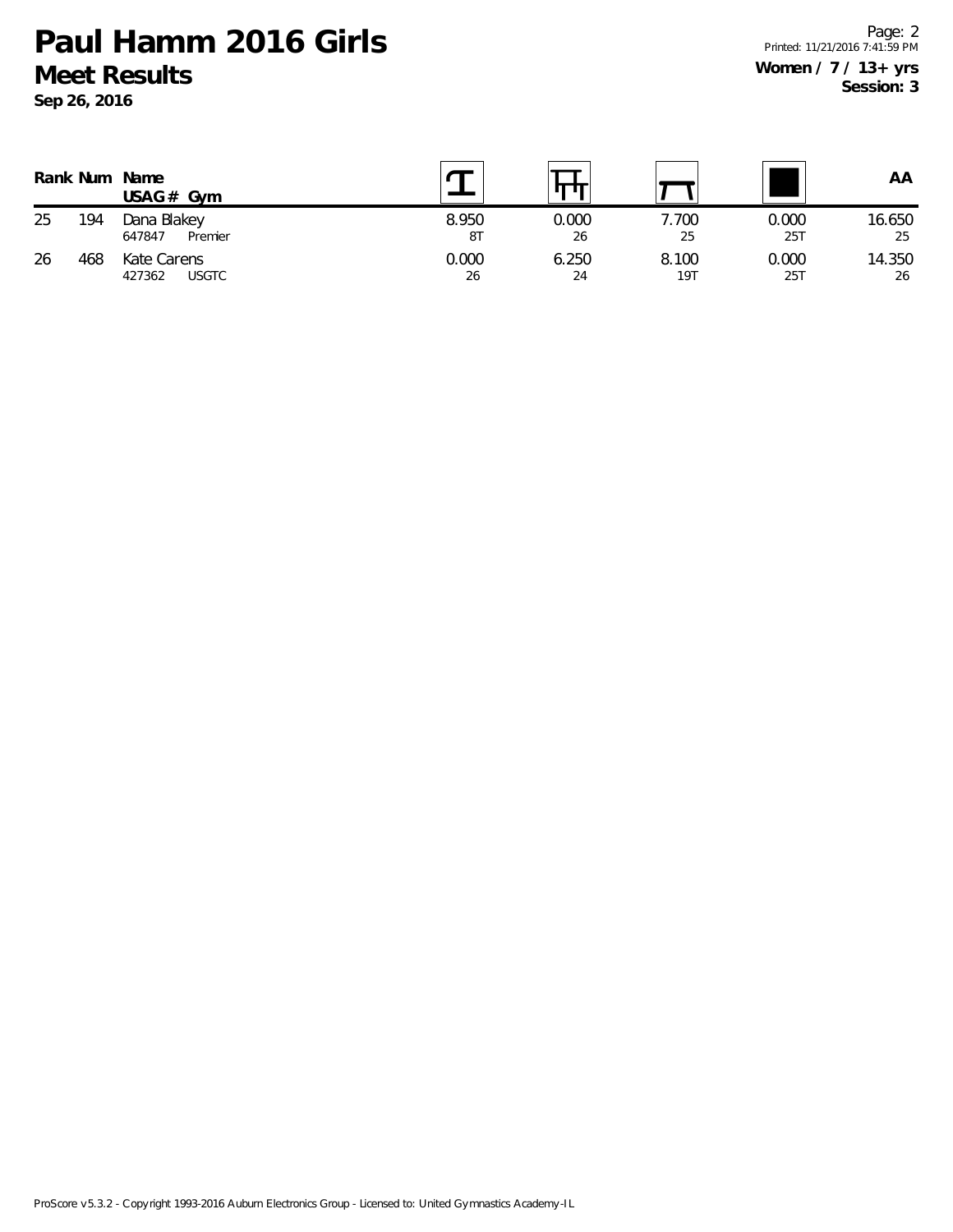**Sep 26, 2016**

|    |     | Rank Num Name<br>$USAG#$ Gym          |             |             |              |              | ΑA           |
|----|-----|---------------------------------------|-------------|-------------|--------------|--------------|--------------|
| 25 | 194 | Dana Blakey<br>Premier<br>647847      | 8.950<br>8T | 0.000<br>26 | 7.700<br>25  | 0.000<br>25T | 16.650<br>25 |
| 26 | 468 | Kate Carens<br><b>USGTC</b><br>427362 | 0.000<br>26 | 6.250<br>24 | 8.100<br>19T | 0.000<br>25T | 14.350<br>26 |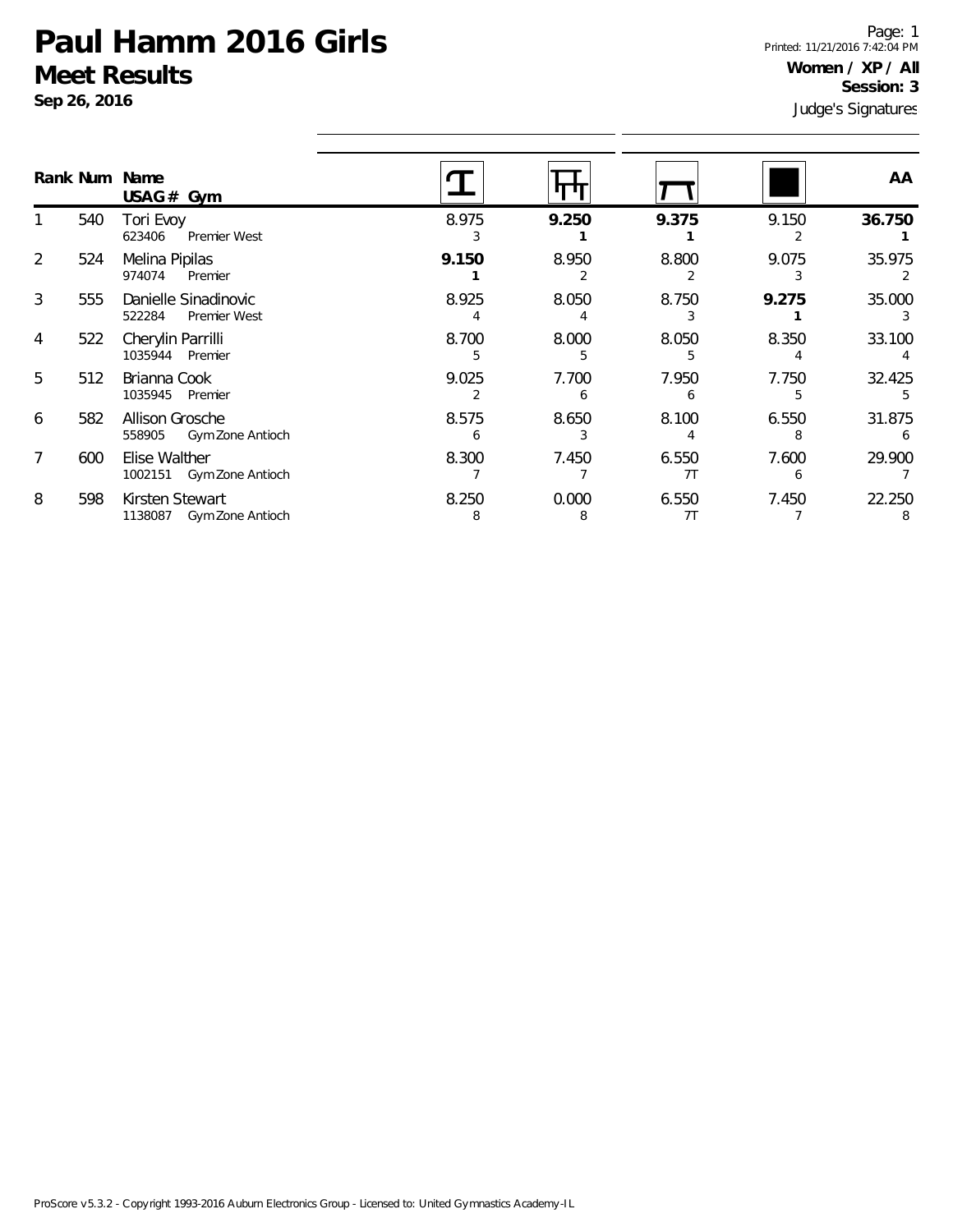**Sep 26, 2016**

Judge's Signatures Page: 1 Printed: 11/21/2016 7:42:04 PM **Women / XP / All Session: 3**

|                |     | Rank Num Name<br>USAG# Gym                     |            |            |             |       | AA     |
|----------------|-----|------------------------------------------------|------------|------------|-------------|-------|--------|
|                | 540 | Tori Evoy<br>623406<br>Premier West            | 8.975      | 9.250      | 9.375       | 9.150 | 36.750 |
| 2              | 524 | Melina Pipilas<br>974074<br>Premier            | 9.150      | 8.950      | 8.800       | 9.075 | 35.975 |
| 3              | 555 | Danielle Sinadinovic<br>Premier West<br>522284 | 8.925      | 8.050      | 8.750       | 9.275 | 35.000 |
| 4              | 522 | Cherylin Parrilli<br>1035944 Premier           | 8.700<br>5 | 8.000<br>5 | 8.050       | 8.350 | 33.100 |
| 5              | 512 | Brianna Cook<br>1035945 Premier                | 9.025      | 7.700<br>h | 7.950       | 7.750 | 32.425 |
| 6              | 582 | Allison Grosche<br>Gym Zone Antioch<br>558905  | 8.575      | 8.650      | 8.100       | 6.550 | 31.875 |
| $\overline{7}$ | 600 | Elise Walther<br>1002151 Gym Zone Antioch      | 8.300      | 7.450      | 6.550<br>7T | 7.600 | 29.900 |
| 8              | 598 | Kirsten Stewart<br>Gym Zone Antioch<br>1138087 | 8.250<br>8 | 0.000<br>8 | 6.550<br>7T | 7.450 | 22.250 |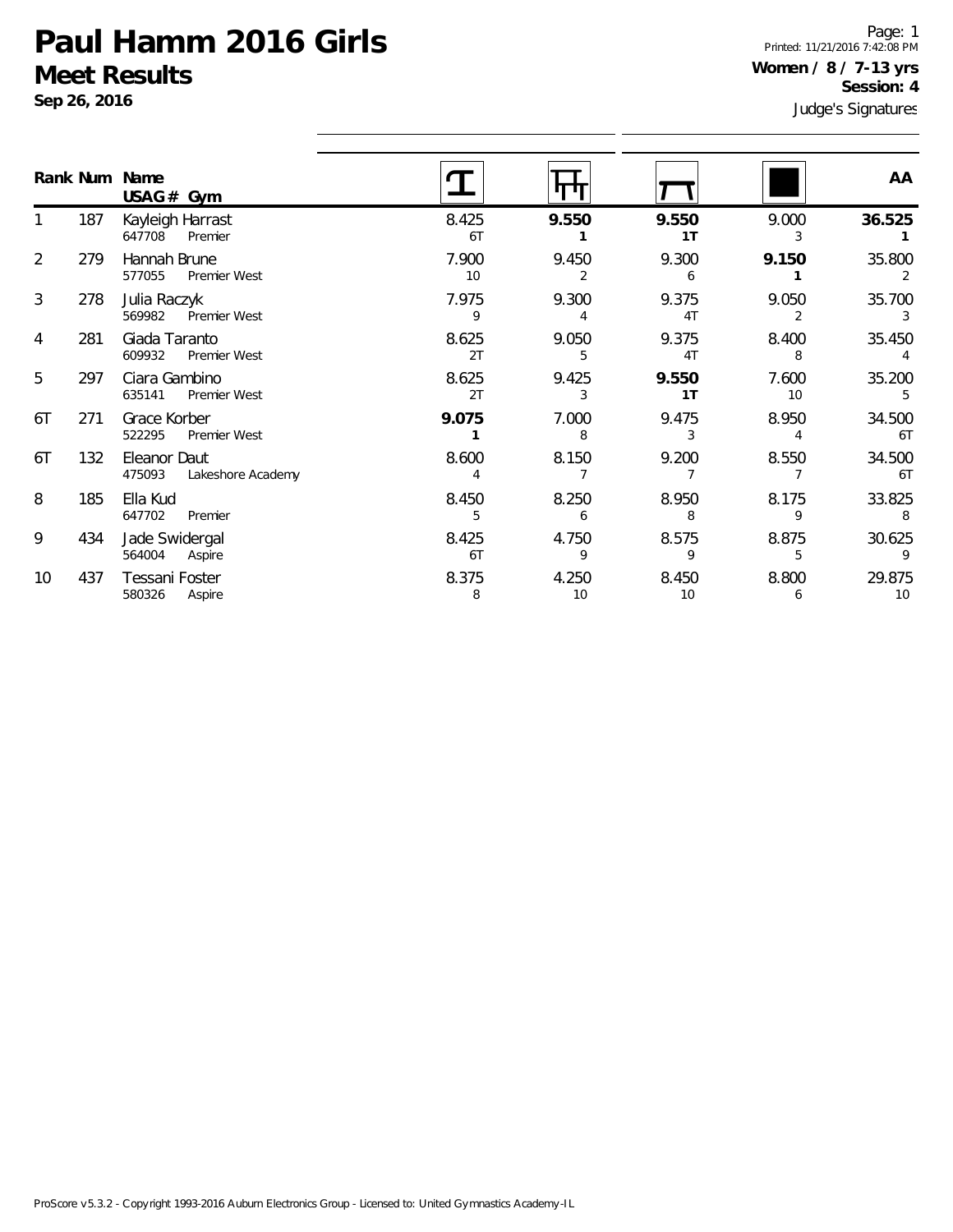**Sep 26, 2016**

Judge's Signatures Page: 1 Printed: 11/21/2016 7:42:08 PM **Women / 8 / 7-13 yrs Session: 4**

|    |     | Rank Num Name<br>$USAG#$ Gym                   |             |             |                         |             | AA           |
|----|-----|------------------------------------------------|-------------|-------------|-------------------------|-------------|--------------|
|    | 187 | Kayleigh Harrast<br>647708<br>Premier          | 8.425<br>6T | 9.550       | 9.550<br>1T             | 9.000       | 36.525       |
| 2  | 279 | Hannah Brune<br>577055<br>Premier West         | 7.900<br>10 | 9.450<br>2  | 9.300<br>6              | 9.150       | 35.800       |
| 3  | 278 | Julia Raczyk<br>569982<br>Premier West         | 7.975<br>9  | 9.300       | 9.375<br>4 <sub>T</sub> | 9.050       | 35.700<br>3  |
| 4  | 281 | Giada Taranto<br>609932<br>Premier West        | 8.625<br>2T | 9.050<br>5  | 9.375<br>4T             | 8.400<br>8  | 35.450       |
| 5  | 297 | Ciara Gambino<br>635141<br><b>Premier West</b> | 8.625<br>2T | 9.425<br>3  | 9.550<br>1 <sub>T</sub> | 7.600<br>10 | 35.200<br>5  |
| 6T | 271 | Grace Korber<br>522295<br>Premier West         | 9.075       | 7.000<br>8  | 9.475<br>3              | 8.950       | 34.500<br>6T |
| 6T | 132 | Eleanor Daut<br>475093<br>Lakeshore Academy    | 8.600<br>4  | 8.150       | 9.200                   | 8.550       | 34.500<br>6T |
| 8  | 185 | Ella Kud<br>647702<br>Premier                  | 8.450<br>5  | 8.250<br>6  | 8.950<br>8              | 8.175<br>9  | 33.825<br>8  |
| 9  | 434 | Jade Swidergal<br>564004<br>Aspire             | 8.425<br>6T | 4.750<br>9  | 8.575<br>9              | 8.875<br>5  | 30.625<br>9  |
| 10 | 437 | Tessani Foster<br>580326<br>Aspire             | 8.375<br>8  | 4.250<br>10 | 8.450<br>10             | 8.800<br>6  | 29.875<br>10 |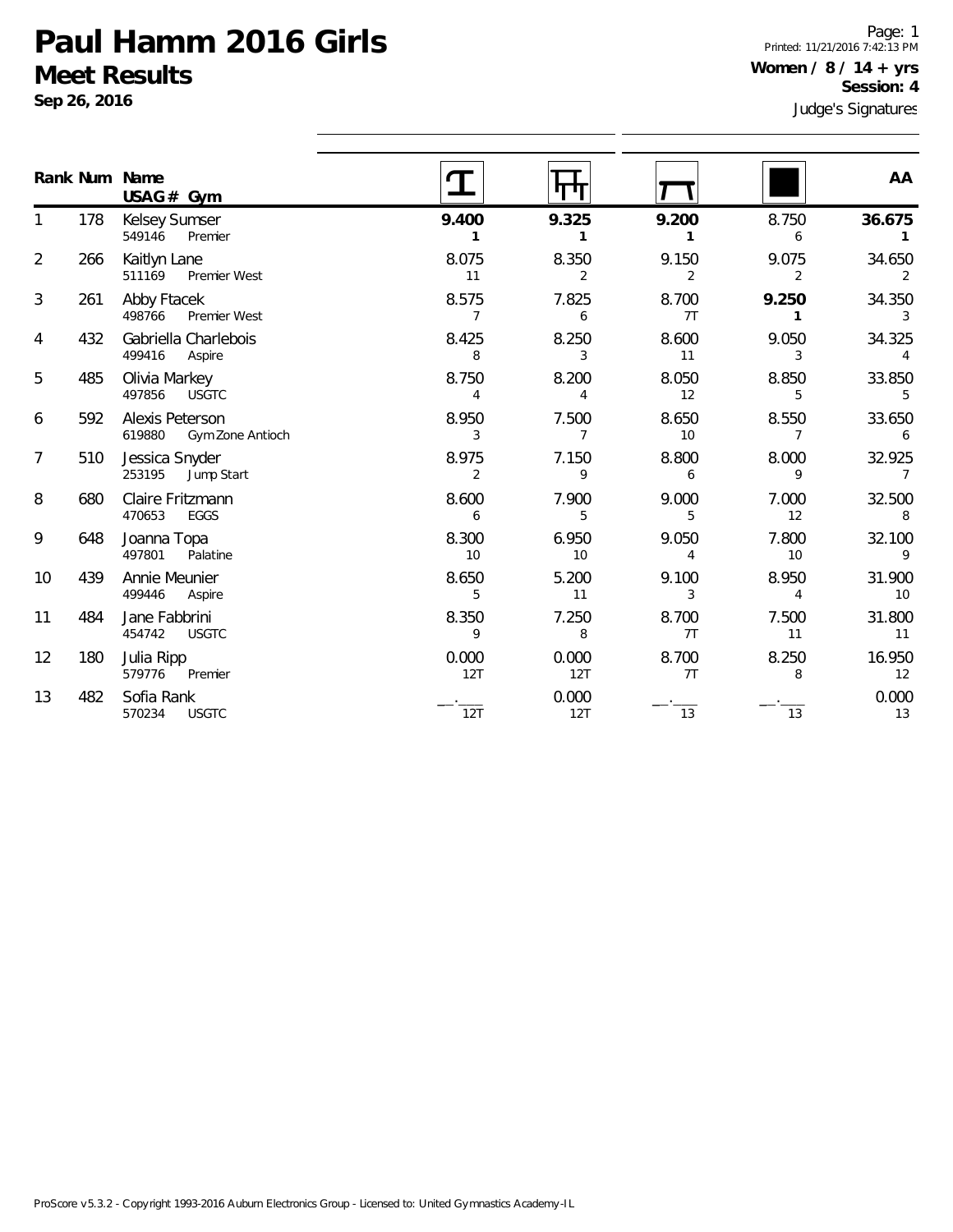**Sep 26, 2016**

Page: 1 Printed: 11/21/2016 7:42:13 PM **Women / 8 / 14 + yrs Session: 4**

|                |     | Rank Num Name<br>$USAG#$ Gym                  |                         | पा                      |                         |                          | AA                       |
|----------------|-----|-----------------------------------------------|-------------------------|-------------------------|-------------------------|--------------------------|--------------------------|
|                | 178 | Kelsey Sumser<br>549146<br>Premier            | 9.400<br>1              | 9.325<br>1              | 9.200<br>1              | 8.750<br>6               | 36.675                   |
| $\overline{2}$ | 266 | Kaitlyn Lane<br>511169<br>Premier West        | 8.075<br>11             | 8.350<br>$\overline{2}$ | 9.150<br>$\overline{2}$ | 9.075<br>2               | 34.650<br>$\mathfrak{D}$ |
| 3              | 261 | Abby Ftacek<br>498766<br>Premier West         | 8.575<br>$\overline{7}$ | 7.825<br>6              | 8.700<br>7T             | 9.250<br>1               | 34.350<br>3              |
| 4              | 432 | Gabriella Charlebois<br>499416<br>Aspire      | 8.425<br>8              | 8.250<br>3              | 8.600<br>11             | 9.050<br>3               | 34.325<br>4              |
| 5              | 485 | Olivia Markey<br>497856<br><b>USGTC</b>       | 8.750<br>4              | 8.200<br>4              | 8.050<br>12             | 8.850<br>5               | 33.850<br>5              |
| 6              | 592 | Alexis Peterson<br>619880<br>Gym Zone Antioch | 8.950<br>3              | 7.500<br>$\overline{7}$ | 8.650<br>10             | 8.550<br>$\overline{7}$  | 33.650<br>6              |
| $\overline{7}$ | 510 | Jessica Snyder<br>253195<br>Jump Start        | 8.975<br>$\overline{2}$ | 7.150<br>9              | 8.800<br>6              | 8.000<br>9               | 32.925<br>$\overline{7}$ |
| 8              | 680 | Claire Fritzmann<br>470653<br>EGGS            | 8.600<br>6              | 7.900<br>5              | 9.000<br>5              | 7.000<br>12              | 32.500<br>8              |
| 9              | 648 | Joanna Topa<br>Palatine<br>497801             | 8.300<br>10             | 6.950<br>10             | 9.050<br>4              | 7.800<br>10 <sup>1</sup> | 32.100<br>9              |
| 10             | 439 | Annie Meunier<br>499446<br>Aspire             | 8.650<br>5              | 5.200<br>11             | 9.100<br>3              | 8.950<br>$\overline{4}$  | 31.900<br>10             |
| 11             | 484 | Jane Fabbrini<br>454742<br><b>USGTC</b>       | 8.350<br>9              | 7.250<br>8              | 8.700<br>7T             | 7.500<br>11              | 31.800<br>11             |
| 12             | 180 | Julia Ripp<br>579776<br>Premier               | 0.000<br>12T            | 0.000<br>12T            | 8.700<br>7T             | 8.250<br>8               | 16.950<br>12             |
| 13             | 482 | Sofia Rank<br><b>USGTC</b><br>570234          | 12T                     | 0.000<br>12T            | 13                      | 13                       | 0.000<br>13              |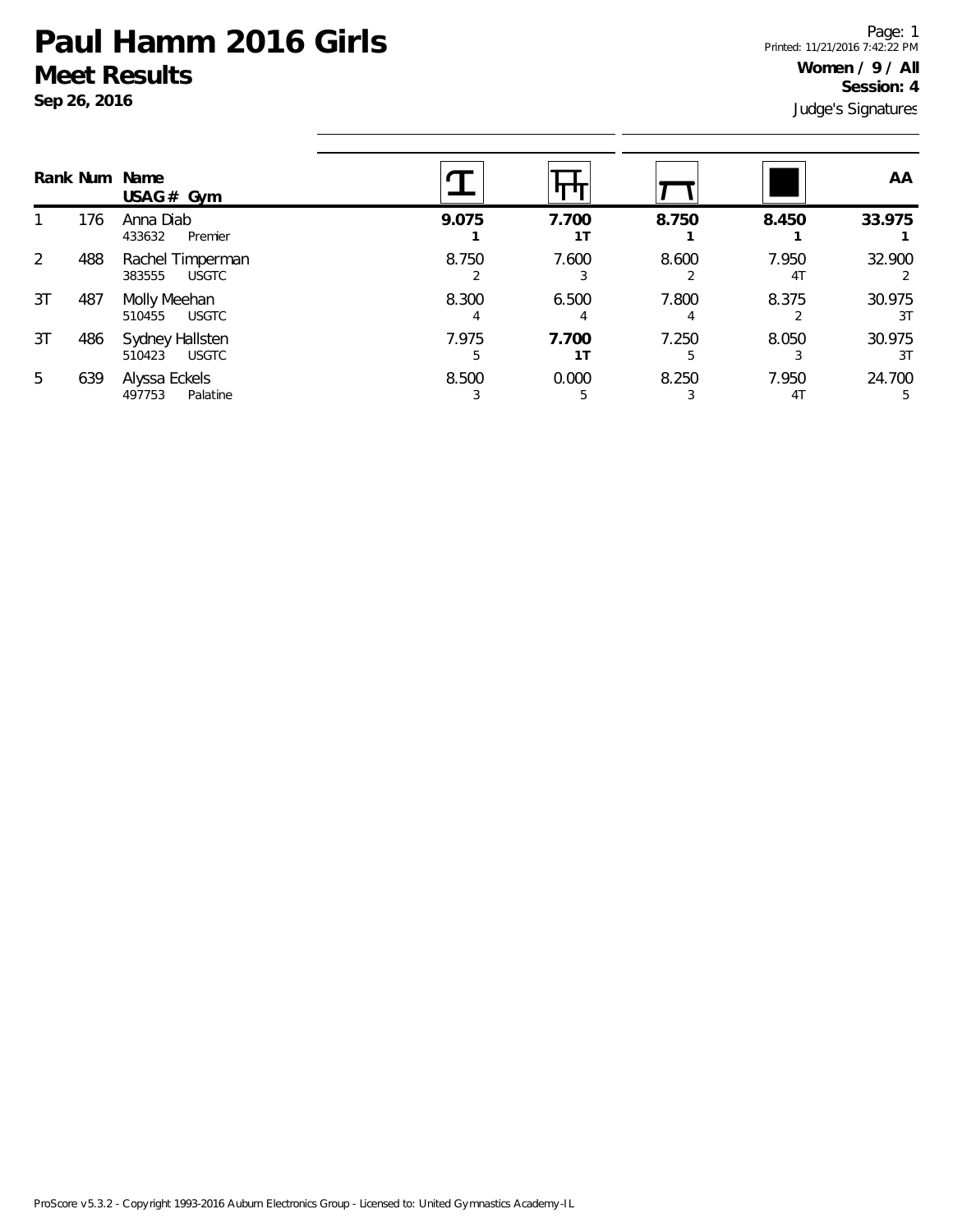**Sep 26, 2016**

Judge's Signatures Page: 1 Printed: 11/21/2016 7:42:22 PM **Women / 9 / All Session: 4**

|    |     | Rank Num Name<br>USAG# Gym                 |            |             |       |             | AA           |
|----|-----|--------------------------------------------|------------|-------------|-------|-------------|--------------|
|    | 176 | Anna Diab<br>433632<br>Premier             | 9.075      | 7.700<br>11 | 8.750 | 8.450       | 33.975       |
| 2  | 488 | Rachel Timperman<br><b>USGTC</b><br>383555 | 8.750      | 7.600       | 8.600 | 7.950<br>41 | 32.900       |
| 3T | 487 | Molly Meehan<br><b>USGTC</b><br>510455     | 8.300      | 6.500       | 7.800 | 8.375       | 30.975<br>3T |
| 3T | 486 | Sydney Hallsten<br>510423<br><b>USGTC</b>  | 7.975<br>5 | 7.700<br>11 | 7.250 | 8.050       | 30.975<br>3T |
| 5  | 639 | Alyssa Eckels<br>497753<br>Palatine        | 8.500      | 0.000<br>5  | 8.250 | 7.950<br>41 | 24.700<br>5  |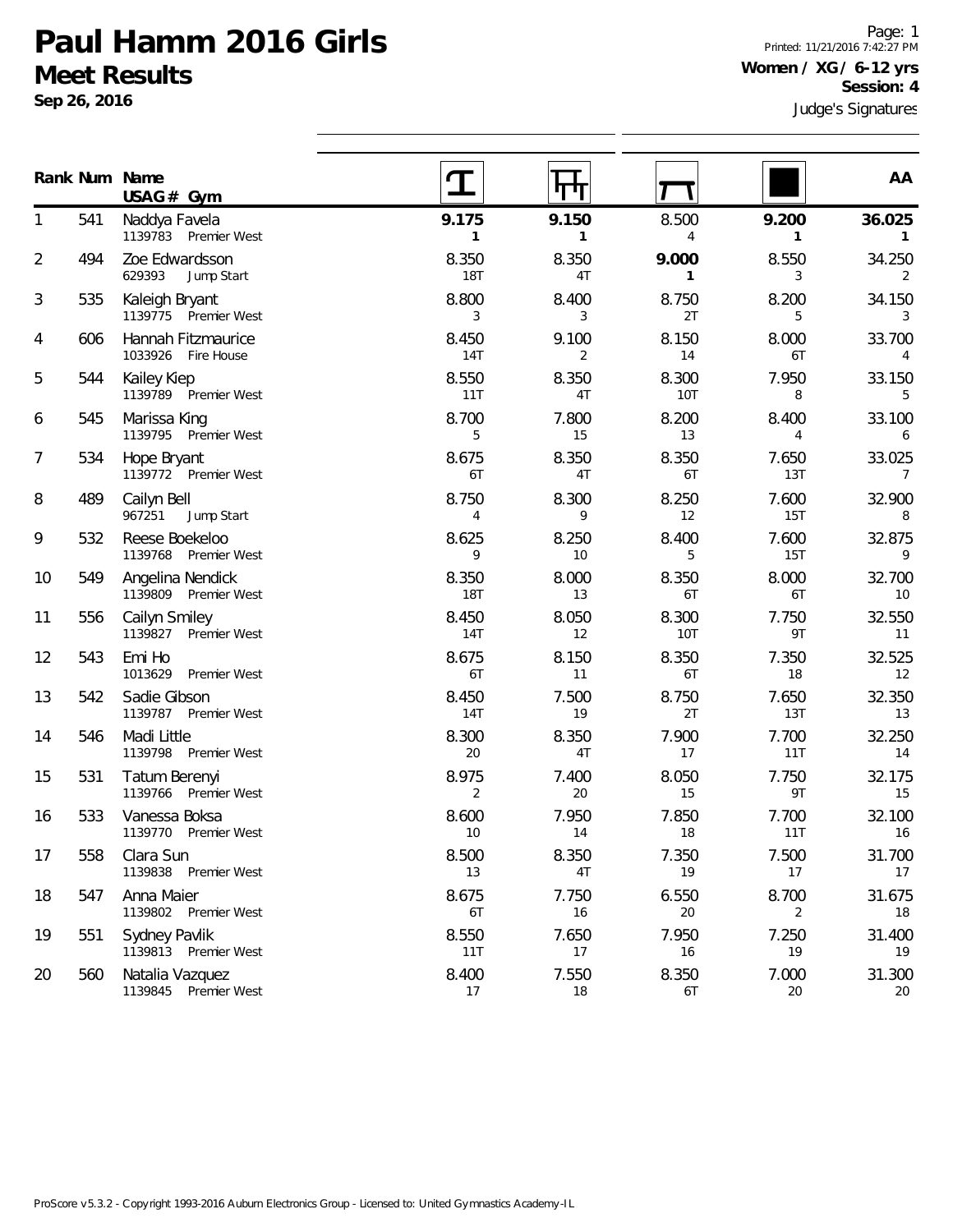**Sep 26, 2016**

Page: 1 Printed: 11/21/2016 7:42:27 PM **Women / XG / 6-12 yrs Session: 4**

|                |     | Rank Num Name<br>USAG# Gym               |                         | पाग                   |                     |                         | AA                          |
|----------------|-----|------------------------------------------|-------------------------|-----------------------|---------------------|-------------------------|-----------------------------|
| 1              | 541 | Naddya Favela<br>1139783 Premier West    | 9.175<br>1              | 9.150<br>$\mathbf{1}$ | 8.500<br>4          | 9.200<br>$\mathbf{1}$   | 36.025                      |
| 2              | 494 | Zoe Edwardsson<br>629393<br>Jump Start   | 8.350<br><b>18T</b>     | 8.350<br>4T           | 9.000<br>1          | 8.550<br>3              | 34.250<br>2                 |
| 3              | 535 | Kaleigh Bryant<br>1139775 Premier West   | 8.800<br>3              | 8.400<br>3            | 8.750<br>2T         | 8.200<br>5              | 34.150<br>3                 |
| 4              | 606 | Hannah Fitzmaurice<br>1033926 Fire House | 8.450<br>14T            | 9.100<br>2            | 8.150<br>14         | 8.000<br>6T             | 33.700<br>4                 |
| 5              | 544 | Kailey Kiep<br>1139789 Premier West      | 8.550<br>11T            | 8.350<br>4T           | 8.300<br><b>10T</b> | 7.950<br>8              | 33.150<br>5                 |
| 6              | 545 | Marissa King<br>1139795 Premier West     | 8.700<br>5              | 7.800<br>15           | 8.200<br>13         | 8.400<br>$\overline{4}$ | 33.100<br>6                 |
| $\overline{7}$ | 534 | Hope Bryant<br>1139772 Premier West      | 8.675<br>6T             | 8.350<br>4T           | 8.350<br>6T         | 7.650<br>13T            | 33.025<br>$\overline{7}$    |
| 8              | 489 | Cailyn Bell<br>Jump Start<br>967251      | 8.750<br>$\overline{4}$ | 8.300<br>9            | 8.250<br>12         | 7.600<br>15T            | 32.900<br>8                 |
| 9              | 532 | Reese Boekeloo<br>1139768 Premier West   | 8.625<br>9              | 8.250<br>10           | 8.400<br>5          | 7.600<br>15T            | 32.875<br>9                 |
| 10             | 549 | Angelina Nendick<br>1139809 Premier West | 8.350<br><b>18T</b>     | 8.000<br>13           | 8.350<br>6T         | 8.000<br>6T             | 32.700<br>10                |
| 11             | 556 | Cailyn Smiley<br>1139827 Premier West    | 8.450<br>14T            | 8.050<br>12           | 8.300<br><b>10T</b> | 7.750<br>9T             | 32.550<br>11                |
| 12             | 543 | Emi Ho<br>1013629<br>Premier West        | 8.675<br>6T             | 8.150<br>11           | 8.350<br>6T         | 7.350<br>18             | 32.525<br>$12 \overline{ }$ |
| 13             | 542 | Sadie Gibson<br>1139787 Premier West     | 8.450<br>14T            | 7.500<br>19           | 8.750<br>2T         | 7.650<br>13T            | 32.350<br>13                |
| 14             | 546 | Madi Little<br>1139798 Premier West      | 8.300<br>20             | 8.350<br>4T           | 7.900<br>17         | 7.700<br>11T            | 32.250<br>14                |
| 15             | 531 | Tatum Berenyi<br>1139766 Premier West    | 8.975<br>2              | 7.400<br>20           | 8.050<br>15         | 7.750<br>9T             | 32.175<br>15                |
| 16             | 533 | Vanessa Boksa<br>1139770 Premier West    | 8.600<br>10             | 7.950<br>14           | 7.850<br>18         | 7.700<br>11T            | 32.100<br>16                |
| 17             | 558 | Clara Sun<br>1139838 Premier West        | 8.500<br>13             | 8.350<br>4T           | 7.350<br>19         | 7.500<br>17             | 31.700<br>17                |
| 18             | 547 | Anna Maier<br>1139802 Premier West       | 8.675<br>6T             | 7.750<br>16           | 6.550<br>20         | 8.700<br>2              | 31.675<br>18                |
| 19             | 551 | Sydney Pavlik<br>1139813 Premier West    | 8.550<br>11T            | 7.650<br>17           | 7.950<br>16         | 7.250<br>19             | 31.400<br>19                |
| 20             | 560 | Natalia Vazquez<br>1139845 Premier West  | 8.400<br>17             | 7.550<br>18           | 8.350<br>6T         | 7.000<br>20             | 31.300<br>20                |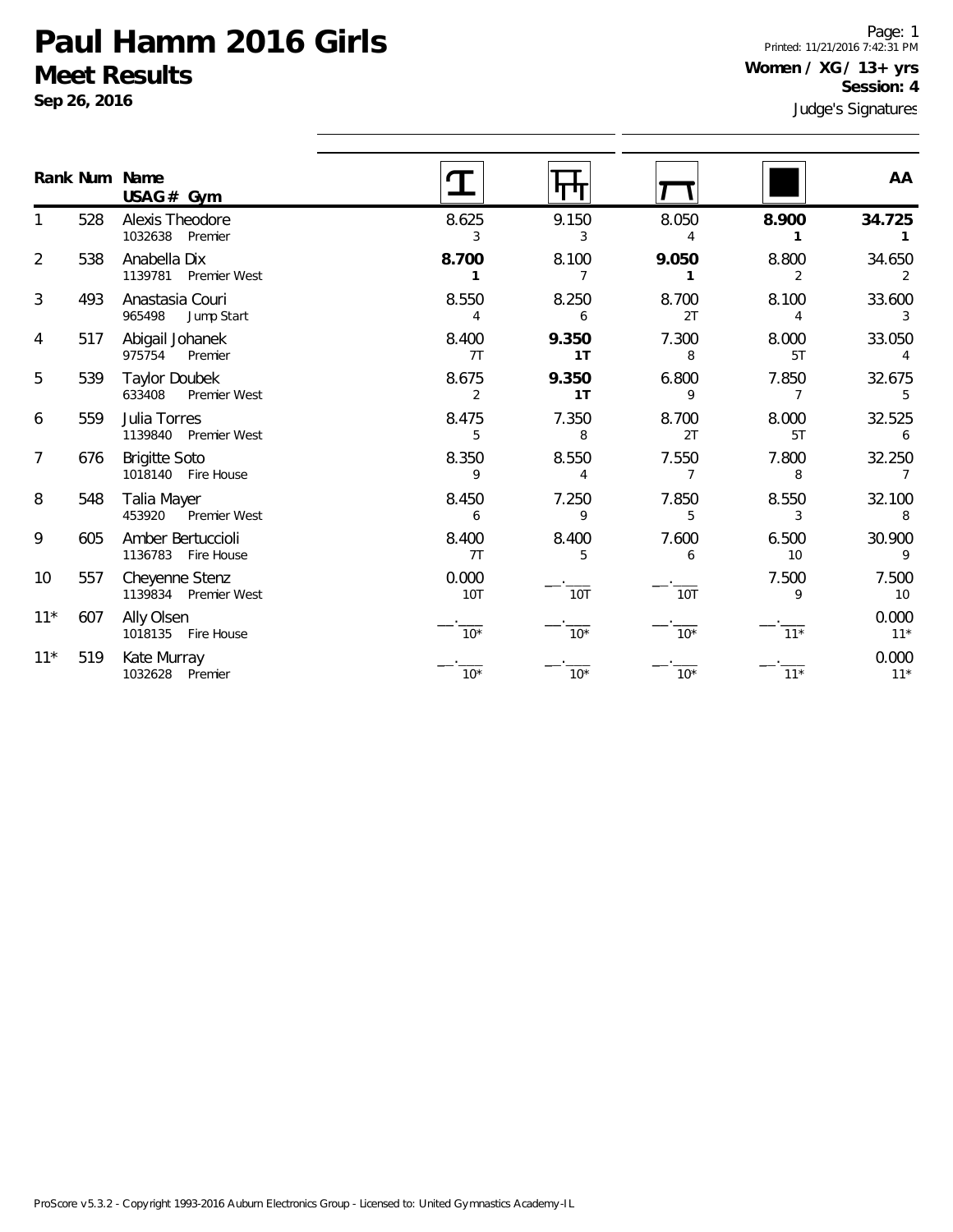**Sep 26, 2016**

Page: 1 Printed: 11/21/2016 7:42:31 PM **Women / XG / 13+ yrs Session: 4**

|                |     | Rank Num Name<br>$USAG#$ Gym                   |                         |             |                         |             | AA             |
|----------------|-----|------------------------------------------------|-------------------------|-------------|-------------------------|-------------|----------------|
|                | 528 | Alexis Theodore<br>1032638 Premier             | 8.625<br>3              | 9.150<br>3  | 8.050<br>4              | 8.900       | 34.725         |
| $\overline{2}$ | 538 | Anabella Dix<br>1139781 Premier West           | 8.700                   | 8.100<br>7  | 9.050                   | 8.800<br>2  | 34.650<br>2    |
| 3              | 493 | Anastasia Couri<br>965498<br>Jump Start        | 8.550<br>4              | 8.250<br>6  | 8.700<br>2T             | 8.100<br>4  | 33.600         |
| 4              | 517 | Abigail Johanek<br>975754<br>Premier           | 8.400<br>7T             | 9.350<br>1T | 7.300<br>8              | 8.000<br>5T | 33.050         |
| 5              | 539 | <b>Taylor Doubek</b><br>633408<br>Premier West | 8.675<br>$\overline{2}$ | 9.350<br>1T | 6.800<br>9              | 7.850<br>7  | 32.675<br>5    |
| 6              | 559 | Julia Torres<br>1139840 Premier West           | 8.475<br>5              | 7.350<br>8  | 8.700<br>2T             | 8.000<br>5T | 32.525<br>6    |
| $\overline{7}$ | 676 | <b>Brigitte Soto</b><br>1018140 Fire House     | 8.350<br>9              | 8.550<br>4  | 7.550<br>$\overline{7}$ | 7.800<br>8  | 32.250<br>7    |
| 8              | 548 | Talia Mayer<br>453920<br>Premier West          | 8.450<br>6              | 7.250<br>9  | 7.850<br>5              | 8.550<br>3  | 32.100<br>8    |
| 9              | 605 | Amber Bertuccioli<br>1136783 Fire House        | 8.400<br>7T             | 8.400<br>5  | 7.600<br>6              | 6.500<br>10 | 30.900<br>9    |
| 10             | 557 | Cheyenne Stenz<br>1139834 Premier West         | 0.000<br><b>10T</b>     | <b>10T</b>  | <b>10T</b>              | 7.500<br>9  | 7.500<br>10    |
| $11*$          | 607 | Ally Olsen<br>1018135 Fire House               | $10*$                   | $10*$       | $10*$                   | $11*$       | 0.000<br>$11*$ |
| $11*$          | 519 | Kate Murray<br>1032628 Premier                 | $10*$                   | $10*$       | $10*$                   | $11*$       | 0.000<br>$11*$ |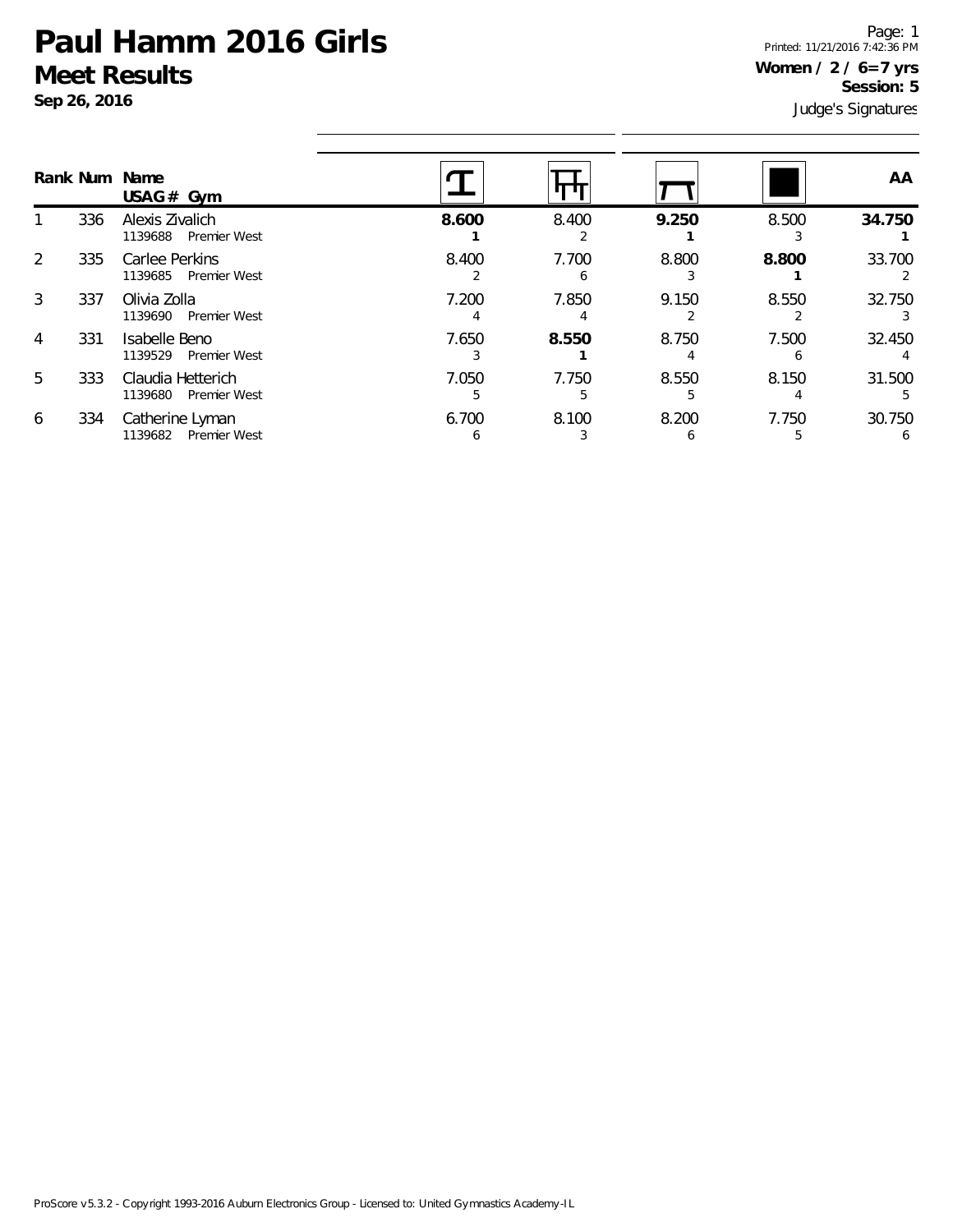**Sep 26, 2016**

Page: 1 Printed: 11/21/2016 7:42:36 PM **Women / 2 / 6=7 yrs Session: 5**

|                |     | Rank Num Name<br>USAG# Gym                          |            |            |       |       | AA     |
|----------------|-----|-----------------------------------------------------|------------|------------|-------|-------|--------|
|                | 336 | Alexis Zivalich<br>1139688 Premier West             | 8.600      | 8.400      | 9.250 | 8.500 | 34.750 |
| 2              | 335 | Carlee Perkins<br>1139685<br><b>Premier West</b>    | 8.400      | 7.700<br>h | 8.800 | 8.800 | 33.700 |
| 3              | 337 | Olivia Zolla<br>1139690<br><b>Premier West</b>      | 7.200      | 7.850      | 9.150 | 8.550 | 32.750 |
| $\overline{4}$ | 331 | Isabelle Beno<br>1139529<br><b>Premier West</b>     | 7.650      | 8.550      | 8.750 | 7.500 | 32.450 |
| 5              | 333 | Claudia Hetterich<br>1139680<br><b>Premier West</b> | 7.050<br>5 | 7.750      | 8.550 | 8.150 | 31.500 |
| 6              | 334 | Catherine Lyman<br>Premier West<br>1139682          | 6.700<br>h | 8.100      | 8.200 | 7.750 | 30.750 |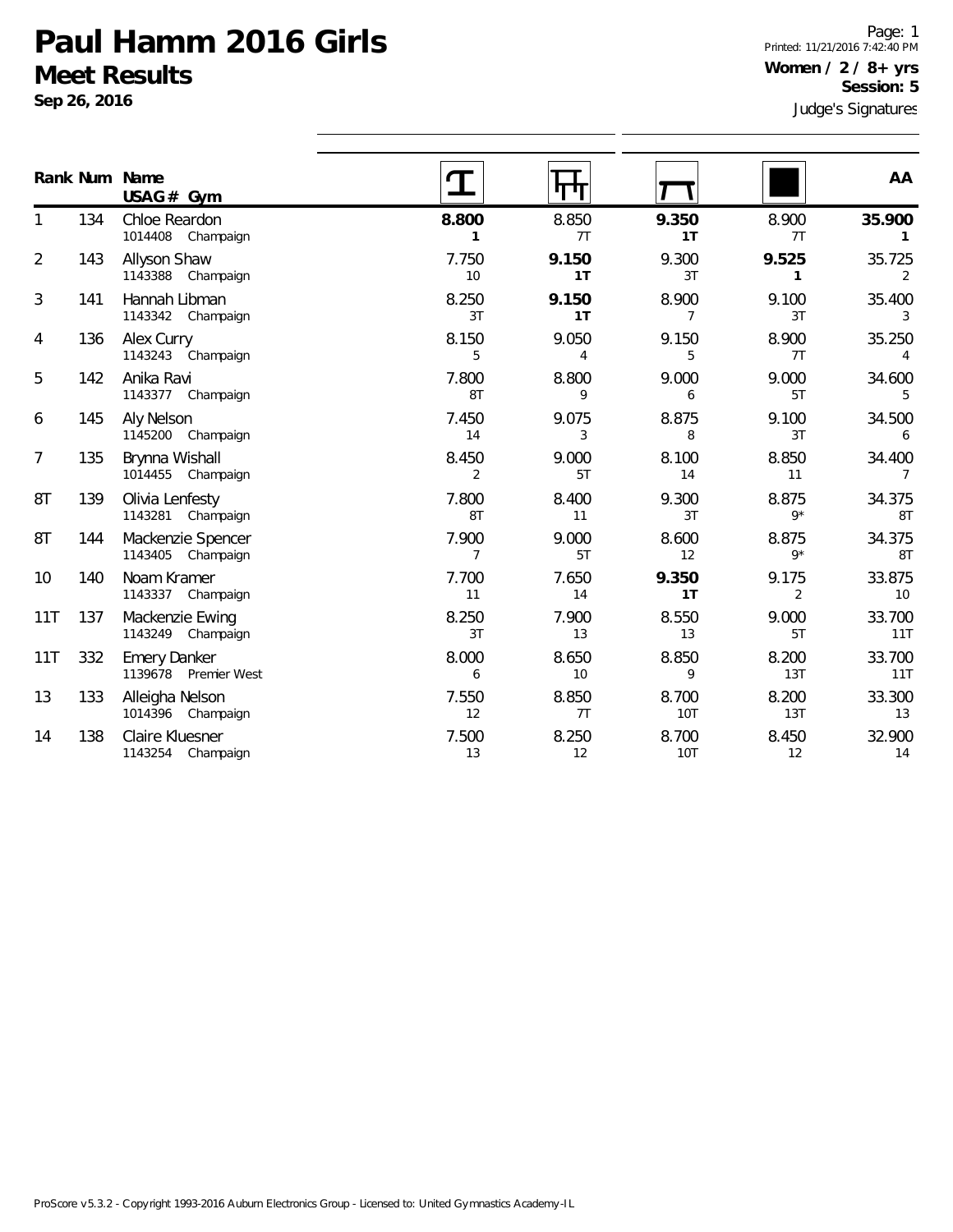**Sep 26, 2016**

Judge's Signatures Page: 1 Printed: 11/21/2016 7:42:40 PM **Women / 2 / 8+ yrs Session: 5**

|                |     | Rank Num Name<br>USAG# Gym                  |                         |             |                     |                         | AA                       |
|----------------|-----|---------------------------------------------|-------------------------|-------------|---------------------|-------------------------|--------------------------|
| 1              | 134 | Chloe Reardon<br>1014408 Champaign          | 8.800<br>1              | 8.850<br>7T | 9.350<br>1T         | 8.900<br>7T             | 35.900<br>1              |
| $\overline{2}$ | 143 | Allyson Shaw<br>1143388 Champaign           | 7.750<br>10             | 9.150<br>1T | 9.300<br>3T         | 9.525<br>$\mathbf{1}$   | 35.725<br>2              |
| 3              | 141 | Hannah Libman<br>1143342 Champaign          | 8.250<br>3T             | 9.150<br>1T | 8.900<br>7          | 9.100<br>3T             | 35.400<br>3              |
| 4              | 136 | Alex Curry<br>1143243 Champaign             | 8.150<br>5              | 9.050<br>4  | 9.150<br>5          | 8.900<br>7T             | 35.250<br>4              |
| 5              | 142 | Anika Ravi<br>1143377 Champaign             | 7.800<br>8T             | 8.800<br>9  | 9.000<br>6          | 9.000<br>5T             | 34.600<br>5              |
| 6              | 145 | Aly Nelson<br>1145200 Champaign             | 7.450<br>14             | 9.075<br>3  | 8.875<br>8          | 9.100<br>3T             | 34.500<br>6              |
| 7              | 135 | Brynna Wishall<br>1014455 Champaign         | 8.450<br>$\overline{2}$ | 9.000<br>5T | 8.100<br>14         | 8.850<br>11             | 34.400<br>$\overline{7}$ |
| 8T             | 139 | Olivia Lenfesty<br>1143281 Champaign        | 7.800<br>8T             | 8.400<br>11 | 9.300<br>3T         | 8.875<br>$9*$           | 34.375<br>8T             |
| 8T             | 144 | Mackenzie Spencer<br>1143405 Champaign      | 7.900<br>$\overline{7}$ | 9.000<br>5T | 8.600<br>12         | 8.875<br>$9*$           | 34.375<br>8T             |
| 10             | 140 | Noam Kramer<br>1143337<br>Champaign         | 7.700<br>11             | 7.650<br>14 | 9.350<br>1T         | 9.175<br>$\overline{2}$ | 33.875<br>10             |
| 11T            | 137 | Mackenzie Ewing<br>1143249 Champaign        | 8.250<br>3T             | 7.900<br>13 | 8.550<br>13         | 9.000<br>5T             | 33.700<br>11T            |
| 11T            | 332 | <b>Emery Danker</b><br>1139678 Premier West | 8.000<br>6              | 8.650<br>10 | 8.850<br>9          | 8.200<br>13T            | 33.700<br>11T            |
| 13             | 133 | Alleigha Nelson<br>1014396 Champaign        | 7.550<br>12             | 8.850<br>7T | 8.700<br>10T        | 8.200<br>13T            | 33.300<br>13             |
| 14             | 138 | Claire Kluesner<br>1143254 Champaign        | 7.500<br>13             | 8.250<br>12 | 8.700<br><b>10T</b> | 8.450<br>12             | 32.900<br>14             |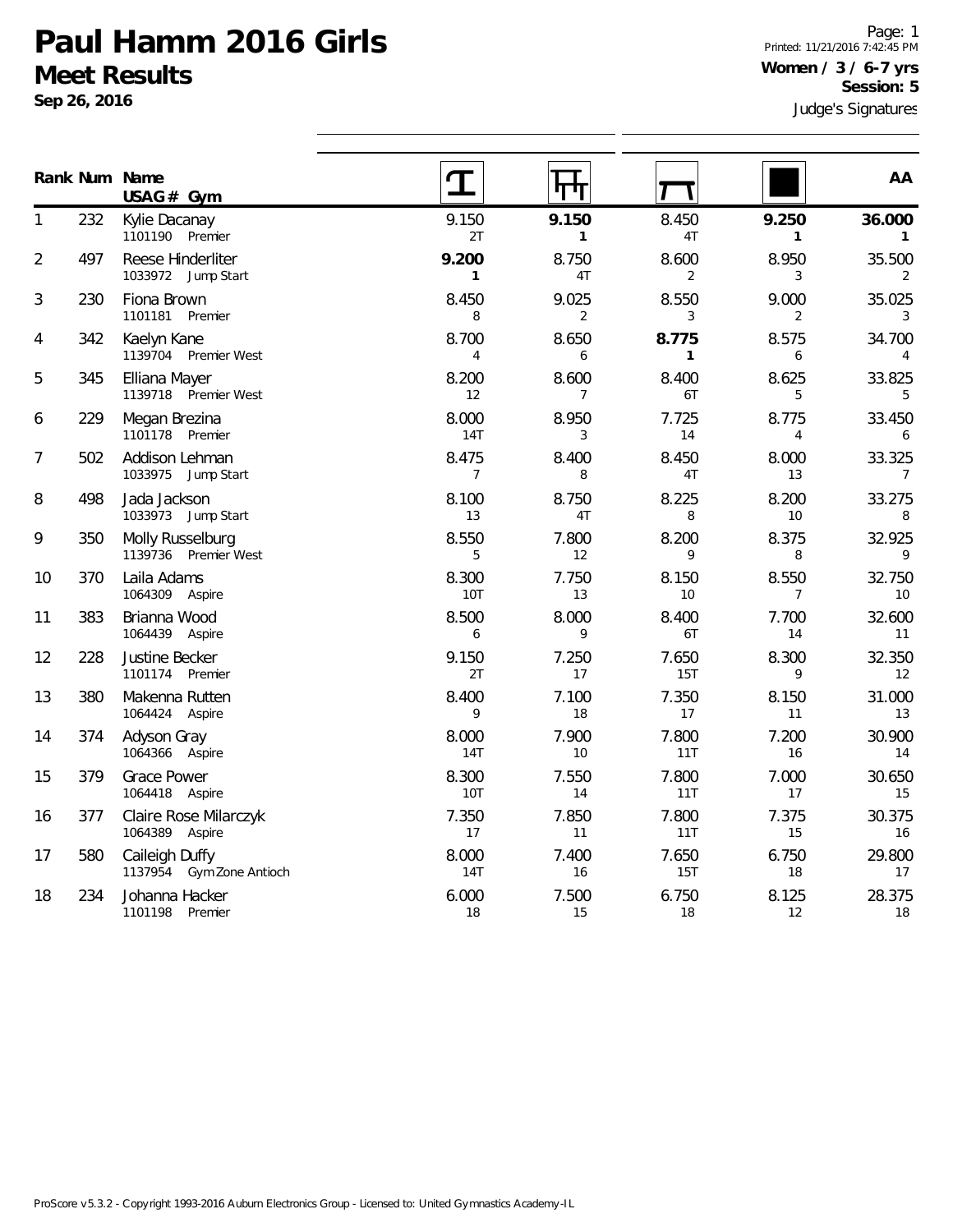**Sep 26, 2016**

**Num Name Rank**

Page: 1 Printed: 11/21/2016 7:42:45 PM **Women / 3 / 6-7 yrs Session: 5**

Judge's Signatures  $\mathbf T$ 矸 **AA**  $\bm{T}$ 

|                |     | $USAG#$ Gym                                |                         | 71 T L                  | И<br>M                   |                         |                             |
|----------------|-----|--------------------------------------------|-------------------------|-------------------------|--------------------------|-------------------------|-----------------------------|
| $\mathbf{1}$   | 232 | Kylie Dacanay<br>1101190 Premier           | 9.150<br>2T             | 9.150<br>$\mathbf{1}$   | 8.450<br>4T              | 9.250<br>$\mathbf{1}$   | 36.000<br>$\overline{1}$    |
| $\overline{2}$ | 497 | Reese Hinderliter<br>1033972 Jump Start    | 9.200<br>$\mathbf{1}$   | 8.750<br>4T             | 8.600<br>$\overline{2}$  | 8.950<br>3              | 35.500<br>2                 |
| 3              | 230 | Fiona Brown<br>1101181 Premier             | 8.450<br>8              | 9.025<br>$\overline{2}$ | 8.550<br>3               | 9.000<br>2              | 35.025<br>3                 |
| 4              | 342 | Kaelyn Kane<br>1139704 Premier West        | 8.700<br>$\overline{4}$ | 8.650<br>6              | 8.775<br>$\mathbf{1}$    | 8.575<br>6              | 34.700<br>$\overline{4}$    |
| 5              | 345 | Elliana Mayer<br>1139718 Premier West      | 8.200<br>12             | 8.600<br>$7^{\circ}$    | 8.400<br>6T              | 8.625<br>5              | 33.825<br>5                 |
| 6              | 229 | Megan Brezina<br>1101178 Premier           | 8.000<br><b>14T</b>     | 8.950<br>3              | 7.725<br>14              | 8.775<br>$\overline{4}$ | 33.450<br>6                 |
| 7              | 502 | Addison Lehman<br>1033975<br>Jump Start    | 8.475<br>7              | 8.400<br>8              | 8.450<br>4T              | 8.000<br>13             | 33.325<br>7                 |
| 8              | 498 | Jada Jackson<br>1033973 Jump Start         | 8.100<br>13             | 8.750<br>4T             | 8.225<br>8               | 8.200<br>10             | 33.275<br>8                 |
| 9              | 350 | Molly Russelburg<br>1139736 Premier West   | 8.550<br>5              | 7.800<br>12             | 8.200<br>9               | 8.375<br>8              | 32.925<br>9                 |
| 10             | 370 | Laila Adams<br>1064309 Aspire              | 8.300<br><b>10T</b>     | 7.750<br>13             | 8.150<br>10 <sup>°</sup> | 8.550<br>$\overline{7}$ | 32.750<br>10                |
| 11             | 383 | Brianna Wood<br>1064439 Aspire             | 8.500<br>6              | 8.000<br>9              | 8.400<br>6T              | 7.700<br>14             | 32.600<br>11                |
| 12             | 228 | Justine Becker<br>1101174 Premier          | 9.150<br>2T             | 7.250<br>17             | 7.650<br>15T             | 8.300<br>9              | 32.350<br>$12 \overline{ }$ |
| 13             | 380 | Makenna Rutten<br>1064424 Aspire           | 8.400<br>9              | 7.100<br>18             | 7.350<br>17              | 8.150<br>11             | 31.000<br>13                |
| 14             | 374 | Adyson Gray<br>1064366 Aspire              | 8.000<br>14T            | 7.900<br>10             | 7.800<br>11T             | 7.200<br>16             | 30.900<br>14                |
| 15             | 379 | <b>Grace Power</b><br>1064418 Aspire       | 8.300<br><b>10T</b>     | 7.550<br>14             | 7.800<br>11T             | 7.000<br>17             | 30.650<br>15                |
| 16             | 377 | Claire Rose Milarczyk<br>1064389 Aspire    | 7.350<br>17             | 7.850<br>11             | 7.800<br>11T             | 7.375<br>15             | 30.375<br>16                |
| 17             | 580 | Caileigh Duffy<br>1137954 Gym Zone Antioch | 8.000<br>14T            | 7.400<br>16             | 7.650<br>15T             | 6.750<br>18             | 29.800<br>17                |
| 18             | 234 | Johanna Hacker<br>1101198 Premier          | 6.000<br>18             | 7.500<br>15             | 6.750<br>18              | 8.125<br>12             | 28.375<br>18                |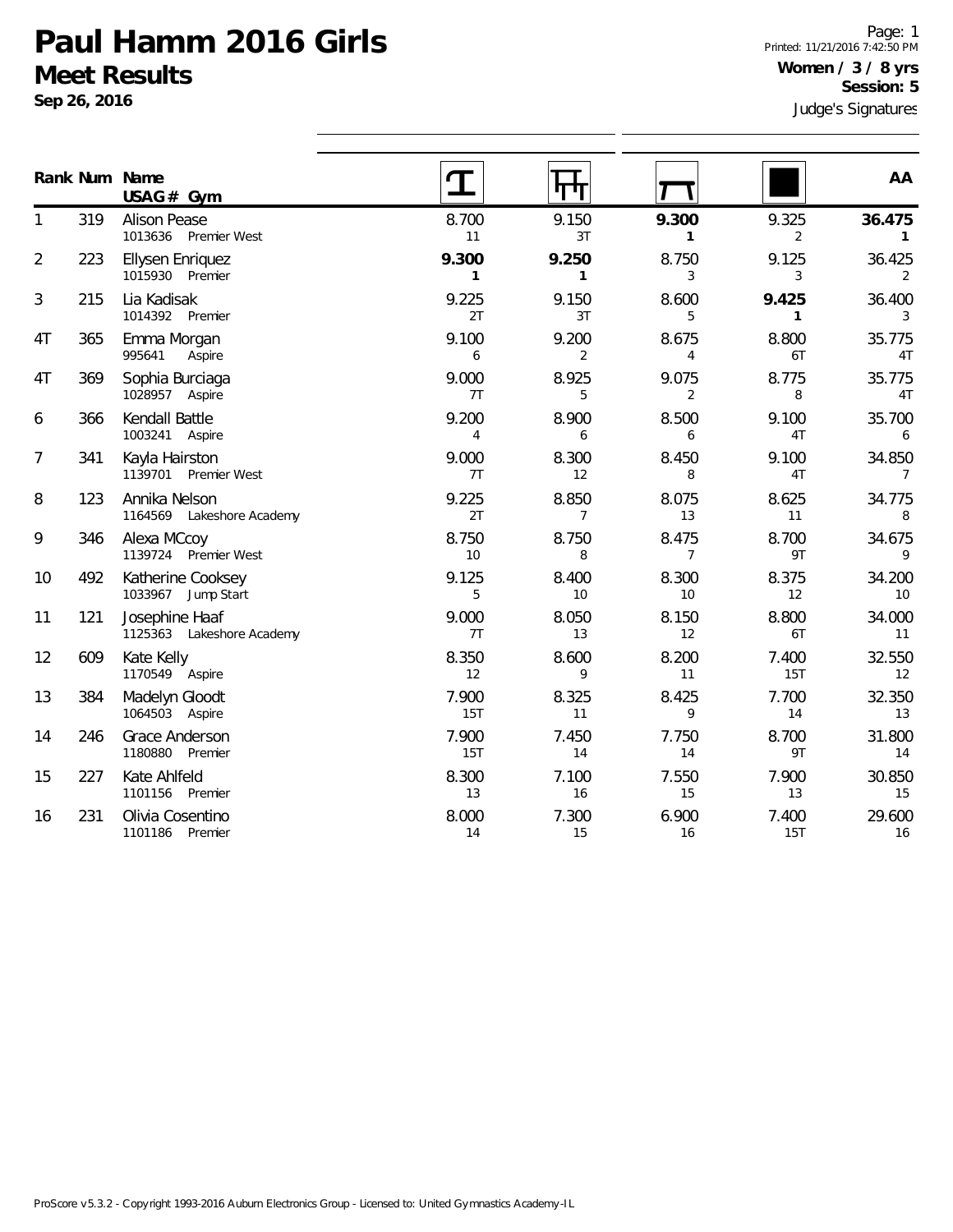**Sep 26, 2016**

Judge's Signatures Page: 1 Printed: 11/21/2016 7:42:50 PM **Women / 3 / 8 yrs Session: 5**

|                |     | Rank Num Name<br>USAG# Gym                  |                       | पण                      |                         |                         | AA                          |
|----------------|-----|---------------------------------------------|-----------------------|-------------------------|-------------------------|-------------------------|-----------------------------|
| 1              | 319 | <b>Alison Pease</b><br>1013636 Premier West | 8.700<br>11           | 9.150<br>3T             | 9.300<br>1              | 9.325<br>$\overline{2}$ | 36.475<br>1                 |
| $\overline{2}$ | 223 | Ellysen Enriquez<br>1015930 Premier         | 9.300<br>$\mathbf{1}$ | 9.250<br>$\mathbf{1}$   | 8.750<br>3              | 9.125<br>3              | 36.425<br>$\overline{2}$    |
| 3              | 215 | Lia Kadisak<br>1014392 Premier              | 9.225<br>2T           | 9.150<br>3T             | 8.600<br>5              | 9.425<br>$\mathbf{1}$   | 36.400<br>3                 |
| 4T             | 365 | Emma Morgan<br>995641<br>Aspire             | 9.100<br>6            | 9.200<br>$\overline{2}$ | 8.675<br>$\overline{4}$ | 8.800<br>6T             | 35.775<br>4T                |
| 4T             | 369 | Sophia Burciaga<br>1028957 Aspire           | 9.000<br>7T           | 8.925<br>5              | 9.075<br>$\overline{2}$ | 8.775<br>8              | 35.775<br>4T                |
| 6              | 366 | Kendall Battle<br>1003241 Aspire            | 9.200<br>4            | 8.900<br>6              | 8.500<br>6              | 9.100<br>4T             | 35.700<br>6                 |
| $\overline{7}$ | 341 | Kayla Hairston<br>1139701 Premier West      | 9.000<br>7T           | 8.300<br>12             | 8.450<br>8              | 9.100<br>4T             | 34.850<br>$\overline{7}$    |
| 8              | 123 | Annika Nelson<br>1164569 Lakeshore Academy  | 9.225<br>2T           | 8.850<br>$\overline{7}$ | 8.075<br>13             | 8.625<br>11             | 34.775<br>8                 |
| 9              | 346 | Alexa MCcoy<br>1139724 Premier West         | 8.750<br>10           | 8.750<br>8              | 8.475<br>$\overline{7}$ | 8.700<br>9T             | 34.675<br>9                 |
| 10             | 492 | Katherine Cooksey<br>1033967 Jump Start     | 9.125<br>5            | 8.400<br>10             | 8.300<br>10             | 8.375<br>12             | 34.200<br>10                |
| 11             | 121 | Josephine Haaf<br>1125363 Lakeshore Academy | 9.000<br>7T           | 8.050<br>13             | 8.150<br>12             | 8.800<br>6T             | 34.000<br>11                |
| 12             | 609 | Kate Kelly<br>1170549 Aspire                | 8.350<br>12           | 8.600<br>9              | 8.200<br>11             | 7.400<br>15T            | 32.550<br>$12 \overline{ }$ |
| 13             | 384 | Madelyn Gloodt<br>1064503 Aspire            | 7.900<br>15T          | 8.325<br>11             | 8.425<br>9              | 7.700<br>14             | 32.350<br>13                |
| 14             | 246 | Grace Anderson<br>1180880 Premier           | 7.900<br>15T          | 7.450<br>14             | 7.750<br>14             | 8.700<br>9T             | 31.800<br>14                |
| 15             | 227 | Kate Ahlfeld<br>1101156<br>Premier          | 8.300<br>13           | 7.100<br>16             | 7.550<br>15             | 7.900<br>13             | 30.850<br>15                |
| 16             | 231 | Olivia Cosentino<br>1101186 Premier         | 8.000<br>14           | 7.300<br>15             | 6.900<br>16             | 7.400<br>15T            | 29.600<br>16                |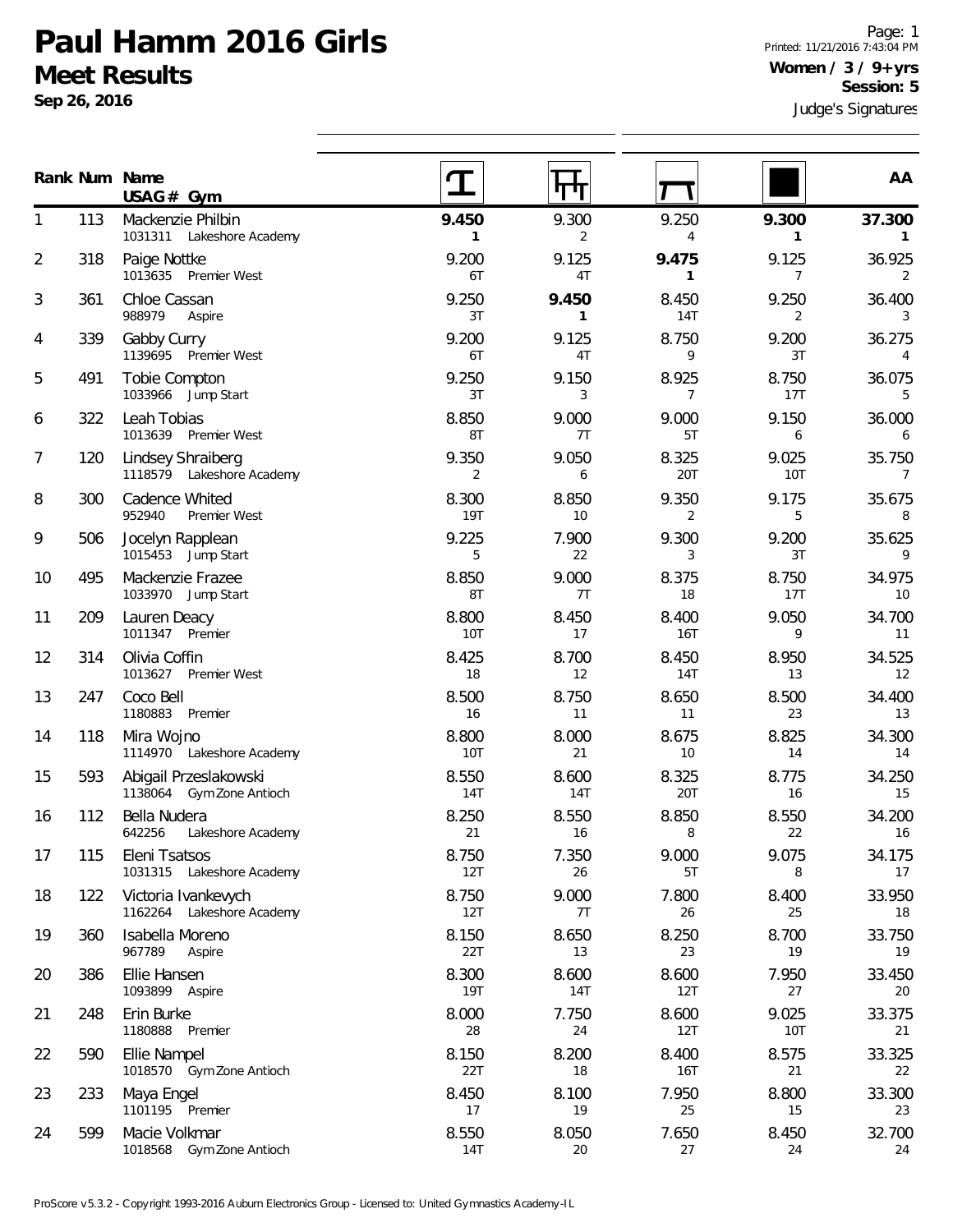**Sep 26, 2016**

1

2

3

4

5

6

7

8

9

10

11

12

13

14

15

16

17

18

19

20

21

22

23

24

599 Macie Volkmar

1018568 Gym Zone Antioch

Judge's Signatures Page: 1 Printed: 11/21/2016 7:43:04 PM **Women / 3 / 9+yrs Session: 5**

**AA**

|    |     | Rank Num Name<br>$USAG#$ Gym                      |                     | पाग                   |                       |                         | AA                       |
|----|-----|---------------------------------------------------|---------------------|-----------------------|-----------------------|-------------------------|--------------------------|
| 1  | 113 | Mackenzie Philbin<br>1031311 Lakeshore Academy    | 9.450<br>1          | 9.300<br>2            | 9.250<br>4            | 9.300<br>1              | 37.300<br>$\mathbf{1}$   |
| 2  | 318 | Paige Nottke<br>1013635 Premier West              | 9.200<br>6T         | 9.125<br>4T           | 9.475<br>$\mathbf{1}$ | 9.125<br>$\overline{7}$ | 36.925<br>2              |
| 3  | 361 | Chloe Cassan<br>988979<br>Aspire                  | 9.250<br>3T         | 9.450<br>$\mathbf{1}$ | 8.450<br>14T          | 9.250<br>2              | 36.400<br>3              |
| 4  | 339 | Gabby Curry<br>1139695 Premier West               | 9.200<br>6T         | 9.125<br>4T           | 8.750<br>9            | 9.200<br>3T             | 36.275<br>$\overline{4}$ |
| 5  | 491 | Tobie Compton<br>1033966 Jump Start               | 9.250<br>3T         | 9.150<br>3            | 8.925<br>7            | 8.750<br>17T            | 36.075<br>5              |
| 6  | 322 | Leah Tobias<br>1013639 Premier West               | 8.850<br>8T         | 9.000<br>7T           | 9.000<br>5T           | 9.150<br>6              | 36.000<br>6              |
| 7  | 120 | Lindsey Shraiberg<br>1118579 Lakeshore Academy    | 9.350<br>2          | 9.050<br>6            | 8.325<br>20T          | 9.025<br>10T            | 35.750<br>7              |
| 8  | 300 | Cadence Whited<br>952940<br>Premier West          | 8.300<br>19T        | 8.850<br>10           | 9.350<br>2            | 9.175<br>5              | 35.675<br>8              |
| 9  | 506 | Jocelyn Rapplean<br>1015453 Jump Start            | 9.225<br>5          | 7.900<br>22           | 9.300<br>3            | 9.200<br>3T             | 35.625<br>9              |
| 10 | 495 | Mackenzie Frazee<br>1033970 Jump Start            | 8.850<br>8T         | 9.000<br>7T           | 8.375<br>18           | 8.750<br>17T            | 34.975<br>10             |
| 11 | 209 | Lauren Deacy<br>1011347 Premier                   | 8.800<br>10T        | 8.450<br>17           | 8.400<br>16T          | 9.050<br>9              | 34.700<br>11             |
| 12 | 314 | Olivia Coffin<br>1013627<br>Premier West          | 8.425<br>18         | 8.700<br>12           | 8.450<br>14T          | 8.950<br>13             | 34.525<br>12             |
| 13 | 247 | Coco Bell<br>1180883 Premier                      | 8.500<br>16         | 8.750<br>11           | 8.650<br>11           | 8.500<br>23             | 34.400<br>13             |
| 14 | 118 | Mira Wojno<br>1114970 Lakeshore Academy           | 8.800<br>10T        | 8.000<br>21           | 8.675<br>10           | 8.825<br>14             | 34.300<br>14             |
| 15 | 593 | Abigail Przeslakowski<br>1138064 Gym Zone Antioch | 8.550<br><b>14T</b> | 8.600<br>14T          | 8.325<br>20T          | 8.775<br>16             | 34.250<br>15             |
| 16 | 112 | Bella Nudera<br>642256<br>Lakeshore Academy       | 8.250<br>21         | 8.550<br>16           | 8.850<br>8            | 8.550<br>22             | 34.200<br>16             |
| 17 | 115 | Eleni Tsatsos<br>1031315 Lakeshore Academy        | 8.750<br>12T        | 7.350<br>26           | 9.000<br>5T           | 9.075<br>8              | 34.175<br>17             |
| 18 | 122 | Victoria Ivankevych<br>1162264 Lakeshore Academy  | 8.750<br>12T        | 9.000<br>7T           | 7.800<br>26           | 8.400<br>25             | 33.950<br>18             |
| 19 | 360 | Isabella Moreno<br>967789<br>Aspire               | 8.150<br>22T        | 8.650<br>13           | 8.250<br>23           | 8.700<br>19             | 33.750<br>19             |
| 20 | 386 | Ellie Hansen<br>1093899 Aspire                    | 8.300<br>19T        | 8.600<br>14T          | 8.600<br>12T          | 7.950<br>27             | 33.450<br>20             |
| 21 | 248 | Erin Burke<br>1180888<br>Premier                  | 8.000<br>28         | 7.750<br>24           | 8.600<br>12T          | 9.025<br>10T            | 33.375<br>21             |
| 22 | 590 | Ellie Nampel<br>1018570 Gym Zone Antioch          | 8.150<br>22T        | 8.200<br>18           | 8.400<br>16T          | 8.575<br>21             | 33.325<br>22             |
| 23 | 233 | Maya Engel<br>1101195 Premier                     | 8.450<br>17         | 8.100<br>19           | 7.950<br>25           | 8.800<br>15             | 33.300<br>23             |

 $\overline{\phantom{a}}$ 

8.550 8.050 7.650 8.450 32.700 14T 20 27 24 24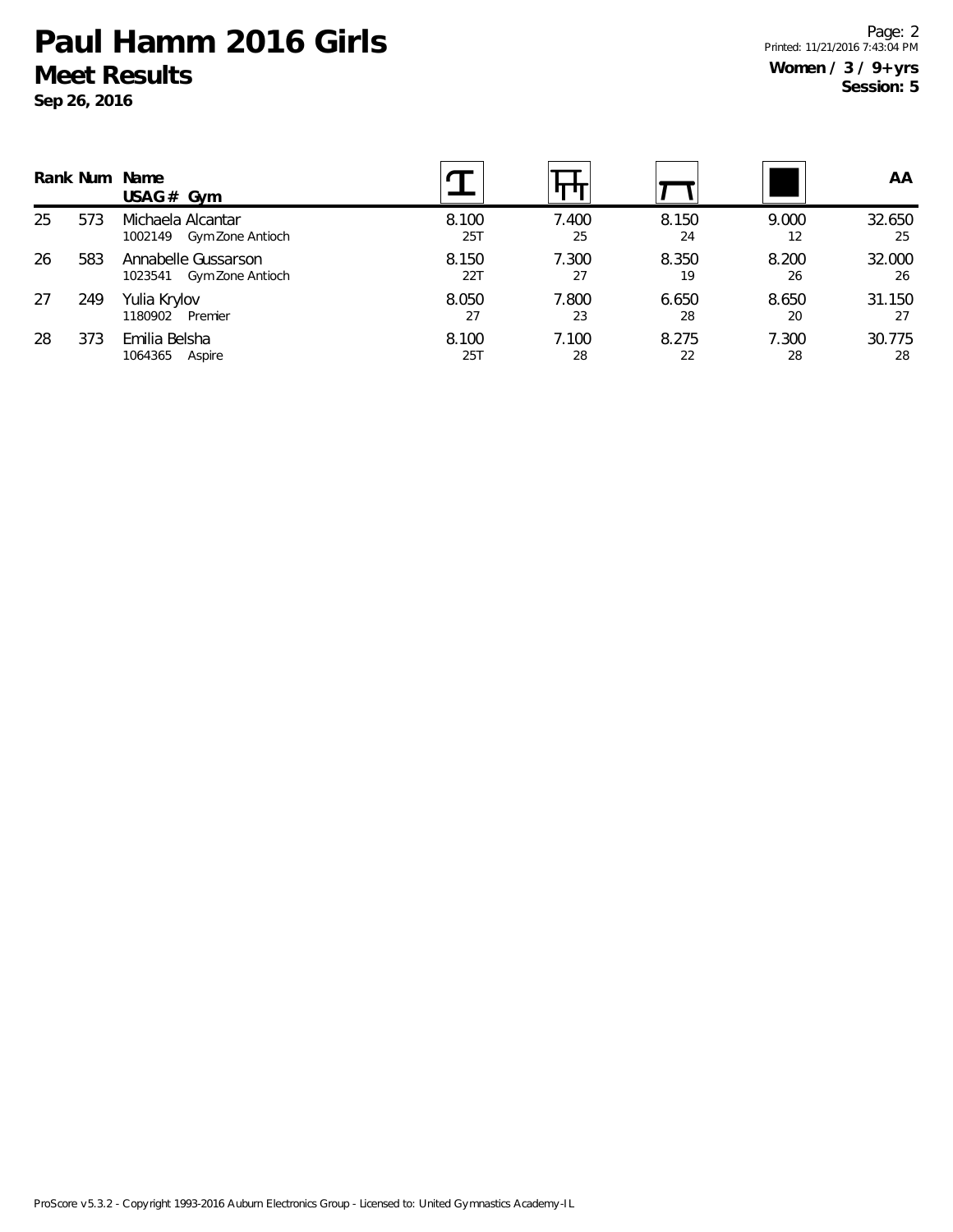**Sep 26, 2016**

Page: 2 Printed: 11/21/2016 7:43:04 PM **Women / 3 / 9+yrs Session: 5**

|    |     | Rank Num Name<br>USAG $#$ Gym                      |              |             |             |             | AA           |
|----|-----|----------------------------------------------------|--------------|-------------|-------------|-------------|--------------|
| 25 | 573 | Michaela Alcantar<br>Gym Zone Antioch<br>1002149   | 8.100<br>25T | 7.400<br>25 | 8.150<br>24 | 9.000<br>12 | 32.650<br>25 |
| 26 | 583 | Annabelle Gussarson<br>Gym Zone Antioch<br>1023541 | 8.150<br>22T | 7.300<br>27 | 8.350<br>19 | 8.200<br>26 | 32.000<br>26 |
| 27 | 249 | Yulia Krylov<br>Premier<br>1180902                 | 8.050<br>27  | 7.800<br>23 | 6.650<br>28 | 8.650<br>20 | 31.150<br>27 |
| 28 | 373 | Emilia Belsha<br>1064365<br>Aspire                 | 8.100<br>25T | 7.100<br>28 | 8.275<br>22 | 7.300<br>28 | 30.775<br>28 |

ProScore v5.3.2 - Copyright 1993-2016 Auburn Electronics Group - Licensed to: United Gymnastics Academy-IL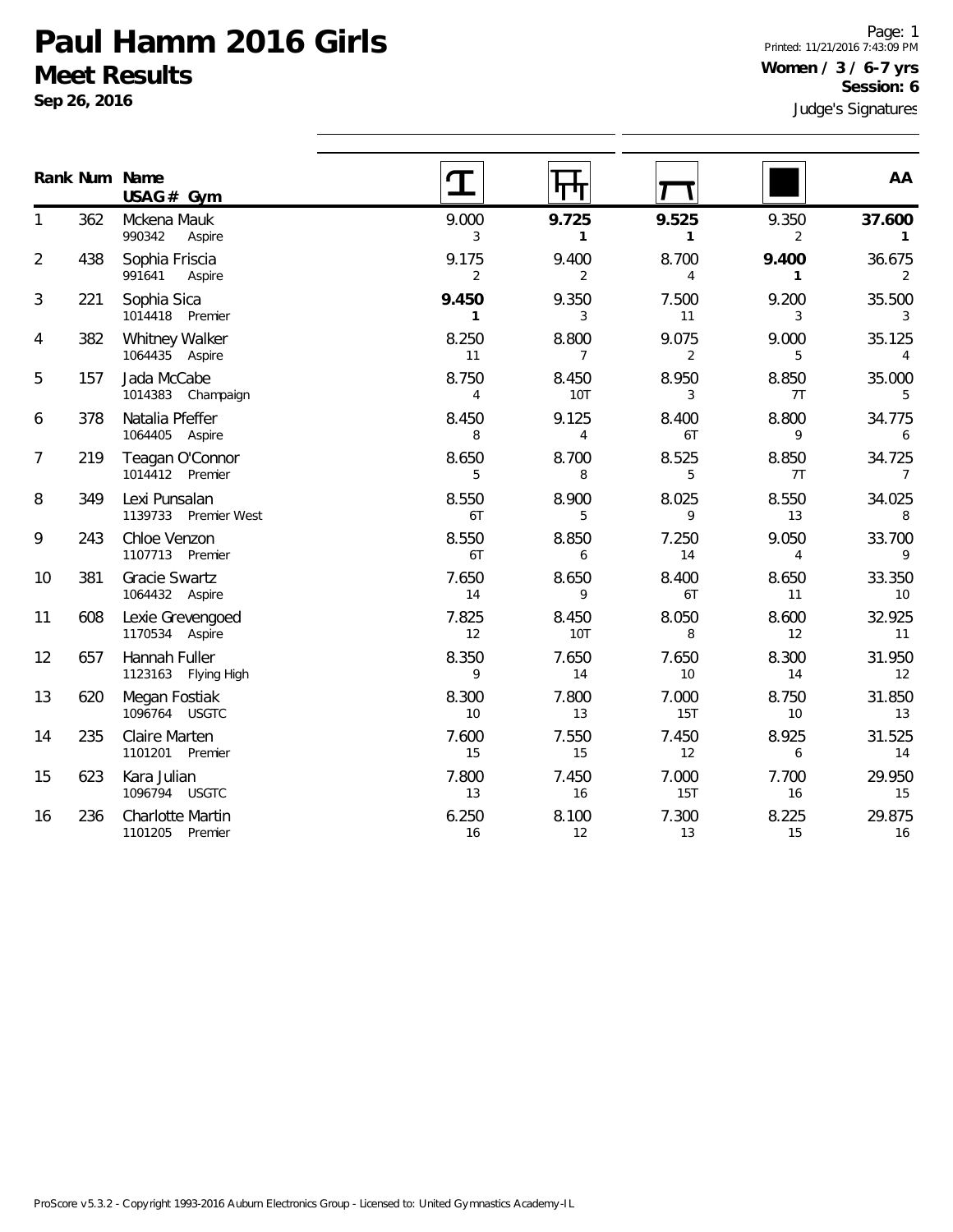**Gym USAG #**

**Sep 26, 2016**

**Num Name Rank**

Page: 1 Printed: 11/21/2016 7:43:09 PM **Women / 3 / 6-7 yrs Session: 6**

| Judge's Signatures |            |              |       |                  |
|--------------------|------------|--------------|-------|------------------|
| ΑA                 |            |              |       |                  |
| 37.600             | 9.350<br>2 | 9.525        | 9.725 | 9.000<br>3       |
| 36.675             | 9.400      | 8.700        | 9.400 | 9.175            |
| 2                  |            | 4            | 2     | 2                |
| 35.500             | 9.200      | 7.500        | 9.350 | 9.450            |
| 3                  | 3          | 11           | 3     |                  |
| 35.125             | 9.000      | 9.075        | 8.800 | 8.250            |
| 4                  | 5          | 2            |       | 11               |
| 35.000             | 8.850      | 8.950        | 8.450 | 8.750            |
| 5                  | 7T         | 3            | 10T   | 4                |
| 34.775             | 8.800      | 8.400        | 9.125 | 8.450            |
| 6                  | 9          | 6T           |       | 8                |
| 21775              | 9.950      | $Q$ $E$ $2E$ | 9.700 | $Q$ $A E$ $\cap$ |

| 1              | 362 | Mckena Mauk<br>990342<br>Aspire            | 9.000<br>3              | 9.725<br>$\mathbf{1}$   | 9.525<br>$\mathbf{1}$   | 9.350<br>$\overline{2}$ | 37.600<br>$\mathbf{1}$   |
|----------------|-----|--------------------------------------------|-------------------------|-------------------------|-------------------------|-------------------------|--------------------------|
| $\overline{2}$ | 438 | Sophia Friscia<br>991641<br>Aspire         | 9.175<br>$\overline{2}$ | 9.400<br>$\overline{2}$ | 8.700<br>$\overline{4}$ | 9.400<br>$\mathbf{1}$   | 36.675<br>2              |
| 3              | 221 | Sophia Sica<br>1014418 Premier             | 9.450<br>$\mathbf{1}$   | 9.350<br>3              | 7.500<br>11             | 9.200<br>3              | 35.500<br>3              |
| 4              | 382 | Whitney Walker<br>1064435 Aspire           | 8.250<br>11             | 8.800<br>$\overline{7}$ | 9.075<br>$\overline{2}$ | 9.000<br>5              | 35.125<br>$\overline{4}$ |
| 5              | 157 | Jada McCabe<br>1014383 Champaign           | 8.750<br>4              | 8.450<br>10T            | 8.950<br>3              | 8.850<br>7T             | 35.000<br>5              |
| 6              | 378 | Natalia Pfeffer<br>1064405 Aspire          | 8.450<br>8              | 9.125<br>$\overline{4}$ | 8.400<br>6T             | 8.800<br>9              | 34.775<br>6              |
| 7              | 219 | Teagan O'Connor<br>1014412 Premier         | 8.650<br>5              | 8.700<br>8              | 8.525<br>5              | 8.850<br>7T             | 34.725<br>$7^{\circ}$    |
| 8              | 349 | Lexi Punsalan<br>1139733 Premier West      | 8.550<br>6T             | 8.900<br>5              | 8.025<br>9              | 8.550<br>13             | 34.025<br>8              |
| 9              | 243 | Chloe Venzon<br>1107713 Premier            | 8.550<br>6T             | 8.850<br>6              | 7.250<br>14             | 9.050<br>$\overline{4}$ | 33.700<br>9              |
| 10             | 381 | <b>Gracie Swartz</b><br>1064432 Aspire     | 7.650<br>14             | 8.650<br>9              | 8.400<br>6T             | 8.650<br>11             | 33.350<br>10             |
| 11             | 608 | Lexie Grevengoed<br>1170534 Aspire         | 7.825<br>12             | 8.450<br>10T            | 8.050<br>8              | 8.600<br>12             | 32.925<br>11             |
| 12             | 657 | Hannah Fuller<br>1123163 Flying High       | 8.350<br>9              | 7.650<br>14             | 7.650<br>10             | 8.300<br>14             | 31.950<br>12             |
| 13             | 620 | Megan Fostiak<br>1096764 USGTC             | 8.300<br>10             | 7.800<br>13             | 7.000<br>15T            | 8.750<br>10             | 31.850<br>13             |
| 14             | 235 | Claire Marten<br>1101201 Premier           | 7.600<br>15             | 7.550<br>15             | 7.450<br>12             | 8.925<br>6              | 31.525<br>14             |
| 15             | 623 | Kara Julian<br>1096794 USGTC               | 7.800<br>13             | 7.450<br>16             | 7.000<br><b>15T</b>     | 7.700<br>16             | 29.950<br>15             |
| 16             | 236 | <b>Charlotte Martin</b><br>1101205 Premier | 6.250<br>16             | 8.100<br>12             | 7.300<br>13             | 8.225<br>15             | 29.875<br>16             |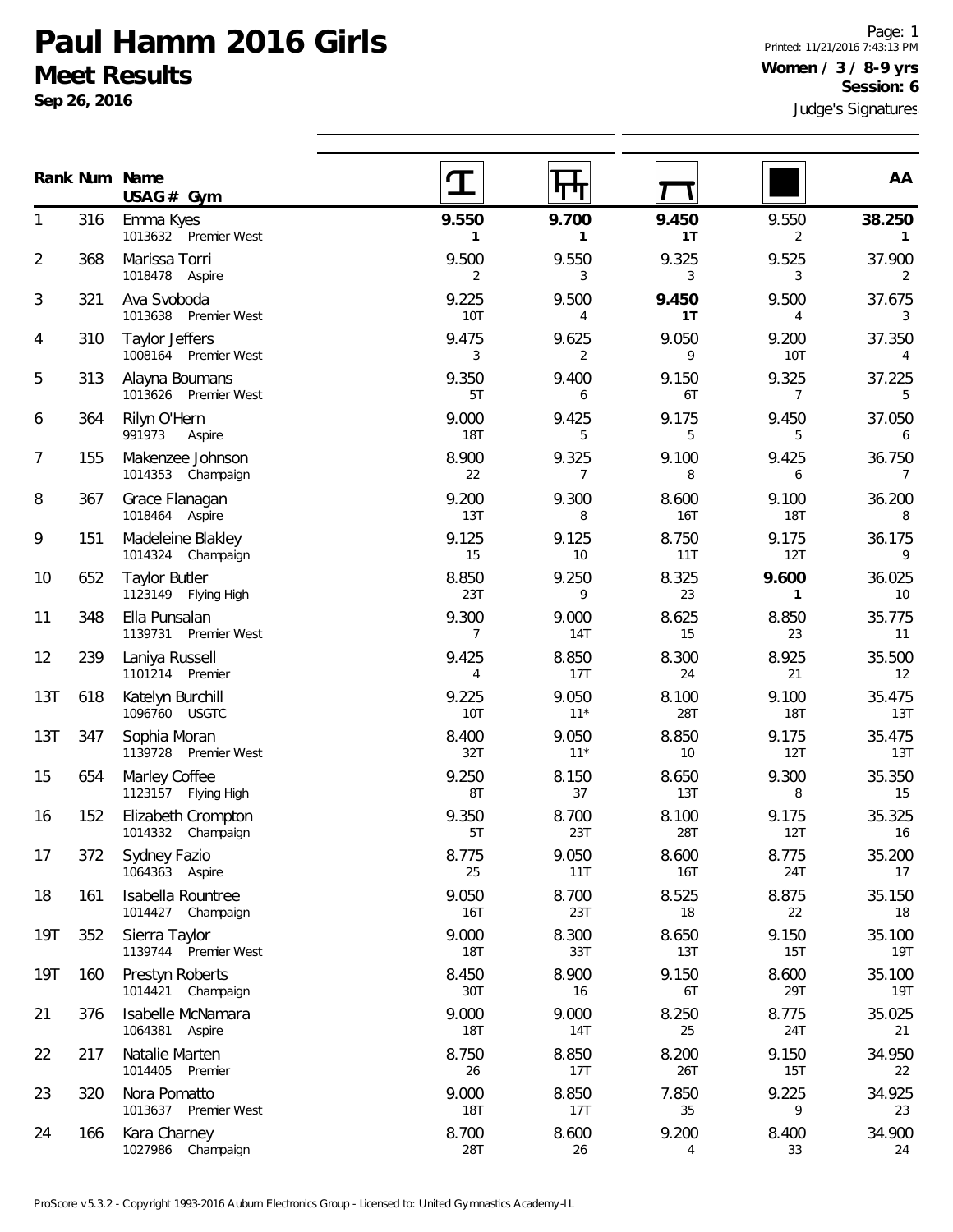**Gym USAG #**

352 Sierra Taylor

160 Prestyn Roberts

217 Natalie Marten

320 Nora Pomatto

166 Kara Charney

376 Isabelle McNamara 1064381 Aspire

1014405 Premier

1013637 Premier West

1027986 Champaign

1139744 Premier West

1014421 Champaign

**Sep 26, 2016**

**Num Name Rank**

1

2

3

4

5

6

7

8

9

10

11

12

13T

13T

15

16

17

18

19T

19T

21

22

23

24

Judge's Signatures Page: 1 Printed: 11/21/2016 7:43:13 PM **Women / 3 / 8-9 yrs Session: 6**

**AA**

| 316 | Emma Kyes                                 | 9.550                   | 9.700                   | 9.450       | 9.550          | 38.250       |
|-----|-------------------------------------------|-------------------------|-------------------------|-------------|----------------|--------------|
|     | 1013632 Premier West                      | $\mathbf{1}$            | $\mathbf{1}$            | 1T          | 2              | 1            |
| 368 | Marissa Torri                             | 9.500                   | 9.550                   | 9.325       | 9.525          | 37.900       |
|     | 1018478 Aspire                            | $\overline{2}$          | 3                       | 3           | 3              | 2            |
| 321 | Ava Svoboda<br>1013638<br>Premier West    | 9.225<br>10T            | 9.500<br>$\overline{4}$ | 9.450<br>1T | 9.500<br>4     | 37.675<br>3  |
| 310 | Taylor Jeffers                            | 9.475                   | 9.625                   | 9.050       | 9.200          | 37.350       |
|     | 1008164 Premier West                      | 3                       | 2                       | 9           | 10T            | 4            |
| 313 | Alayna Boumans                            | 9.350                   | 9.400                   | 9.150       | 9.325          | 37.225       |
|     | 1013626 Premier West                      | 5T                      | 6                       | 6T          | $\overline{7}$ | 5            |
| 364 | Rilyn O'Hern<br>991973<br>Aspire          | 9.000<br><b>18T</b>     | 9.425<br>5              | 9.175<br>5  | 9.450<br>5     | 37.050<br>6  |
| 155 | Makenzee Johnson                          | 8.900                   | 9.325                   | 9.100       | 9.425          | 36.750       |
|     | 1014353 Champaign                         | 22                      | $\overline{7}$          | 8           | 6              | 7            |
| 367 | Grace Flanagan                            | 9.200                   | 9.300                   | 8.600       | 9.100          | 36.200       |
|     | 1018464 Aspire                            | 13T                     | 8                       | 16T         | <b>18T</b>     | 8            |
| 151 | Madeleine Blakley                         | 9.125                   | 9.125                   | 8.750       | 9.175          | 36.175       |
|     | 1014324 Champaign                         | 15                      | 10 <sup>°</sup>         | 11T         | 12T            | 9            |
| 652 | <b>Taylor Butler</b>                      | 8.850                   | 9.250                   | 8.325       | 9.600          | 36.025       |
|     | 1123149 Flying High                       | 23T                     | 9                       | 23          | $\mathbf{1}$   | 10           |
| 348 | Ella Punsalan<br>1139731<br>Premier West  | 9.300<br>$\overline{7}$ | 9.000<br><b>14T</b>     | 8.625<br>15 | 8.850<br>23    | 35.775<br>11 |
| 239 | Laniya Russell                            | 9.425                   | 8.850                   | 8.300       | 8.925          | 35.500       |
|     | 1101214 Premier                           | 4                       | 17T                     | 24          | 21             | 12           |
| 618 | Katelyn Burchill                          | 9.225                   | 9.050                   | 8.100       | 9.100          | 35.475       |
|     | 1096760 USGTC                             | <b>10T</b>              | $11*$                   | 28T         | <b>18T</b>     | 13T          |
| 347 | Sophia Moran                              | 8.400                   | 9.050                   | 8.850       | 9.175          | 35.475       |
|     | 1139728 Premier West                      | 32T                     | $11*$                   | 10          | 12T            | 13T          |
| 654 | Marley Coffee                             | 9.250                   | 8.150                   | 8.650       | 9.300          | 35.350       |
|     | 1123157 Flying High                       | 8T                      | 37                      | 13T         | 8              | 15           |
| 152 | Elizabeth Crompton                        | 9.350                   | 8.700                   | 8.100       | 9.175          | 35.325       |
|     | 1014332 Champaign                         | 5T                      | 23T                     | 28T         | 12T            | 16           |
| 372 | Sydney Fazio                              | 8.775                   | 9.050                   | 8.600       | 8.775          | 35.200       |
|     | 1064363 Aspire                            | 25                      | 11T                     | 16T         | 24T            | 17           |
| 161 | Isabella Rountree<br>1014427<br>Champaign | 9.050<br>16T            | 8.700<br>23T            | 8.525<br>18 | 8.875<br>22    | 35.150<br>18 |

स्त

T

 $\mathbf T$ 

9.000 8.300 8.650 9.150 35.100 18T 33T 13T 15T 19T

8.450 8.900 9.150 8.600 35.100 30T 16 6T 29T 19T

9.000 9.000 8.250 8.775 35.025 18T 14T 25 24T 21

8.750 8.850 8.200 9.150 34.950 26 17T 26T 15T 22

9.000 8.850 7.850 9.225 34.925 18T 17T 35 9 23

8.700 8.600 9.200 8.400 34.900 28T 26 4 33 24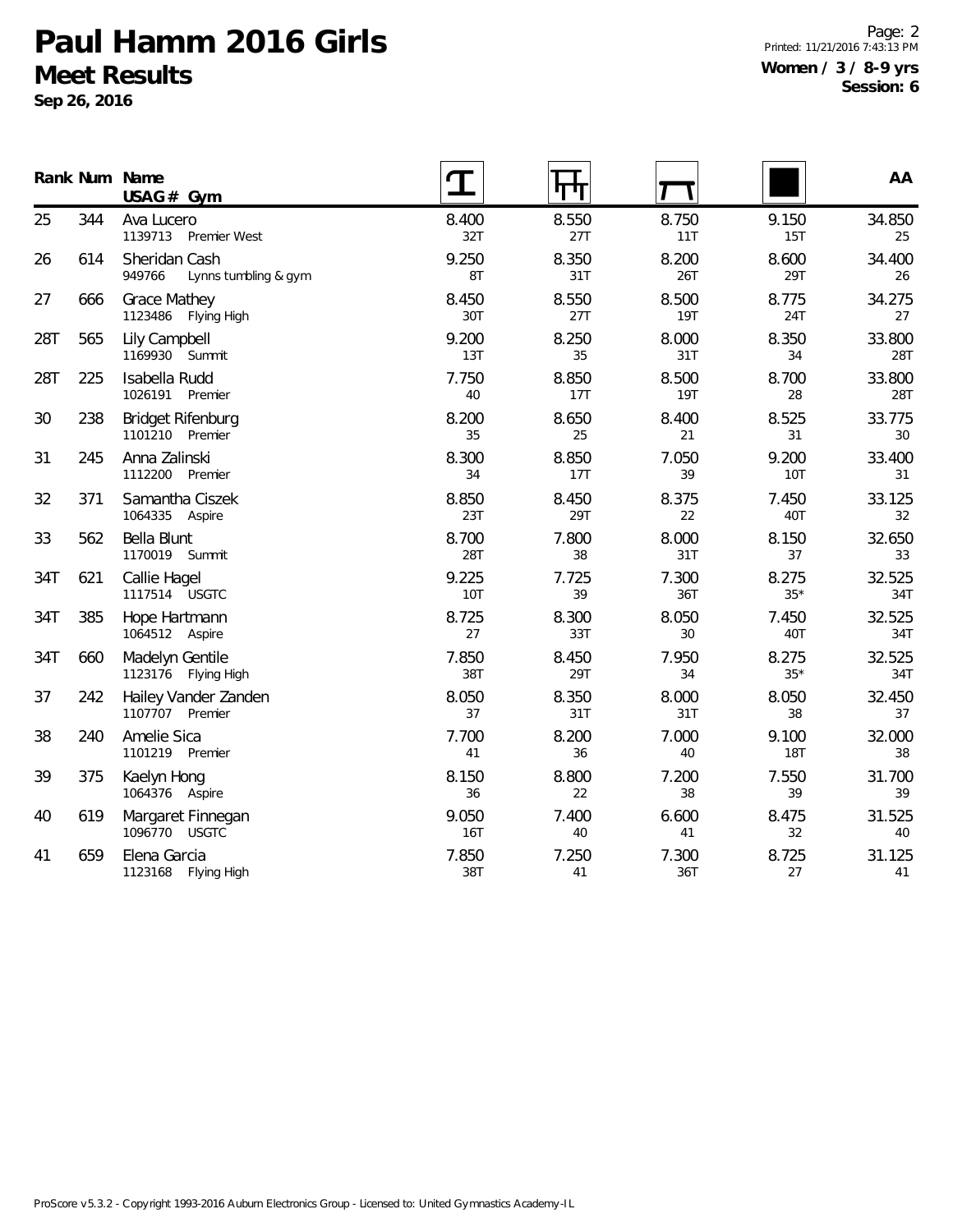**Sep 26, 2016**

Page: 2 Printed: 11/21/2016 7:43:13 PM **Women / 3 / 8-9 yrs Session: 6**

|     |     | Rank Num Name<br>USAG# Gym                      |              |              |                     |                     | AA            |
|-----|-----|-------------------------------------------------|--------------|--------------|---------------------|---------------------|---------------|
| 25  | 344 | Ava Lucero<br>1139713 Premier West              | 8.400<br>32T | 8.550<br>27T | 8.750<br>11T        | 9.150<br>15T        | 34.850<br>25  |
| 26  | 614 | Sheridan Cash<br>949766<br>Lynns tumbling & gym | 9.250<br>8T  | 8.350<br>31T | 8.200<br>26T        | 8.600<br>29T        | 34.400<br>26  |
| 27  | 666 | <b>Grace Mathey</b><br>1123486<br>Flying High   | 8.450<br>30T | 8.550<br>27T | 8.500<br><b>19T</b> | 8.775<br>24T        | 34.275<br>27  |
| 28T | 565 | Lily Campbell<br>1169930 Summit                 | 9.200<br>13T | 8.250<br>35  | 8.000<br>31T        | 8.350<br>34         | 33.800<br>28T |
| 28T | 225 | Isabella Rudd<br>1026191<br>Premier             | 7.750<br>40  | 8.850<br>17T | 8.500<br><b>19T</b> | 8.700<br>28         | 33.800<br>28T |
| 30  | 238 | <b>Bridget Rifenburg</b><br>1101210 Premier     | 8.200<br>35  | 8.650<br>25  | 8.400<br>21         | 8.525<br>31         | 33.775<br>30  |
| 31  | 245 | Anna Zalinski<br>1112200<br>Premier             | 8.300<br>34  | 8.850<br>17T | 7.050<br>39         | 9.200<br>10T        | 33.400<br>31  |
| 32  | 371 | Samantha Ciszek<br>1064335 Aspire               | 8.850<br>23T | 8.450<br>29T | 8.375<br>22         | 7.450<br>40T        | 33.125<br>32  |
| 33  | 562 | Bella Blunt<br>1170019 Summit                   | 8.700<br>28T | 7.800<br>38  | 8.000<br>31T        | 8.150<br>37         | 32.650<br>33  |
| 34T | 621 | Callie Hagel<br>1117514 USGTC                   | 9.225<br>10T | 7.725<br>39  | 7.300<br>36T        | 8.275<br>$35*$      | 32.525<br>34T |
| 34T | 385 | Hope Hartmann<br>1064512 Aspire                 | 8.725<br>27  | 8.300<br>33T | 8.050<br>30         | 7.450<br>40T        | 32.525<br>34T |
| 34T | 660 | Madelyn Gentile<br>1123176 Flying High          | 7.850<br>38T | 8.450<br>29T | 7.950<br>34         | 8.275<br>$35*$      | 32.525<br>34T |
| 37  | 242 | Hailey Vander Zanden<br>1107707 Premier         | 8.050<br>37  | 8.350<br>31T | 8.000<br>31T        | 8.050<br>38         | 32.450<br>37  |
| 38  | 240 | Amelie Sica<br>1101219 Premier                  | 7.700<br>41  | 8.200<br>36  | 7.000<br>40         | 9.100<br><b>18T</b> | 32.000<br>38  |
| 39  | 375 | Kaelyn Hong<br>1064376 Aspire                   | 8.150<br>36  | 8.800<br>22  | 7.200<br>38         | 7.550<br>39         | 31.700<br>39  |
| 40  | 619 | Margaret Finnegan<br>1096770 USGTC              | 9.050<br>16T | 7.400<br>40  | 6.600<br>41         | 8.475<br>32         | 31.525<br>40  |
| 41  | 659 | Elena Garcia<br>1123168 Flying High             | 7.850<br>38T | 7.250<br>41  | 7.300<br>36T        | 8.725<br>27         | 31.125<br>41  |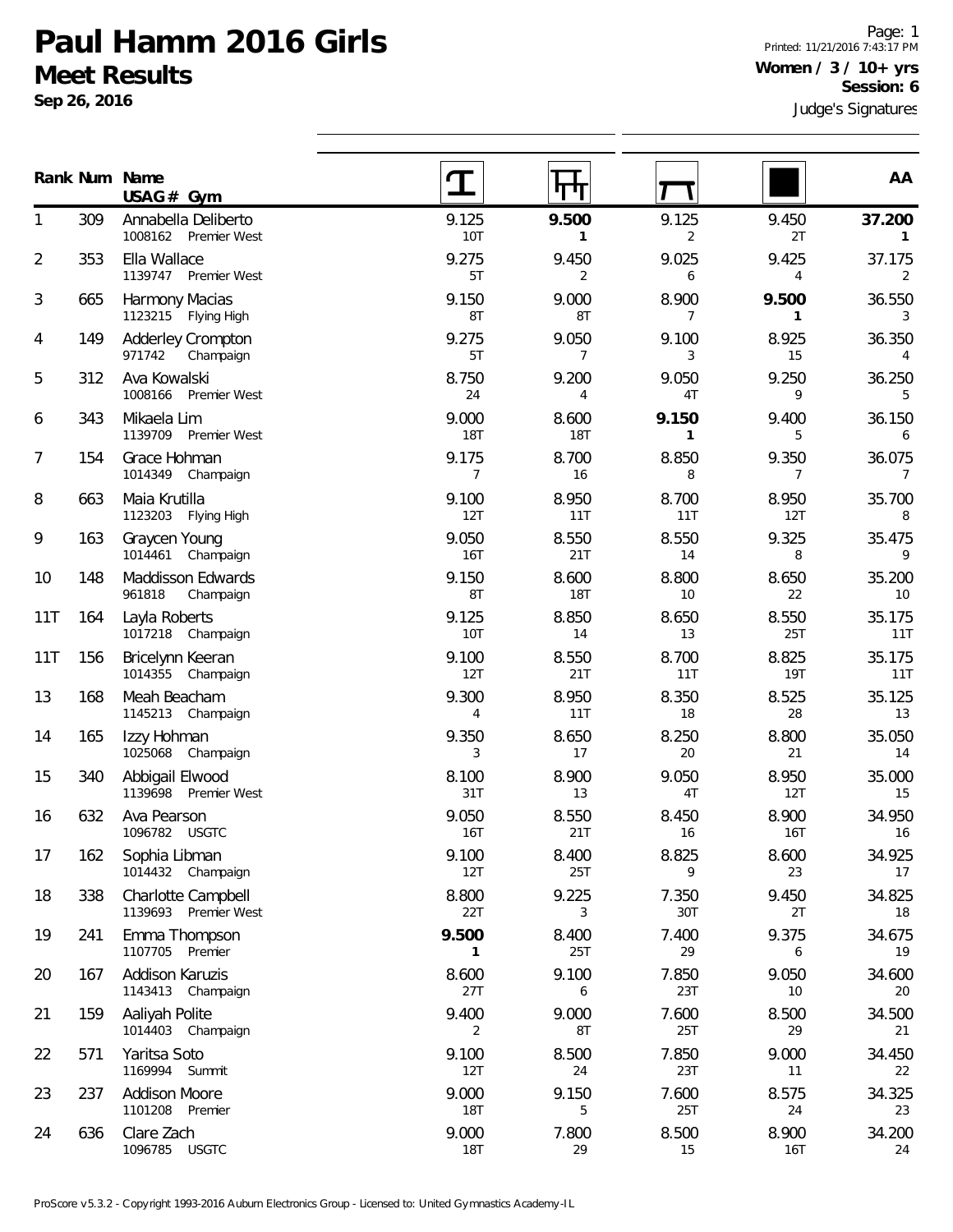**Sep 26, 2016**

Page: 1 Printed: 11/21/2016 7:43:17 PM **Women / 3 / 10+ yrs Session: 6**

|                |     | Rank Num Name<br>USAG# Gym                        |                         |                     |              |                         | AA                        |
|----------------|-----|---------------------------------------------------|-------------------------|---------------------|--------------|-------------------------|---------------------------|
| 1              | 309 | Annabella Deliberto<br>1008162 Premier West       | 9.125<br>10T            | 9.500<br>1          | 9.125<br>2   | 9.450<br>2T             | 37.200<br>$\mathbf{1}$    |
| $\overline{2}$ | 353 | Ella Wallace<br>1139747 Premier West              | 9.275<br>5T             | 9.450<br>2          | 9.025<br>6   | 9.425<br>$\overline{4}$ | 37.175<br>2               |
| 3              | 665 | Harmony Macias<br>1123215 Flying High             | 9.150<br>8T             | 9.000<br>8T         | 8.900<br>7   | 9.500<br>1              | 36.550<br>3               |
| 4              | 149 | <b>Adderley Crompton</b><br>971742<br>Champaign   | 9.275<br>5T             | 9.050<br>7          | 9.100<br>3   | 8.925<br>15             | 36.350<br>4               |
| 5              | 312 | Ava Kowalski<br>1008166 Premier West              | 8.750<br>24             | 9.200<br>4          | 9.050<br>4T  | 9.250<br>9              | 36.250<br>5               |
| 6              | 343 | Mikaela Lim<br>1139709<br>Premier West            | 9.000<br><b>18T</b>     | 8.600<br><b>18T</b> | 9.150<br>1   | 9.400<br>5              | 36.150<br>6               |
| 7              | 154 | Grace Hohman<br>1014349<br>Champaign              | 9.175<br>$\overline{7}$ | 8.700<br>16         | 8.850<br>8   | 9.350<br>7              | 36.075<br>$\overline{7}$  |
| 8              | 663 | Maia Krutilla<br>1123203<br>Flying High           | 9.100<br>12T            | 8.950<br>11T        | 8.700<br>11T | 8.950<br>12T            | 35.700<br>8               |
| 9              | 163 | Graycen Young<br>1014461<br>Champaign             | 9.050<br>16T            | 8.550<br>21T        | 8.550<br>14  | 9.325<br>8              | 35.475<br>9               |
| 10             | 148 | Maddisson Edwards<br>961818<br>Champaign          | 9.150<br>8T             | 8.600<br><b>18T</b> | 8.800<br>10  | 8.650<br>22             | 35.200<br>10 <sup>°</sup> |
| 11T            | 164 | Layla Roberts<br>1017218 Champaign                | 9.125<br>10T            | 8.850<br>14         | 8.650<br>13  | 8.550<br>25T            | 35.175<br>11T             |
| 11T            | 156 | Bricelynn Keeran<br>1014355 Champaign             | 9.100<br>12T            | 8.550<br>21T        | 8.700<br>11T | 8.825<br>19T            | 35.175<br>11T             |
| 13             | 168 | Meah Beacham<br>1145213 Champaign                 | 9.300<br>4              | 8.950<br>11T        | 8.350<br>18  | 8.525<br>28             | 35.125<br>13              |
| 14             | 165 | Izzy Hohman<br>1025068<br>Champaign               | 9.350<br>3              | 8.650<br>17         | 8.250<br>20  | 8.800<br>21             | 35.050<br>14              |
| 15             | 340 | Abbigail Elwood<br>1139698 Premier West           | 8.100<br>31T            | 8.900<br>13         | 9.050<br>4T  | 8.950<br>12T            | 35.000<br>15              |
| 16             | 632 | Ava Pearson<br>1096782 USGTC                      | 9.050<br>16T            | 8.550<br>21T        | 8.450<br>16  | 8.900<br>16T            | 34.950<br>16              |
| 17             | 162 | Sophia Libman<br>1014432 Champaign                | 9.100<br>12T            | 8.400<br>25T        | 8.825<br>9   | 8.600<br>23             | 34.925<br>17              |
| 18             | 338 | <b>Charlotte Campbell</b><br>1139693 Premier West | 8.800<br>22T            | 9.225<br>3          | 7.350<br>30T | 9.450<br>2T             | 34.825<br>18              |
| 19             | 241 | Emma Thompson<br>1107705 Premier                  | 9.500<br>1              | 8.400<br>25T        | 7.400<br>29  | 9.375<br>6              | 34.675<br>19              |
| 20             | 167 | Addison Karuzis<br>1143413<br>Champaign           | 8.600<br>27T            | 9.100<br>6          | 7.850<br>23T | 9.050<br>10             | 34.600<br>20              |
| 21             | 159 | Aaliyah Polite<br>1014403 Champaign               | 9.400<br>2              | 9.000<br>8T         | 7.600<br>25T | 8.500<br>29             | 34.500<br>21              |
| 22             | 571 | Yaritsa Soto<br>1169994<br>Summit                 | 9.100<br>12T            | 8.500<br>24         | 7.850<br>23T | 9.000<br>11             | 34.450<br>22              |
| 23             | 237 | <b>Addison Moore</b><br>1101208 Premier           | 9.000<br><b>18T</b>     | 9.150<br>5          | 7.600<br>25T | 8.575<br>24             | 34.325<br>23              |
| 24             | 636 | Clare Zach<br>1096785<br><b>USGTC</b>             | 9.000<br>18T            | 7.800<br>29         | 8.500<br>15  | 8.900<br>16T            | 34.200<br>24              |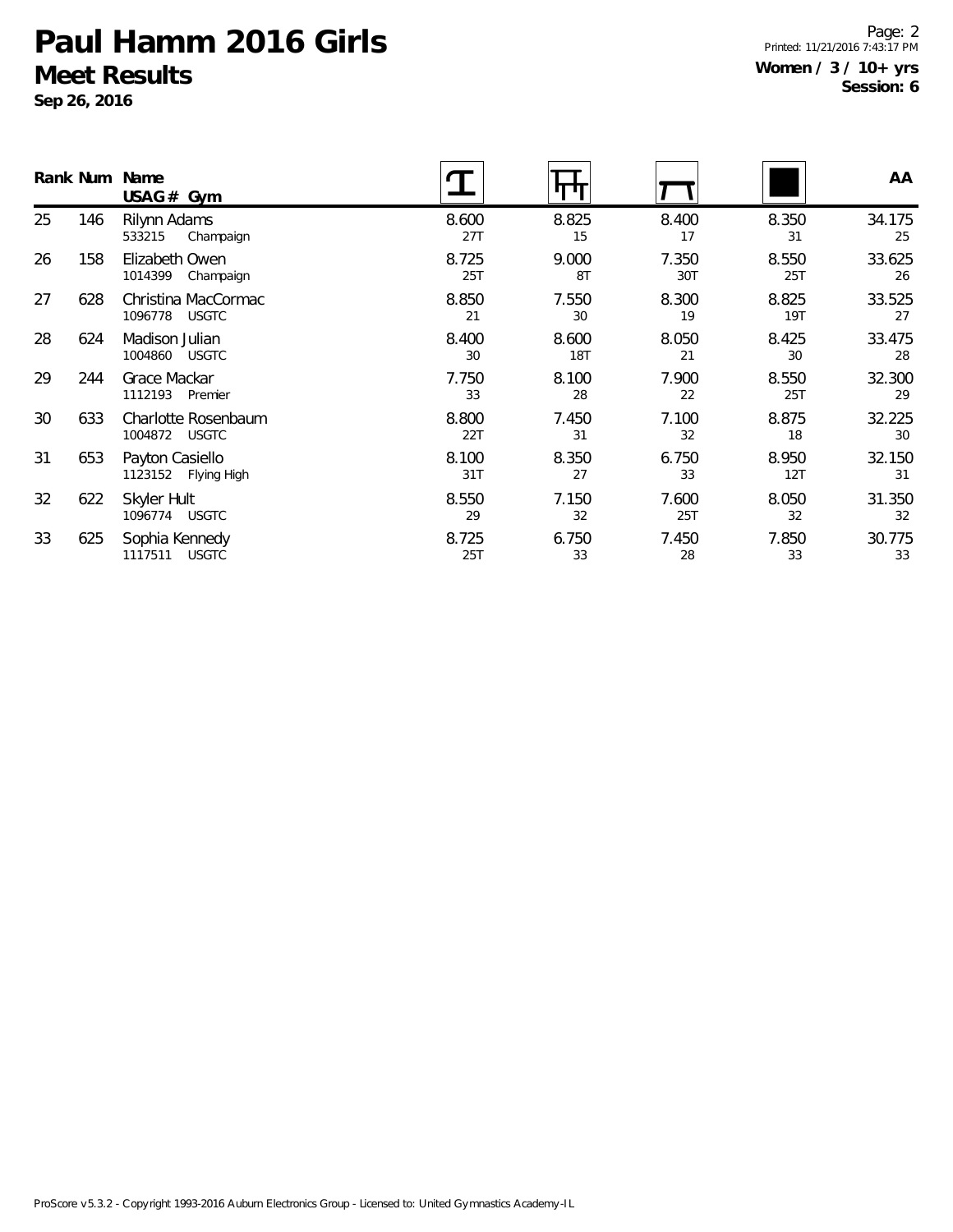**Sep 26, 2016**

Page: 2 Printed: 11/21/2016 7:43:17 PM **Women / 3 / 10+ yrs Session: 6**

|    |     | Rank Num Name<br>USAG#Gym                      |              |                     |              |              | AA           |
|----|-----|------------------------------------------------|--------------|---------------------|--------------|--------------|--------------|
| 25 | 146 | Rilynn Adams<br>533215<br>Champaign            | 8.600<br>27T | 8.825<br>15         | 8.400<br>17  | 8.350<br>31  | 34.175<br>25 |
| 26 | 158 | Elizabeth Owen<br>1014399<br>Champaign         | 8.725<br>25T | 9.000<br>8T         | 7.350<br>30T | 8.550<br>25T | 33.625<br>26 |
| 27 | 628 | Christina MacCormac<br>1096778<br><b>USGTC</b> | 8.850<br>21  | 7.550<br>30         | 8.300<br>19  | 8.825<br>19T | 33.525<br>27 |
| 28 | 624 | Madison Julian<br><b>USGTC</b><br>1004860      | 8.400<br>30  | 8.600<br><b>18T</b> | 8.050<br>21  | 8.425<br>30  | 33.475<br>28 |
| 29 | 244 | Grace Mackar<br>1112193<br>Premier             | 7.750<br>33  | 8.100<br>28         | 7.900<br>22  | 8.550<br>25T | 32.300<br>29 |
| 30 | 633 | Charlotte Rosenbaum<br>1004872 USGTC           | 8.800<br>22T | 7.450<br>31         | 7.100<br>32  | 8.875<br>18  | 32.225<br>30 |
| 31 | 653 | Payton Casiello<br>1123152<br>Flying High      | 8.100<br>31T | 8.350<br>27         | 6.750<br>33  | 8.950<br>12T | 32.150<br>31 |
| 32 | 622 | Skyler Hult<br>1096774<br><b>USGTC</b>         | 8.550<br>29  | 7.150<br>32         | 7.600<br>25T | 8.050<br>32  | 31.350<br>32 |
| 33 | 625 | Sophia Kennedy<br>1117511<br><b>USGTC</b>      | 8.725<br>25T | 6.750<br>33         | 7.450<br>28  | 7.850<br>33  | 30.775<br>33 |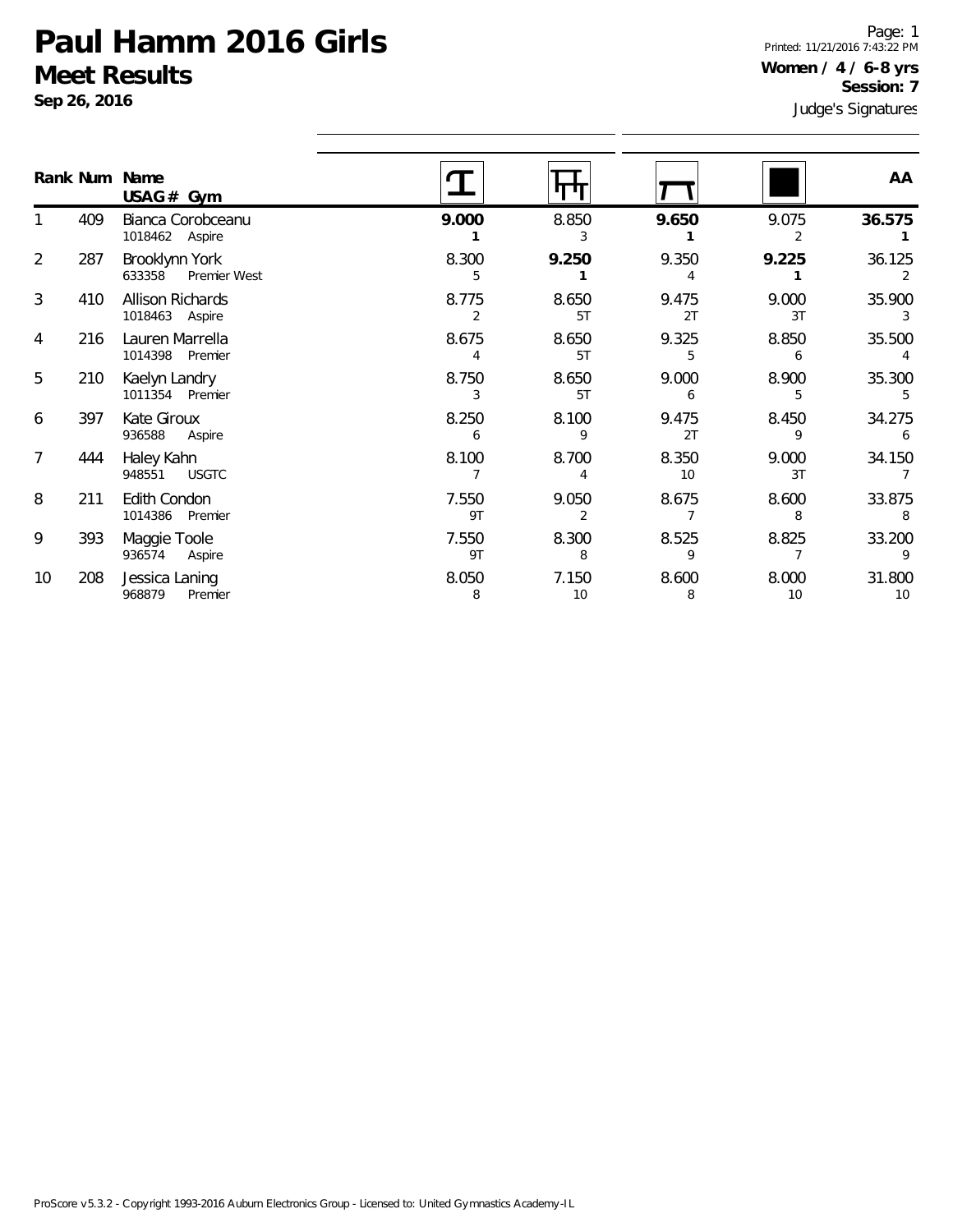**Sep 26, 2016**

Page: 1 Printed: 11/21/2016 7:43:22 PM **Women / 4 / 6-8 yrs Session: 7**

|                |     | Rank Num Name<br>$USAG#$ Gym              |                         |                         |             |             | AA           |
|----------------|-----|-------------------------------------------|-------------------------|-------------------------|-------------|-------------|--------------|
|                | 409 | Bianca Corobceanu<br>1018462 Aspire       | 9.000                   | 8.850                   | 9.650       | 9.075<br>2  | 36.575       |
| 2              | 287 | Brooklynn York<br>633358<br>Premier West  | 8.300<br>5              | 9.250                   | 9.350       | 9.225       | 36.125       |
| 3              | 410 | <b>Allison Richards</b><br>1018463 Aspire | 8.775<br>$\overline{2}$ | 8.650<br>5T             | 9.475<br>2T | 9.000<br>3T | 35.900<br>3  |
| 4              | 216 | Lauren Marrella<br>1014398 Premier        | 8.675                   | 8.650<br>5T             | 9.325<br>5  | 8.850<br>6  | 35.500       |
| 5              | 210 | Kaelyn Landry<br>1011354 Premier          | 8.750<br>3              | 8.650<br>5T             | 9.000<br>6  | 8.900<br>5  | 35.300       |
| 6              | 397 | Kate Giroux<br>936588<br>Aspire           | 8.250<br>6              | 8.100<br>9              | 9.475<br>2T | 8.450<br>9  | 34.275<br>6  |
| $\overline{7}$ | 444 | Haley Kahn<br><b>USGTC</b><br>948551      | 8.100                   | 8.700<br>4              | 8.350<br>10 | 9.000<br>3T | 34.150       |
| 8              | 211 | Edith Condon<br>1014386 Premier           | 7.550<br>9T             | 9.050<br>$\overline{2}$ | 8.675       | 8.600<br>8  | 33.875<br>8  |
| 9              | 393 | Maggie Toole<br>936574<br>Aspire          | 7.550<br>9T             | 8.300<br>8              | 8.525<br>9  | 8.825       | 33.200<br>9  |
| 10             | 208 | Jessica Laning<br>968879<br>Premier       | 8.050<br>8              | 7.150<br>10             | 8.600<br>8  | 8.000<br>10 | 31.800<br>10 |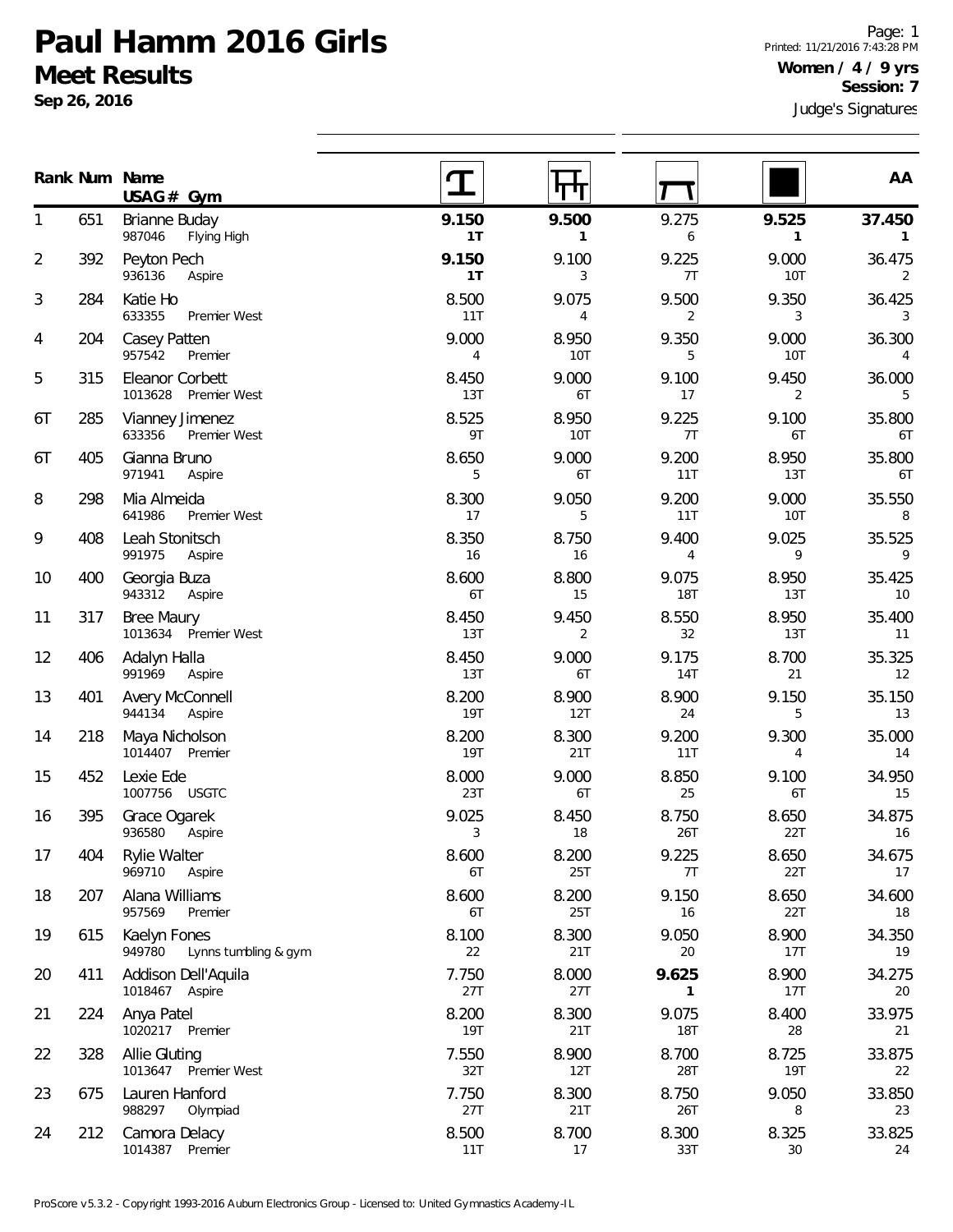**Sep 26, 2016**

**Num Name Rank**

207 Alana Williams

615 Kaelyn Fones

224 Anya Patel

328 Allie Gluting

675 Lauren Hanford

212 Camora Delacy 1014387 Premier

957569 Premier

1020217 Premier

1013647 Premier West

988297 Olympiad

411 Addison Dell'Aquila 1018467 Aspire

949780 Lynns tumbling & gym

1

2

3

4

5

6T

6T

8

9

10

11

12

13

14

15

16

17

18

19

20

21

22

23

24

Judge's Signatures Page: 1 Printed: 11/21/2016 7:43:28 PM **Women / 4 / 9 yrs Session: 7**

|     | Num Name<br>$USAG#$ Gym                    |                         |              |                         |                         | AA           |
|-----|--------------------------------------------|-------------------------|--------------|-------------------------|-------------------------|--------------|
| 651 | Brianne Buday<br>987046<br>Flying High     | 9.150<br>1 <sub>T</sub> | 9.500<br>1   | 9.275<br>6              | 9.525<br>$\mathbf{1}$   | 37.450<br>1  |
| 392 | Peyton Pech<br>936136<br>Aspire            | 9.150<br>1T             | 9.100<br>3   | 9.225<br>7T             | 9.000<br><b>10T</b>     | 36.475<br>2  |
| 284 | Katie Ho<br>633355<br>Premier West         | 8.500<br>11T            | 9.075<br>4   | 9.500<br>2              | 9.350<br>3              | 36.425<br>3  |
| 204 | Casey Patten<br>957542<br>Premier          | 9.000<br>$\overline{4}$ | 8.950<br>10T | 9.350<br>5              | 9.000<br>10T            | 36.300<br>4  |
| 315 | Eleanor Corbett<br>1013628<br>Premier West | 8.450<br>13T            | 9.000<br>6T  | 9.100<br>17             | 9.450<br>$\overline{2}$ | 36.000<br>5  |
| 285 | Vianney Jimenez<br>633356<br>Premier West  | 8.525<br>9T             | 8.950<br>10T | 9.225<br>7T             | 9.100<br>6T             | 35.800<br>6T |
| 405 | Gianna Bruno<br>971941<br>Aspire           | 8.650<br>5              | 9.000<br>6T  | 9.200<br>11T            | 8.950<br>13T            | 35.800<br>6T |
| 298 | Mia Almeida<br>641986<br>Premier West      | 8.300<br>17             | 9.050<br>5   | 9.200<br>11T            | 9.000<br><b>10T</b>     | 35.550<br>8  |
| 408 | Leah Stonitsch<br>991975<br>Aspire         | 8.350<br>16             | 8.750<br>16  | 9.400<br>$\overline{4}$ | 9.025<br>9              | 35.525<br>9  |
| 400 | Georgia Buza<br>943312<br>Aspire           | 8.600<br>6T             | 8.800<br>15  | 9.075<br><b>18T</b>     | 8.950<br>13T            | 35.425<br>10 |
| 317 | <b>Bree Maury</b><br>1013634 Premier West  | 8.450<br>13T            | 9.450<br>2   | 8.550<br>32             | 8.950<br>13T            | 35.400<br>11 |
| 406 | Adalyn Halla<br>991969<br>Aspire           | 8.450<br>13T            | 9.000<br>6T  | 9.175<br><b>14T</b>     | 8.700<br>21             | 35.325<br>12 |
| 401 | <b>Avery McConnell</b><br>944134<br>Aspire | 8.200<br>19T            | 8.900<br>12T | 8.900<br>24             | 9.150<br>5              | 35.150<br>13 |
| 218 | Maya Nicholson<br>1014407 Premier          | 8.200<br><b>19T</b>     | 8.300<br>21T | 9.200<br>11T            | 9.300<br>$\overline{4}$ | 35.000<br>14 |
| 452 | Lexie Ede<br>1007756 USGTC                 | 8.000<br>23T            | 9.000<br>6T  | 8.850<br>25             | 9.100<br>6T             | 34.950<br>15 |
| 395 | Grace Ogarek<br>936580<br>Aspire           | 9.025<br>3              | 8.450<br>18  | 8.750<br>26T            | 8.650<br>22T            | 34.875<br>16 |
| 404 | <b>Rylie Walter</b><br>969710<br>Aspire    | 8.600<br>6T             | 8.200<br>25T | 9.225<br>7T             | 8.650<br>22T            | 34.675<br>17 |

8.600 8.200 9.150 8.650 34.600 6T 25T 16 22T 18

8.100 8.300 9.050 8.900 34.350 22 21T 20 17T 19

7.750 8.000 **9.625** 8.900 34.275 27T 27T **1** 17T 20

8.200 8.300 9.075 8.400 33.975 19T 21T 18T 28 21

7.550 8.900 8.700 8.725 33.875 32T 12T 28T 19T 22

7.750 8.300 8.750 9.050 33.850 27T 21T 26T 8 23

8.500 8.700 8.300 8.325 33.825 11T 17 33T 30 24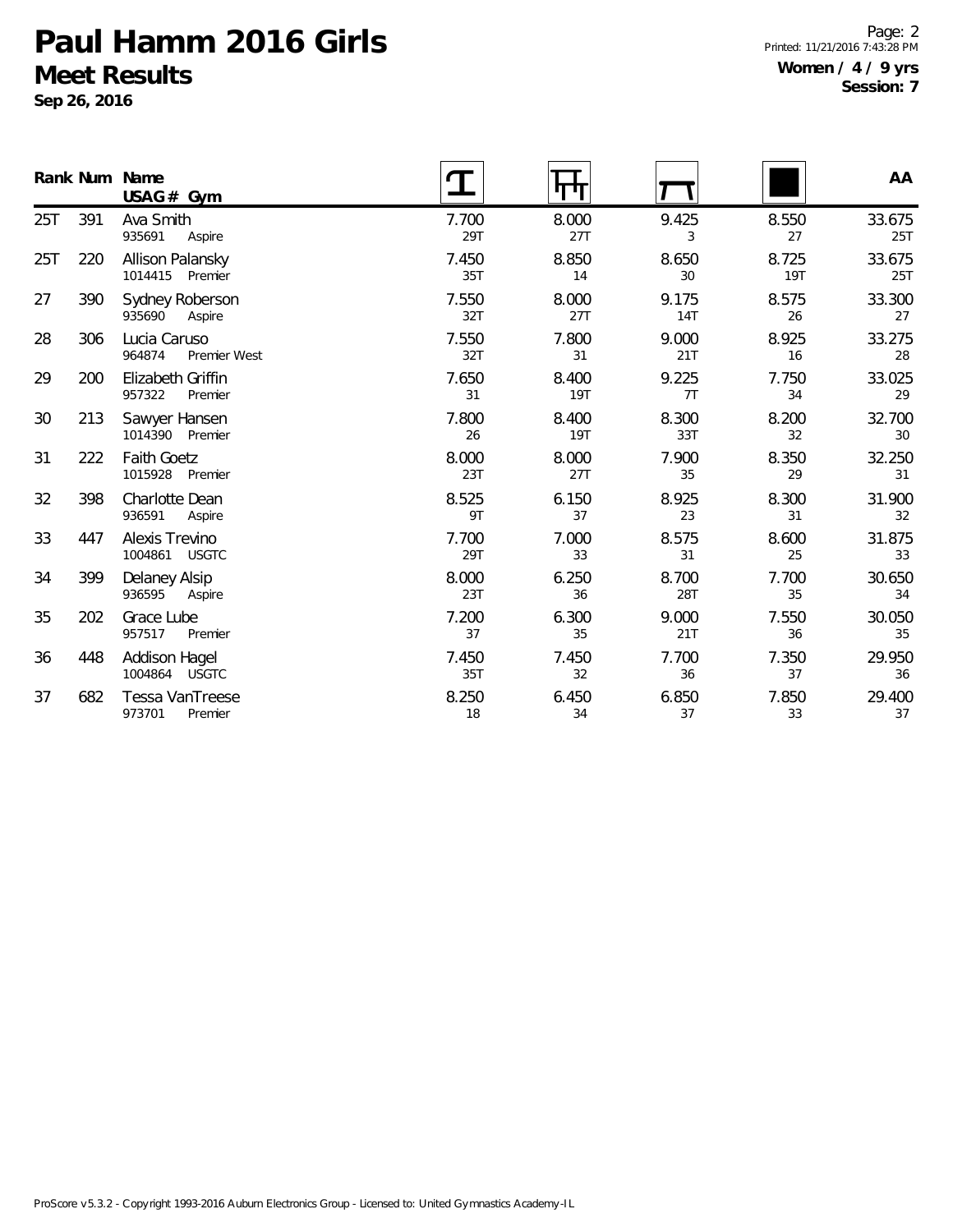**Sep 26, 2016**

Page: 2 Printed: 11/21/2016 7:43:28 PM **Women / 4 / 9 yrs Session: 7**

|     |     | Rank Num Name<br>$USAG#$ Gym           |              | पग                  |                     |              | AA            |
|-----|-----|----------------------------------------|--------------|---------------------|---------------------|--------------|---------------|
| 25T | 391 | Ava Smith<br>935691<br>Aspire          | 7.700<br>29T | 8.000<br>27T        | 9.425<br>3          | 8.550<br>27  | 33.675<br>25T |
| 25T | 220 | Allison Palansky<br>1014415 Premier    | 7.450<br>35T | 8.850<br>14         | 8.650<br>30         | 8.725<br>19T | 33.675<br>25T |
| 27  | 390 | Sydney Roberson<br>935690<br>Aspire    | 7.550<br>32T | 8.000<br>27T        | 9.175<br><b>14T</b> | 8.575<br>26  | 33.300<br>27  |
| 28  | 306 | Lucia Caruso<br>964874<br>Premier West | 7.550<br>32T | 7.800<br>31         | 9.000<br>21T        | 8.925<br>16  | 33.275<br>28  |
| 29  | 200 | Elizabeth Griffin<br>957322<br>Premier | 7.650<br>31  | 8.400<br><b>19T</b> | 9.225<br>7T         | 7.750<br>34  | 33.025<br>29  |
| 30  | 213 | Sawyer Hansen<br>1014390<br>Premier    | 7.800<br>26  | 8.400<br><b>19T</b> | 8.300<br>33T        | 8.200<br>32  | 32.700<br>30  |
| 31  | 222 | <b>Faith Goetz</b><br>1015928 Premier  | 8.000<br>23T | 8.000<br>27T        | 7.900<br>35         | 8.350<br>29  | 32.250<br>31  |
| 32  | 398 | Charlotte Dean<br>936591<br>Aspire     | 8.525<br>9T  | 6.150<br>37         | 8.925<br>23         | 8.300<br>31  | 31.900<br>32  |
| 33  | 447 | Alexis Trevino<br>1004861 USGTC        | 7.700<br>29T | 7.000<br>33         | 8.575<br>31         | 8.600<br>25  | 31.875<br>33  |
| 34  | 399 | Delaney Alsip<br>936595<br>Aspire      | 8.000<br>23T | 6.250<br>36         | 8.700<br>28T        | 7.700<br>35  | 30.650<br>34  |
| 35  | 202 | Grace Lube<br>957517<br>Premier        | 7.200<br>37  | 6.300<br>35         | 9.000<br>21T        | 7.550<br>36  | 30.050<br>35  |
| 36  | 448 | Addison Hagel<br>1004864 USGTC         | 7.450<br>35T | 7.450<br>32         | 7.700<br>36         | 7.350<br>37  | 29.950<br>36  |
| 37  | 682 | Tessa VanTreese<br>973701<br>Premier   | 8.250<br>18  | 6.450<br>34         | 6.850<br>37         | 7.850<br>33  | 29.400<br>37  |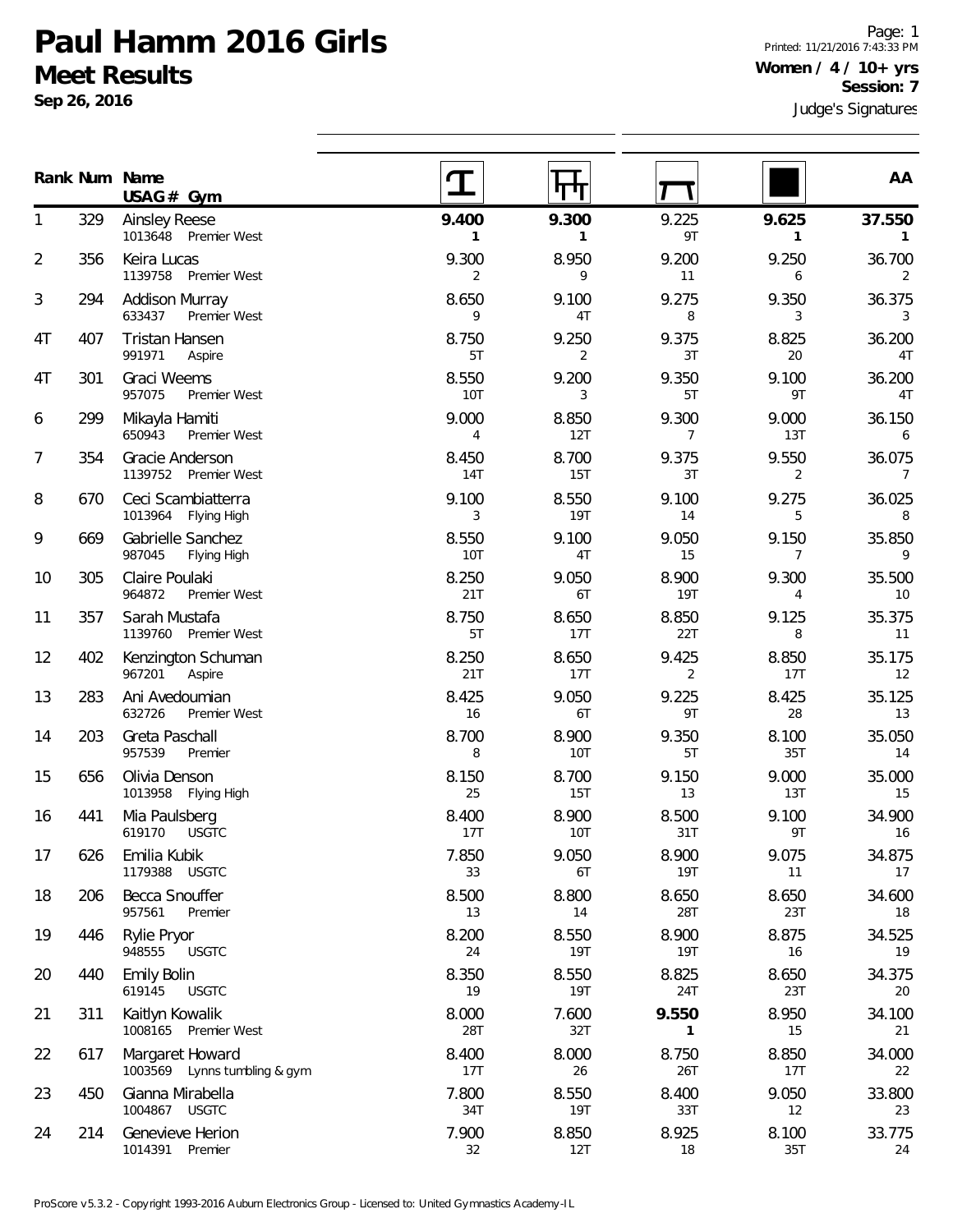**Sep 26, 2016**

Page: 1 Printed: 11/21/2016 7:43:33 PM **Women / 4 / 10+ yrs Session: 7**

|    |     | Rank Num Name<br>$USAG#$ Gym                    |                       |                       |                     |                         | AA                       |
|----|-----|-------------------------------------------------|-----------------------|-----------------------|---------------------|-------------------------|--------------------------|
| 1  | 329 | <b>Ainsley Reese</b><br>1013648 Premier West    | 9.400<br>$\mathbf{1}$ | 9.300<br>$\mathbf{1}$ | 9.225<br>9T         | 9.625<br>$\mathbf{1}$   | 37.550<br>$\mathbf{1}$   |
| 2  | 356 | Keira Lucas<br>1139758<br>Premier West          | 9.300<br>2            | 8.950<br>9            | 9.200<br>11         | 9.250<br>6              | 36.700<br>2              |
| 3  | 294 | <b>Addison Murray</b><br>633437<br>Premier West | 8.650<br>9            | 9.100<br>4T           | 9.275<br>8          | 9.350<br>3              | 36.375<br>3              |
| 4T | 407 | <b>Tristan Hansen</b><br>991971<br>Aspire       | 8.750<br>5T           | 9.250<br>2            | 9.375<br>3T         | 8.825<br>20             | 36.200<br>4T             |
| 4T | 301 | Graci Weems<br>957075<br>Premier West           | 8.550<br>10T          | 9.200<br>3            | 9.350<br>5T         | 9.100<br>9T             | 36.200<br>4T             |
| 6  | 299 | Mikayla Hamiti<br>650943<br>Premier West        | 9.000<br>4            | 8.850<br>12T          | 9.300<br>7          | 9.000<br>13T            | 36.150<br>6              |
| 7  | 354 | Gracie Anderson<br>1139752 Premier West         | 8.450<br>14T          | 8.700<br>15T          | 9.375<br>3T         | 9.550<br>2              | 36.075<br>$\overline{7}$ |
| 8  | 670 | Ceci Scambiatterra<br>1013964 Flying High       | 9.100<br>3            | 8.550<br><b>19T</b>   | 9.100<br>14         | 9.275<br>5              | 36.025<br>8              |
| 9  | 669 | Gabrielle Sanchez<br>987045<br>Flying High      | 8.550<br><b>10T</b>   | 9.100<br>4T           | 9.050<br>15         | 9.150<br>$\overline{7}$ | 35.850<br>9              |
| 10 | 305 | Claire Poulaki<br>964872<br>Premier West        | 8.250<br>21T          | 9.050<br>6T           | 8.900<br><b>19T</b> | 9.300<br>4              | 35.500<br>10             |
| 11 | 357 | Sarah Mustafa<br>1139760 Premier West           | 8.750<br>5T           | 8.650<br>17T          | 8.850<br>22T        | 9.125<br>8              | 35.375<br>11             |
| 12 | 402 | Kenzington Schuman<br>967201<br>Aspire          | 8.250<br>21T          | 8.650<br>17T          | 9.425<br>2          | 8.850<br>17T            | 35.175<br>12             |
| 13 | 283 | Ani Avedoumian<br>632726<br>Premier West        | 8.425<br>16           | 9.050<br>6T           | 9.225<br>9T         | 8.425<br>28             | 35.125<br>13             |
| 14 | 203 | Greta Paschall<br>957539<br>Premier             | 8.700<br>8            | 8.900<br><b>10T</b>   | 9.350<br>5T         | 8.100<br>35T            | 35.050<br>14             |
| 15 | 656 | Olivia Denson<br>1013958 Flying High            | 8.150<br>25           | 8.700<br>15T          | 9.150<br>13         | 9.000<br>13T            | 35.000<br>15             |
| 16 | 441 | Mia Paulsberg<br>619170<br><b>USGTC</b>         | 8.400<br>17T          | 8.900<br><b>10T</b>   | 8.500<br>31T        | 9.100<br>9T             | 34.900<br>16             |
| 17 | 626 | Emilia Kubik<br>1179388<br><b>USGTC</b>         | 7.850<br>33           | 9.050<br>6T           | 8.900<br>19T        | 9.075<br>11             | 34.875<br>17             |
| 18 | 206 | Becca Snouffer<br>957561<br>Premier             | 8.500<br>13           | 8.800<br>14           | 8.650<br>28T        | 8.650<br>23T            | 34.600<br>18             |
| 19 | 446 | Rylie Pryor<br>948555<br><b>USGTC</b>           | 8.200<br>24           | 8.550<br><b>19T</b>   | 8.900<br><b>19T</b> | 8.875<br>16             | 34.525<br>19             |
| 20 | 440 | <b>Emily Bolin</b><br>619145<br><b>USGTC</b>    | 8.350<br>19           | 8.550<br><b>19T</b>   | 8.825<br>24T        | 8.650<br>23T            | 34.375<br>20             |
| 21 | 311 | Kaitlyn Kowalik<br>1008165 Premier West         | 8.000<br>28T          | 7.600<br>32T          | 9.550<br>1          | 8.950<br>15             | 34.100<br>21             |
| 22 | 617 | Margaret Howard<br>1003569 Lynns tumbling & gym | 8.400<br>17T          | 8.000<br>26           | 8.750<br>26T        | 8.850<br>17T            | 34.000<br>22             |
| 23 | 450 | Gianna Mirabella<br>1004867 USGTC               | 7.800<br>34T          | 8.550<br><b>19T</b>   | 8.400<br>33T        | 9.050<br>12             | 33.800<br>23             |
| 24 | 214 | Genevieve Herion<br>1014391 Premier             | 7.900<br>32           | 8.850<br>12T          | 8.925<br>18         | 8.100<br>35T            | 33.775<br>24             |